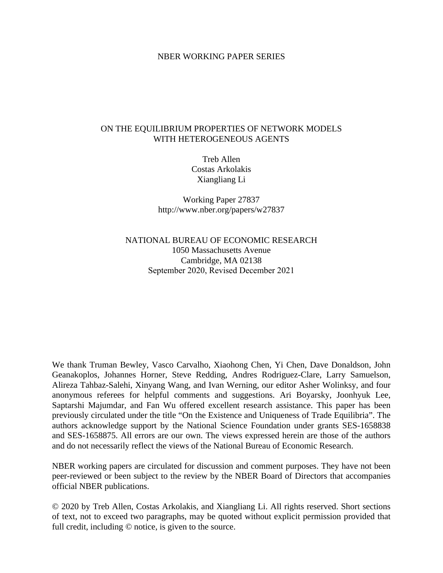#### NBER WORKING PAPER SERIES

#### ON THE EQUILIBRIUM PROPERTIES OF NETWORK MODELS WITH HETEROGENEOUS AGENTS

Treb Allen Costas Arkolakis Xiangliang Li

Working Paper 27837 http://www.nber.org/papers/w27837

NATIONAL BUREAU OF ECONOMIC RESEARCH 1050 Massachusetts Avenue Cambridge, MA 02138 September 2020, Revised December 2021

We thank Truman Bewley, Vasco Carvalho, Xiaohong Chen, Yi Chen, Dave Donaldson, John Geanakoplos, Johannes Horner, Steve Redding, Andres Rodriguez-Clare, Larry Samuelson, Alireza Tahbaz-Salehi, Xinyang Wang, and Ivan Werning, our editor Asher Wolinksy, and four anonymous referees for helpful comments and suggestions. Ari Boyarsky, Joonhyuk Lee, Saptarshi Majumdar, and Fan Wu offered excellent research assistance. This paper has been previously circulated under the title "On the Existence and Uniqueness of Trade Equilibria". The authors acknowledge support by the National Science Foundation under grants SES-1658838 and SES-1658875. All errors are our own. The views expressed herein are those of the authors and do not necessarily reflect the views of the National Bureau of Economic Research.

NBER working papers are circulated for discussion and comment purposes. They have not been peer-reviewed or been subject to the review by the NBER Board of Directors that accompanies official NBER publications.

© 2020 by Treb Allen, Costas Arkolakis, and Xiangliang Li. All rights reserved. Short sections of text, not to exceed two paragraphs, may be quoted without explicit permission provided that full credit, including © notice, is given to the source.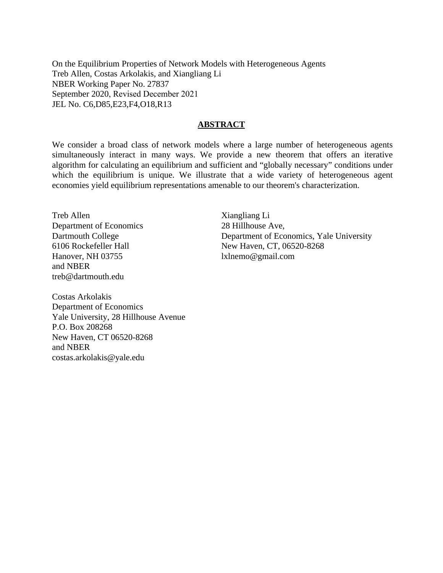On the Equilibrium Properties of Network Models with Heterogeneous Agents Treb Allen, Costas Arkolakis, and Xiangliang Li NBER Working Paper No. 27837 September 2020, Revised December 2021 JEL No. C6,D85,E23,F4,O18,R13

#### **ABSTRACT**

We consider a broad class of network models where a large number of heterogeneous agents simultaneously interact in many ways. We provide a new theorem that offers an iterative algorithm for calculating an equilibrium and sufficient and "globally necessary" conditions under which the equilibrium is unique. We illustrate that a wide variety of heterogeneous agent economies yield equilibrium representations amenable to our theorem's characterization.

Treb Allen Department of Economics Dartmouth College 6106 Rockefeller Hall Hanover, NH 03755 and NBER treb@dartmouth.edu

Xiangliang Li 28 Hillhouse Ave, Department of Economics, Yale University New Haven, CT, 06520-8268 lxlnemo@gmail.com

Costas Arkolakis Department of Economics Yale University, 28 Hillhouse Avenue P.O. Box 208268 New Haven, CT 06520-8268 and NBER costas.arkolakis@yale.edu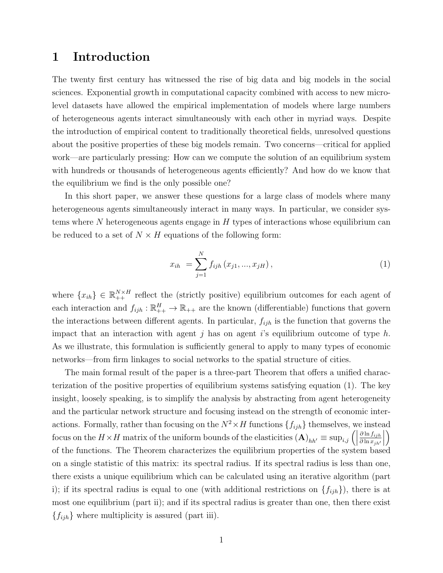# 1 Introduction

The twenty first century has witnessed the rise of big data and big models in the social sciences. Exponential growth in computational capacity combined with access to new microlevel datasets have allowed the empirical implementation of models where large numbers of heterogeneous agents interact simultaneously with each other in myriad ways. Despite the introduction of empirical content to traditionally theoretical fields, unresolved questions about the positive properties of these big models remain. Two concerns—critical for applied work—are particularly pressing: How can we compute the solution of an equilibrium system with hundreds or thousands of heterogeneous agents efficiently? And how do we know that the equilibrium we find is the only possible one?

In this short paper, we answer these questions for a large class of models where many heterogeneous agents simultaneously interact in many ways. In particular, we consider systems where  $N$  heterogeneous agents engage in  $H$  types of interactions whose equilibrium can be reduced to a set of  $N \times H$  equations of the following form:

<span id="page-2-0"></span>
$$
x_{ih} = \sum_{j=1}^{N} f_{ijh}(x_{j1}, ..., x_{jH}), \qquad (1)
$$

where  $\{x_{ih}\}\in\mathbb{R}_{++}^{N\times H}$  reflect the (strictly positive) equilibrium outcomes for each agent of each interaction and  $f_{ijh} : \mathbb{R}_{++}^H \to \mathbb{R}_{++}$  are the known (differentiable) functions that govern the interactions between different agents. In particular,  $f_{ijh}$  is the function that governs the impact that an interaction with agent j has on agent i's equilibrium outcome of type  $h$ . As we illustrate, this formulation is sufficiently general to apply to many types of economic networks—from firm linkages to social networks to the spatial structure of cities.

The main formal result of the paper is a three-part Theorem that offers a unified characterization of the positive properties of equilibrium systems satisfying equation [\(1\)](#page-2-0). The key insight, loosely speaking, is to simplify the analysis by abstracting from agent heterogeneity and the particular network structure and focusing instead on the strength of economic interactions. Formally, rather than focusing on the  $N^2 \times H$  functions  $\{f_{ijh}\}\$ themselves, we instead focus on the  $H \times H$  matrix of the uniform bounds of the elasticities  $(\mathbf{A})_{hh'} \equiv \sup_{i,j} ($  $\partial \ln f_{ijh}$  $\partial \ln x_{jh'}$  $\begin{array}{c} \begin{array}{c} \begin{array}{c} \end{array} \\ \begin{array}{c} \end{array} \end{array} \end{array}$  $\setminus$ of the functions. The Theorem characterizes the equilibrium properties of the system based on a single statistic of this matrix: its spectral radius. If its spectral radius is less than one, there exists a unique equilibrium which can be calculated using an iterative algorithm (part i); if its spectral radius is equal to one (with additional restrictions on  $\{f_{ijh}\}\)$ , there is at most one equilibrium (part ii); and if its spectral radius is greater than one, then there exist  ${f_{ijh}}$  where multiplicity is assured (part iii).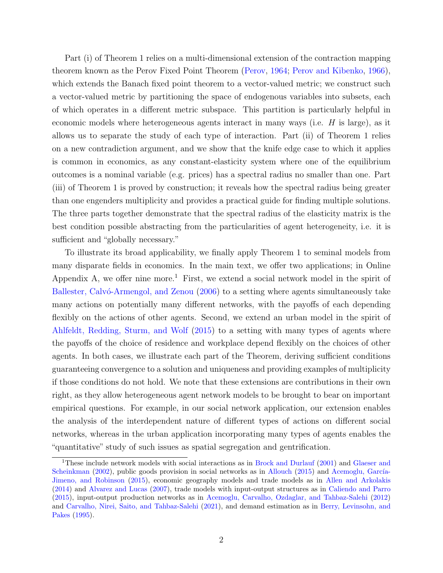Part (i) of Theorem 1 relies on a multi-dimensional extension of the contraction mapping theorem known as the Perov Fixed Point Theorem [\(Perov,](#page-17-0) [1964;](#page-17-0) [Perov and Kibenko,](#page-17-1) [1966\)](#page-17-1), which extends the Banach fixed point theorem to a vector-valued metric; we construct such a vector-valued metric by partitioning the space of endogenous variables into subsets, each of which operates in a different metric subspace. This partition is particularly helpful in economic models where heterogeneous agents interact in many ways (i.e. H is large), as it allows us to separate the study of each type of interaction. Part (ii) of Theorem 1 relies on a new contradiction argument, and we show that the knife edge case to which it applies is common in economics, as any constant-elasticity system where one of the equilibrium outcomes is a nominal variable (e.g. prices) has a spectral radius no smaller than one. Part (iii) of Theorem 1 is proved by construction; it reveals how the spectral radius being greater than one engenders multiplicity and provides a practical guide for finding multiple solutions. The three parts together demonstrate that the spectral radius of the elasticity matrix is the best condition possible abstracting from the particularities of agent heterogeneity, i.e. it is sufficient and "globally necessary."

To illustrate its broad applicability, we finally apply Theorem 1 to seminal models from many disparate fields in economics. In the main text, we offer two applications; in Online Appendix [A,](#page-18-0) we offer nine more.<sup>[1](#page-3-0)</sup> First, we extend a social network model in the spirit of Ballester, Calvó-Armengol, and Zenou [\(2006\)](#page-16-0) to a setting where agents simultaneously take many actions on potentially many different networks, with the payoffs of each depending flexibly on the actions of other agents. Second, we extend an urban model in the spirit of [Ahlfeldt, Redding, Sturm, and Wolf](#page-16-1) [\(2015\)](#page-16-1) to a setting with many types of agents where the payoffs of the choice of residence and workplace depend flexibly on the choices of other agents. In both cases, we illustrate each part of the Theorem, deriving sufficient conditions guaranteeing convergence to a solution and uniqueness and providing examples of multiplicity if those conditions do not hold. We note that these extensions are contributions in their own right, as they allow heterogeneous agent network models to be brought to bear on important empirical questions. For example, in our social network application, our extension enables the analysis of the interdependent nature of different types of actions on different social networks, whereas in the urban application incorporating many types of agents enables the "quantitative" study of such issues as spatial segregation and gentrification.

<span id="page-3-0"></span><sup>1</sup>These include network models with social interactions as in [Brock and Durlauf](#page-16-2) [\(2001\)](#page-16-2) and [Glaeser and](#page-17-2) [Scheinkman](#page-17-2) [\(2002\)](#page-17-2), public goods provision in social networks as in [Allouch](#page-16-3) [\(2015\)](#page-16-3) and Acemoglu, García-[Jimeno, and Robinson](#page-16-4) [\(2015\)](#page-16-4), economic geography models and trade models as in [Allen and Arkolakis](#page-16-5) [\(2014\)](#page-16-5) and [Alvarez and Lucas](#page-16-6) [\(2007\)](#page-16-6), trade models with input-output structures as in [Caliendo and Parro](#page-16-7) [\(2015\)](#page-16-7), input-output production networks as in [Acemoglu, Carvalho, Ozdaglar, and Tahbaz-Salehi](#page-16-8) [\(2012\)](#page-16-8) and [Carvalho, Nirei, Saito, and Tahbaz-Salehi](#page-16-9) [\(2021\)](#page-16-9), and demand estimation as in [Berry, Levinsohn, and](#page-16-10) [Pakes](#page-16-10) [\(1995\)](#page-16-10).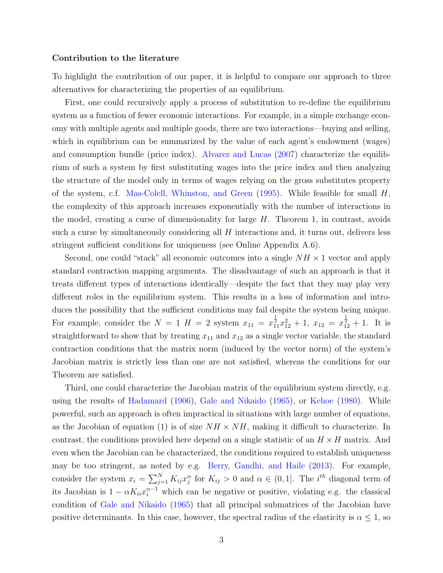#### Contribution to the literature

To highlight the contribution of our paper, it is helpful to compare our approach to three alternatives for characterizing the properties of an equilibrium.

First, one could recursively apply a process of substitution to re-define the equilibrium system as a function of fewer economic interactions. For example, in a simple exchange economy with multiple agents and multiple goods, there are two interactions—buying and selling, which in equilibrium can be summarized by the value of each agent's endowment (wages) and consumption bundle (price index). [Alvarez and Lucas](#page-16-6) [\(2007\)](#page-16-6) characterize the equilibrium of such a system by first substituting wages into the price index and then analyzing the structure of the model only in terms of wages relying on the gross substitutes property of the system, c.f. [Mas-Colell, Whinston, and Green](#page-17-3) [\(1995\)](#page-17-3). While feasible for small  $H$ , the complexity of this approach increases exponentially with the number of interactions in the model, creating a curse of dimensionality for large  $H$ . Theorem 1, in contrast, avoids such a curse by simultaneously considering all  $H$  interactions and, it turns out, delivers less stringent sufficient conditions for uniqueness (see Online Appendix [A.6\)](#page-31-0).

Second, one could "stack" all economic outcomes into a single  $NH \times 1$  vector and apply standard contraction mapping arguments. The disadvantage of such an approach is that it treats different types of interactions identically—despite the fact that they may play very different roles in the equilibrium system. This results in a loss of information and introduces the possibility that the sufficient conditions may fail despite the system being unique. For example, consider the  $N = 1$   $H = 2$  system  $x_{11} = x_{11}^{\frac{1}{2}}x_{12}^2 + 1$ ,  $x_{12} = x_{12}^{\frac{1}{2}} + 1$ . It is straightforward to show that by treating  $x_{11}$  and  $x_{12}$  as a single vector variable, the standard contraction conditions that the matrix norm (induced by the vector norm) of the system's Jacobian matrix is strictly less than one are not satisfied, whereas the conditions for our Theorem are satisfied.

Third, one could characterize the Jacobian matrix of the equilibrium system directly, e.g. using the results of [Hadamard](#page-17-4) [\(1906\)](#page-17-4), [Gale and Nikaido](#page-17-5) [\(1965\)](#page-17-5), or [Kehoe](#page-17-6) [\(1980\)](#page-17-6). While powerful, such an approach is often impractical in situations with large number of equations, as the Jacobian of equation [\(1\)](#page-2-0) is of size  $NH \times NH$ , making it difficult to characterize. In contrast, the conditions provided here depend on a single statistic of an  $H \times H$  matrix. And even when the Jacobian can be characterized, the conditions required to establish uniqueness may be too stringent, as noted by e.g. [Berry, Gandhi, and Haile](#page-16-11) [\(2013\)](#page-16-11). For example, consider the system  $x_i = \sum_{j=1}^{N} K_{ij} x_j^{\alpha}$  for  $K_{ij} > 0$  and  $\alpha \in (0, 1]$ . The *i*<sup>th</sup> diagonal term of its Jacobian is  $1 - \alpha K_{ii} x_i^{\alpha - 1}$  which can be negative or positive, violating e.g. the classical condition of [Gale and Nikaido](#page-17-5) [\(1965\)](#page-17-5) that all principal submatrices of the Jacobian have positive determinants. In this case, however, the spectral radius of the elasticity is  $\alpha \leq 1$ , so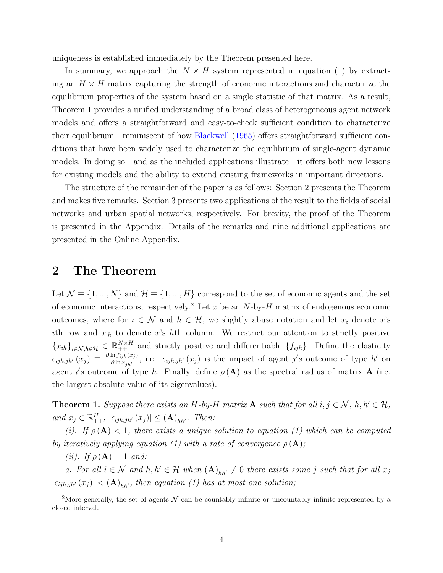uniqueness is established immediately by the Theorem presented here.

In summary, we approach the  $N \times H$  system represented in equation [\(1\)](#page-2-0) by extracting an  $H \times H$  matrix capturing the strength of economic interactions and characterize the equilibrium properties of the system based on a single statistic of that matrix. As a result, Theorem 1 provides a unified understanding of a broad class of heterogeneous agent network models and offers a straightforward and easy-to-check sufficient condition to characterize their equilibrium—reminiscent of how [Blackwell](#page-16-12) [\(1965\)](#page-16-12) offers straightforward sufficient conditions that have been widely used to characterize the equilibrium of single-agent dynamic models. In doing so—and as the included applications illustrate—it offers both new lessons for existing models and the ability to extend existing frameworks in important directions.

The structure of the remainder of the paper is as follows: Section 2 presents the Theorem and makes five remarks. Section 3 presents two applications of the result to the fields of social networks and urban spatial networks, respectively. For brevity, the proof of the Theorem is presented in the Appendix. Details of the remarks and nine additional applications are presented in the Online Appendix.

### 2 The Theorem

Let  $\mathcal{N} \equiv \{1, ..., N\}$  and  $\mathcal{H} \equiv \{1, ..., H\}$  correspond to the set of economic agents and the set of economic interactions, respectively.<sup>[2](#page-5-0)</sup> Let x be an N-by-H matrix of endogenous economic outcomes, where for  $i \in \mathcal{N}$  and  $h \in \mathcal{H}$ , we slightly abuse notation and let  $x_i$  denote  $x$ 's ith row and  $x_{h}$  to denote x's hth column. We restrict our attention to strictly positive  ${x_{ih}}_{i\in\mathcal{N},h\in\mathcal{H}} \in \mathbb{R}_{++}^{N\times H}$  and strictly positive and differentiable  ${f_{ijh}}$ . Define the elasticity  $\epsilon_{ijh,jh'}(x_j) \equiv \frac{\partial \ln f_{ijh}(x_j)}{\partial \ln x_{j,h}}$  $\frac{\ln f_{ijh}(x_j)}{\partial \ln x_{jh'}},$  i.e.  $\epsilon_{ijh,jh'}(x_j)$  is the impact of agent j's outcome of type h' on agent i's outcome of type h. Finally, define  $\rho(A)$  as the spectral radius of matrix A (i.e. the largest absolute value of its eigenvalues).

<span id="page-5-1"></span>**Theorem 1.** Suppose there exists an H-by-H matrix **A** such that for all  $i, j \in \mathcal{N}$ ,  $h, h' \in \mathcal{H}$ , and  $x_j \in \mathbb{R}_{++}^H$ ,  $|\epsilon_{ijh,jh'}(x_j)| \leq (\mathbf{A})_{hh'}$ . Then:

(i). If  $\rho(A) < 1$ , there exists a unique solution to equation [\(1\)](#page-2-0) which can be computed by iteratively applying equation [\(1\)](#page-2-0) with a rate of convergence  $\rho(\mathbf{A});$ 

(*ii*). If  $\rho(\mathbf{A}) = 1$  and:

a. For all  $i \in \mathcal{N}$  and  $h, h' \in \mathcal{H}$  when  $(\mathbf{A})_{hh'} \neq 0$  there exists some j such that for all  $x_j$  $|\epsilon_{ijh,jh'}(x_j)| < (\mathbf{A})_{hh'}$ , then equation [\(1\)](#page-2-0) has at most one solution;

<span id="page-5-0"></span><sup>&</sup>lt;sup>2</sup>More generally, the set of agents  $\mathcal N$  can be countably infinite or uncountably infinite represented by a closed interval.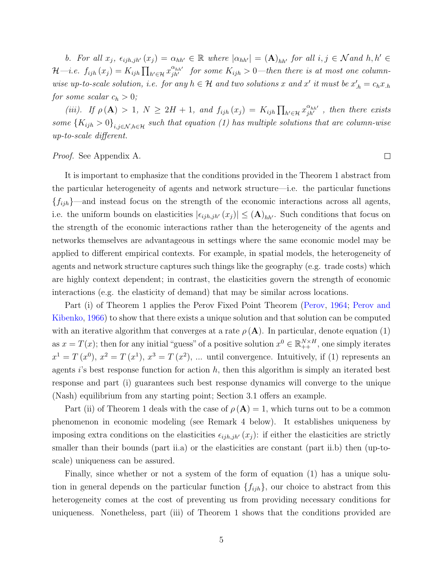b. For all  $x_j$ ,  $\epsilon_{ijh,jh'}(x_j) = \alpha_{hh'} \in \mathbb{R}$  where  $|\alpha_{hh'}| = (\mathbf{A})_{hh'}$  for all  $i, j \in \mathcal{N}$  and  $h, h' \in \mathcal{N}$  $\mathcal{H}-i.e.$   $f_{ijh}(x_j) = K_{ijh} \prod_{h' \in \mathcal{H}} x_{jh'}^{\alpha_{hh'}}$  for some  $K_{ijh} > 0$ —then there is at most one columnwise up-to-scale solution, i.e. for any  $h \in \mathcal{H}$  and two solutions x and x' it must be  $x'_{h} = c_h x_{h}$ for some scalar  $c_h > 0$ ;

(iii). If  $\rho(\mathbf{A}) > 1$ ,  $N \geq 2H + 1$ , and  $f_{ijh}(x_j) = K_{ijh} \prod_{h' \in \mathcal{H}} x_{jh'}^{\alpha_{hh'}}$ , then there exists some  ${K_{ijh} > 0}_{i,j \in \mathcal{N}, h \in \mathcal{H}}$  such that equation [\(1\)](#page-2-0) has multiple solutions that are column-wise up-to-scale different.

Proof. See Appendix [A.](#page-18-0)

It is important to emphasize that the conditions provided in the Theorem 1 abstract from the particular heterogeneity of agents and network structure—i.e. the particular functions  ${f_{ijh}}$ —and instead focus on the strength of the economic interactions across all agents, i.e. the uniform bounds on elasticities  $|\epsilon_{ijh,jh'}(x_j)| \leq (\mathbf{A})_{hh'}$ . Such conditions that focus on the strength of the economic interactions rather than the heterogeneity of the agents and networks themselves are advantageous in settings where the same economic model may be applied to different empirical contexts. For example, in spatial models, the heterogeneity of agents and network structure captures such things like the geography (e.g. trade costs) which are highly context dependent; in contrast, the elasticities govern the strength of economic interactions (e.g. the elasticity of demand) that may be similar across locations.

Part (i) of Theorem 1 applies the Perov Fixed Point Theorem [\(Perov,](#page-17-0) [1964;](#page-17-0) [Perov and](#page-17-1) [Kibenko,](#page-17-1) [1966\)](#page-17-1) to show that there exists a unique solution and that solution can be computed with an iterative algorithm that converges at a rate  $\rho(A)$ . In particular, denote equation [\(1\)](#page-2-0) as  $x = T(x)$ ; then for any initial "guess" of a positive solution  $x^0 \in \mathbb{R}_{++}^{N \times H}$ , one simply iterates  $x^1 = T(x^0), x^2 = T(x^1), x^3 = T(x^2), \dots$  until convergence. Intuitively, if [\(1\)](#page-2-0) represents an agents i's best response function for action  $h$ , then this algorithm is simply an iterated best response and part (i) guarantees such best response dynamics will converge to the unique (Nash) equilibrium from any starting point; Section [3.1](#page-10-0) offers an example.

Part (ii) of Theorem 1 deals with the case of  $\rho(A) = 1$ , which turns out to be a common phenomenon in economic modeling (see Remark 4 below). It establishes uniqueness by imposing extra conditions on the elasticities  $\epsilon_{ijh,jh'}(x_j)$ : if either the elasticities are strictly smaller than their bounds (part ii.a) or the elasticities are constant (part ii.b) then (up-toscale) uniqueness can be assured.

Finally, since whether or not a system of the form of equation [\(1\)](#page-2-0) has a unique solution in general depends on the particular function  $\{f_{ijh}\}\$ , our choice to abstract from this heterogeneity comes at the cost of preventing us from providing necessary conditions for uniqueness. Nonetheless, part (iii) of Theorem 1 shows that the conditions provided are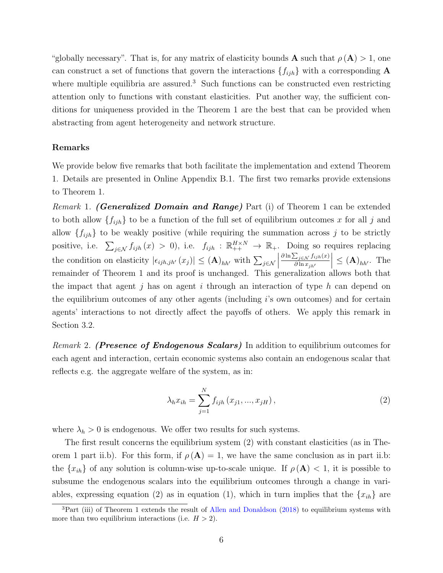"globally necessary". That is, for any matrix of elasticity bounds **A** such that  $\rho(\mathbf{A}) > 1$ , one can construct a set of functions that govern the interactions  $\{f_{ijh}\}\$  with a corresponding A where multiple equilibria are assured.<sup>[3](#page-7-0)</sup> Such functions can be constructed even restricting attention only to functions with constant elasticities. Put another way, the sufficient conditions for uniqueness provided in the Theorem 1 are the best that can be provided when abstracting from agent heterogeneity and network structure.

#### Remarks

We provide below five remarks that both facilitate the implementation and extend Theorem 1. Details are presented in Online Appendix [B.1.](#page-39-0) The first two remarks provide extensions to Theorem 1.

Remark 1. (Generalized Domain and Range) Part (i) of Theorem 1 can be extended to both allow  $\{f_{ijh}\}\)$  to be a function of the full set of equilibrium outcomes x for all j and allow  $\{f_{ijh}\}\$ to be weakly positive (while requiring the summation across j to be strictly positive, i.e.  $\sum_{j \in \mathcal{N}} f_{ijh}(x) > 0$ , i.e.  $f_{ijh}: \mathbb{R}_{++}^{H \times N} \to \mathbb{R}_{+}$ . Doing so requires replacing the condition on elasticity  $|\epsilon_{ijh,jh'}(x_j)| \leq (\mathbf{A})_{hh'}$  with  $\sum_{j \in \mathcal{N}}$  $\partial \ln \sum_{j \in \mathcal{N}} f_{ijh}(x)$  $\partial \ln x_{jh'}$  $\left| \leq (A)_{hh'}$ . The remainder of Theorem 1 and its proof is unchanged. This generalization allows both that the impact that agent j has on agent i through an interaction of type h can depend on the equilibrium outcomes of any other agents (including i's own outcomes) and for certain agents' interactions to not directly affect the payoffs of others. We apply this remark in Section [3.2.](#page-12-0)

Remark 2. (Presence of Endogenous Scalars) In addition to equilibrium outcomes for each agent and interaction, certain economic systems also contain an endogenous scalar that reflects e.g. the aggregate welfare of the system, as in:

<span id="page-7-1"></span>
$$
\lambda_h x_{ih} = \sum_{j=1}^N f_{ijh} (x_{j1}, ..., x_{jH}), \qquad (2)
$$

where  $\lambda_h > 0$  is endogenous. We offer two results for such systems.

The first result concerns the equilibrium system [\(2\)](#page-7-1) with constant elasticities (as in Theorem 1 part ii.b). For this form, if  $\rho(A) = 1$ , we have the same conclusion as in part ii.b: the  $\{x_{ih}\}\$ of any solution is column-wise up-to-scale unique. If  $\rho(\mathbf{A}) < 1$ , it is possible to subsume the endogenous scalars into the equilibrium outcomes through a change in vari-ables, expressing equation [\(2\)](#page-7-1) as in equation [\(1\)](#page-2-0), which in turn implies that the  $\{x_{ih}\}$  are

<span id="page-7-0"></span><sup>&</sup>lt;sup>3</sup>Part (iii) of Theorem 1 extends the result of [Allen and Donaldson](#page-16-13) [\(2018\)](#page-16-13) to equilibrium systems with more than two equilibrium interactions (i.e.  $H > 2$ ).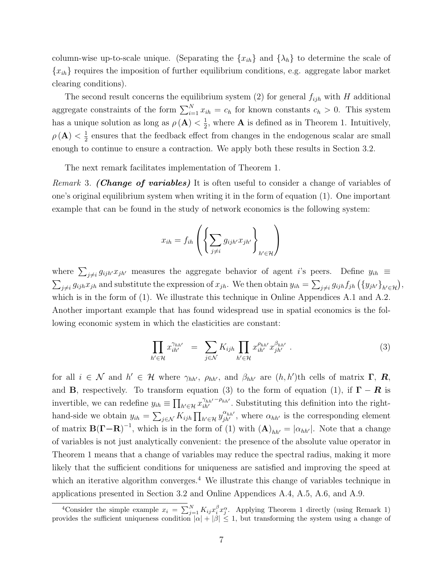column-wise up-to-scale unique. (Separating the  $\{x_{ih}\}\$ and  $\{\lambda_h\}\$ to determine the scale of  ${x<sub>ih</sub>}$  requires the imposition of further equilibrium conditions, e.g. aggregate labor market clearing conditions).

The second result concerns the equilibrium system [\(2\)](#page-7-1) for general  $f_{ijh}$  with H additional aggregate constraints of the form  $\sum_{i=1}^{N} x_{ih} = c_h$  for known constants  $c_h > 0$ . This system has a unique solution as long as  $\rho(\mathbf{A}) < \frac{1}{2}$  $\frac{1}{2}$ , where **A** is defined as in Theorem 1. Intuitively,  $\rho\left(\mathbf{A}\right)<\frac{1}{2}$  $\frac{1}{2}$  ensures that the feedback effect from changes in the endogenous scalar are small enough to continue to ensure a contraction. We apply both these results in Section [3.2.](#page-12-0)

The next remark facilitates implementation of Theorem 1.

Remark 3. (Change of variables) It is often useful to consider a change of variables of one's original equilibrium system when writing it in the form of equation [\(1\)](#page-2-0). One important example that can be found in the study of network economics is the following system:

$$
x_{ih} = f_{ih} \left( \left\{ \sum_{j \neq i} g_{ijh'} x_{jh'} \right\}_{h' \in \mathcal{H}} \right)
$$

where  $\sum_{j\neq i} g_{ijh'} x_{jh'}$  measures the aggregate behavior of agent i's peers. Define  $y_{ih} \equiv$  $\sum_{j\neq i} g_{ijh}x_{jh}$  and substitute the expression of  $x_{jh}$ . We then obtain  $y_{ih} = \sum_{j\neq i} g_{ijh}f_{jh}(\{y_{jh'}\}_{h'\in\mathcal{H}})$ , which is in the form of [\(1\)](#page-2-0). We illustrate this technique in Online Appendices [A.1](#page-22-0) and [A.2.](#page-23-0) Another important example that has found widespread use in spatial economics is the following economic system in which the elasticities are constant:

<span id="page-8-0"></span>
$$
\prod_{h' \in \mathcal{H}} x_{ih'}^{\gamma_{hh'}} = \sum_{j \in \mathcal{N}} K_{ijh} \prod_{h' \in \mathcal{H}} x_{ih'}^{\rho_{hh'}} x_{jh'}^{\beta_{hh'}}.
$$
 (3)

for all  $i \in \mathcal{N}$  and  $h' \in \mathcal{H}$  where  $\gamma_{hh'}$ ,  $\rho_{hh'}$ , and  $\beta_{hh'}$  are  $(h, h')$ th cells of matrix **Γ**, **R**, and **B**, respectively. To transform equation [\(3\)](#page-8-0) to the form of equation [\(1\)](#page-2-0), if  $\Gamma - R$  is invertible, we can redefine  $y_{ih} \equiv \prod_{h' \in \mathcal{H}} x_{ih'}^{\gamma_{hh'}-\rho_{hh'}}$ . Substituting this definition into the righthand-side we obtain  $y_{ih} = \sum_{j \in \mathcal{N}} K_{ijh} \prod_{h' \in \mathcal{H}} y_{jh'}^{\alpha_{hh'}}$ , where  $\alpha_{hh'}$  is the corresponding element of matrix  $\mathbf{B}(\mathbf{\Gamma}-\mathbf{R})^{-1}$ , which is in the form of [\(1\)](#page-2-0) with  $(\mathbf{A})_{hh'} = |\alpha_{hh'}|$ . Note that a change of variables is not just analytically convenient: the presence of the absolute value operator in Theorem 1 means that a change of variables may reduce the spectral radius, making it more likely that the sufficient conditions for uniqueness are satisfied and improving the speed at which an iterative algorithm converges.<sup>[4](#page-8-1)</sup> We illustrate this change of variables technique in applications presented in Section [3.2](#page-12-0) and Online Appendices [A.4,](#page-26-0) [A.5,](#page-28-0) [A.6,](#page-31-0) and [A.9.](#page-37-0)

<span id="page-8-1"></span><sup>&</sup>lt;sup>4</sup>Consider the simple example  $x_i = \sum_{j=1}^{N} K_{ij} x_i^{\beta} x_j^{\alpha}$ . Applying Theorem 1 directly (using Remark 1) provides the sufficient uniqueness condition  $|\alpha| + |\beta| \leq 1$ , but transforming the system using a change of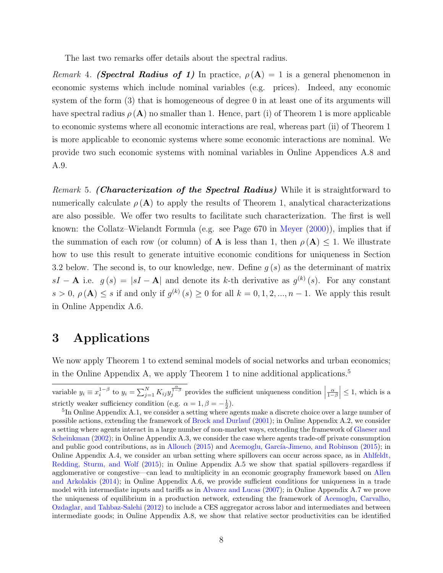The last two remarks offer details about the spectral radius.

Remark 4. (Spectral Radius of 1) In practice,  $\rho(A) = 1$  is a general phenomenon in economic systems which include nominal variables (e.g. prices). Indeed, any economic system of the form [\(3\)](#page-8-0) that is homogeneous of degree 0 in at least one of its arguments will have spectral radius  $\rho(A)$  no smaller than 1. Hence, part (i) of Theorem 1 is more applicable to economic systems where all economic interactions are real, whereas part (ii) of Theorem 1 is more applicable to economic systems where some economic interactions are nominal. We provide two such economic systems with nominal variables in Online Appendices [A.8](#page-35-0) and [A.9.](#page-37-0)

Remark 5. (Characterization of the Spectral Radius) While it is straightforward to numerically calculate  $\rho(A)$  to apply the results of Theorem 1, analytical characterizations are also possible. We offer two results to facilitate such characterization. The first is well known: the Collatz–Wielandt Formula (e.g. see Page 670 in [Meyer](#page-17-7) [\(2000\)](#page-17-7)), implies that if the summation of each row (or column) of **A** is less than 1, then  $\rho(A) \leq 1$ . We illustrate how to use this result to generate intuitive economic conditions for uniqueness in Section [3.2](#page-12-0) below. The second is, to our knowledge, new. Define  $q(s)$  as the determinant of matrix  $sI - A$  i.e.  $g(s) = |sI - A|$  and denote its k-th derivative as  $g^{(k)}(s)$ . For any constant  $s > 0$ ,  $\rho(A) \leq s$  if and only if  $g^{(k)}(s) \geq 0$  for all  $k = 0, 1, 2, ..., n - 1$ . We apply this result in Online Appendix [A.6.](#page-31-0)

### 3 Applications

We now apply Theorem 1 to extend seminal models of social networks and urban economics; in the Online Appendix [A,](#page-18-0) we apply Theorem 1 to nine additional applications.<sup>[5](#page-9-0)</sup>

variable  $y_i \equiv x_i^{1-\beta}$  to  $y_i = \sum_{j=1}^N K_{ij} y_j^{\frac{\alpha}{1-\beta}}$  provides the sufficient uniqueness condition  $\left|\frac{\alpha}{1-\beta}\right| \leq 1$ , which is a strictly weaker sufficiency condition (e.g.  $\alpha = 1, \beta = -\frac{1}{2}$ ).

<span id="page-9-0"></span><sup>&</sup>lt;sup>5</sup>In Online Appendix [A.1,](#page-22-0) we consider a setting where agents make a discrete choice over a large number of possible actions, extending the framework of [Brock and Durlauf](#page-16-2) [\(2001\)](#page-16-2); in Online Appendix [A.2,](#page-23-0) we consider a setting where agents interact in a large number of non-market ways, extending the framework of [Glaeser and](#page-17-2) [Scheinkman](#page-17-2) [\(2002\)](#page-17-2); in Online Appendix [A.3,](#page-24-0) we consider the case where agents trade-off private consumption and public good contributions, as in [Allouch](#page-16-3) [\(2015\)](#page-16-4) and Acemoglu, García-Jimeno, and Robinson (2015); in Online Appendix [A.4,](#page-26-0) we consider an urban setting where spillovers can occur across space, as in [Ahlfeldt,](#page-16-1) [Redding, Sturm, and Wolf](#page-16-1) [\(2015\)](#page-16-1); in Online Appendix [A.5](#page-28-0) we show that spatial spillovers–regardless if agglomerative or congestive—can lead to multiplicity in an economic geography framework based on [Allen](#page-16-5) [and Arkolakis](#page-16-5) [\(2014\)](#page-16-5); in Online Appendix [A.6,](#page-31-0) we provide sufficient conditions for uniqueness in a trade model with intermediate inputs and tariffs as in [Alvarez and Lucas](#page-16-6) [\(2007\)](#page-16-6); in Online Appendix [A.7](#page-33-0) we prove the uniqueness of equilibrium in a production network, extending the framework of [Acemoglu, Carvalho,](#page-16-8) [Ozdaglar, and Tahbaz-Salehi](#page-16-8) [\(2012\)](#page-16-8) to include a CES aggregator across labor and intermediates and between intermediate goods; in Online Appendix [A.8,](#page-35-0) we show that relative sector productivities can be identified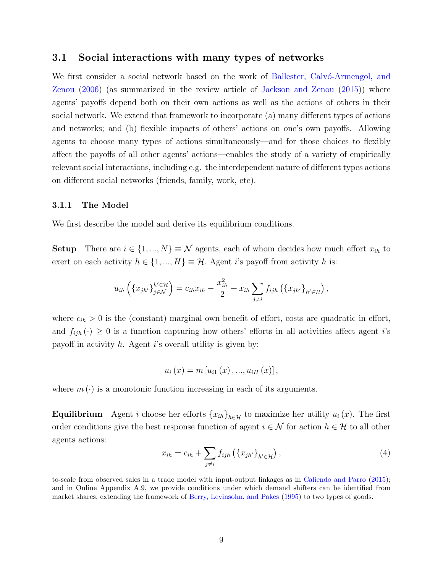#### <span id="page-10-0"></span>3.1 Social interactions with many types of networks

We first consider a social network based on the work of Ballester, Calvo-Armengol, and [Zenou](#page-16-0) [\(2006\)](#page-16-0) (as summarized in the review article of [Jackson and Zenou](#page-17-8) [\(2015\)](#page-17-8)) where agents' payoffs depend both on their own actions as well as the actions of others in their social network. We extend that framework to incorporate (a) many different types of actions and networks; and (b) flexible impacts of others' actions on one's own payoffs. Allowing agents to choose many types of actions simultaneously—and for those choices to flexibly affect the payoffs of all other agents' actions—enables the study of a variety of empirically relevant social interactions, including e.g. the interdependent nature of different types actions on different social networks (friends, family, work, etc).

#### 3.1.1 The Model

We first describe the model and derive its equilibrium conditions.

Setup There are  $i \in \{1, ..., N\} \equiv \mathcal{N}$  agents, each of whom decides how much effort  $x_{ih}$  to exert on each activity  $h \in \{1, ..., H\} \equiv \mathcal{H}$ . Agent i's payoff from activity h is:

$$
u_{ih}\left(\left\{x_{jh'}\right\}_{j\in\mathcal{N}}^{h'\in\mathcal{H}}\right)=c_{ih}x_{ih}-\frac{x_{ih}^2}{2}+x_{ih}\sum_{j\neq i}f_{ijh}\left(\left\{x_{jh'}\right\}_{h'\in\mathcal{H}}\right),\,
$$

where  $c_{ih} > 0$  is the (constant) marginal own benefit of effort, costs are quadratic in effort, and  $f_{ijh}(\cdot) \geq 0$  is a function capturing how others' efforts in all activities affect agent i's payoff in activity  $h$ . Agent i's overall utility is given by:

$$
u_{i}(x) = m[u_{i1}(x),...,u_{iH}(x)],
$$

where  $m(\cdot)$  is a monotonic function increasing in each of its arguments.

**Equilibrium** Agent *i* choose her efforts  $\{x_{ih}\}_{h\in\mathcal{H}}$  to maximize her utility  $u_i(x)$ . The first order conditions give the best response function of agent  $i \in \mathcal{N}$  for action  $h \in \mathcal{H}$  to all other agents actions:

<span id="page-10-1"></span>
$$
x_{ih} = c_{ih} + \sum_{j \neq i} f_{ijh} \left( \{ x_{jh'} \}_{h' \in \mathcal{H}} \right), \tag{4}
$$

to-scale from observed sales in a trade model with input-output linkages as in [Caliendo and Parro](#page-16-7) [\(2015\)](#page-16-7); and in Online Appendix [A.9,](#page-37-0) we provide conditions under which demand shifters can be identified from market shares, extending the framework of [Berry, Levinsohn, and Pakes](#page-16-10) [\(1995\)](#page-16-10) to two types of goods.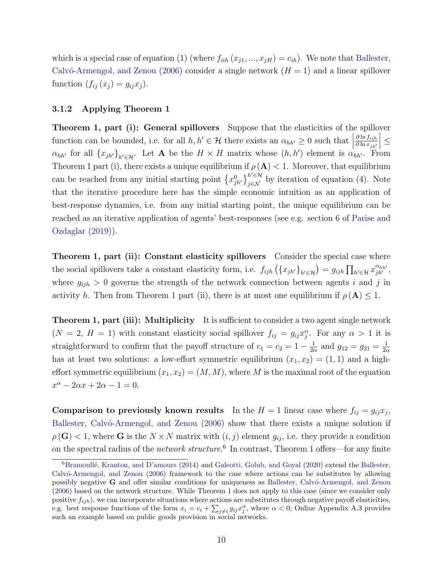which is a special case of equation [\(1\)](#page-2-0) (where  $f_{iih}(x_{j1},...,x_{jH}) = c_{ih}$ ). We note that [Ballester,](#page-16-0) Calvó-Armengol, and Zenou [\(2006\)](#page-16-0) consider a single network  $(H = 1)$  and a linear spillover function  $(f_{ij}(x_j) = g_{ij}x_j)$ .

#### 3.1.2 Applying Theorem 1

Theorem 1, part (i): General spillovers Suppose that the elasticities of the spillover function can be bounded, i.e. for all  $h, h' \in \mathcal{H}$  there exists an  $\alpha_{hh'} \geq 0$  such that  $\partial \ln f_{ijh}$  $\partial \ln x_{jh'}$  $\vert \leq$  $\alpha_{hh'}$  for all  $\{x_{jh'}\}_{h'\in\mathcal{H}}$ . Let **A** be the  $H \times H$  matrix whose  $(h, h')$  element is  $\alpha_{hh'}$ . From Theorem 1 part (i), there exists a unique equilibrium if  $\rho(A) < 1$ . Moreover, that equilibrium can be reached from any initial starting point  $\{x_{jk'}^0\}_{j\in\mathcal{N}}^{h'\in\mathcal{H}}$  by iteration of equation [\(4\)](#page-10-1). Note that the iterative procedure here has the simple economic intuition as an application of best-response dynamics, i.e. from any initial starting point, the unique equilibrium can be reached as an iterative application of agents' best-responses (see e.g. section 6 of [Parise and](#page-17-9) [Ozdaglar](#page-17-9) [\(2019\)](#page-17-9)).

Theorem 1, part (ii): Constant elasticity spillovers Consider the special case where the social spillovers take a constant elasticity form, i.e.  $f_{ijh}(\lbrace x_{jh'}\rbrace_{h'\in\mathcal{H}}) = g_{ijh} \prod_{h'\in\mathcal{H}} x_{jh'}^{\alpha_{hh'}},$ where  $g_{ijh} > 0$  governs the strength of the network connection between agents i and j in activity h. Then from Theorem 1 part (ii), there is at most one equilibrium if  $\rho(A) \leq 1$ .

**Theorem 1, part (iii): Multiplicity** It is sufficient to consider a two agent single network  $(N = 2, H = 1)$  with constant elasticity social spillover  $f_{ij} = g_{ij}x_j^{\alpha}$ . For any  $\alpha > 1$  it is straightforward to confirm that the payoff structure of  $c_1 = c_2 = 1 - \frac{1}{2c}$  $\frac{1}{2\alpha}$  and  $g_{12} = g_{21} = \frac{1}{2\alpha}$  $2\alpha$ has at least two solutions: a low-effort symmetric equilibrium  $(x_1, x_2) = (1, 1)$  and a higheffort symmetric equilibrium  $(x_1, x_2) = (M, M)$ , where M is the maximal root of the equation  $x^{\alpha} - 2\alpha x + 2\alpha - 1 = 0.$ 

**Comparison to previously known results** In the  $H = 1$  linear case where  $f_{ij} = g_{ij}x_j$ , Ballester, Calvó-Armengol, and Zenou [\(2006\)](#page-16-0) show that there exists a unique solution if  $\rho(\mathbf{G}) < 1$ , where **G** is the  $N \times N$  matrix with  $(i, j)$  element  $g_{ij}$ , i.e. they provide a condition on the spectral radius of the *network structure*.<sup>[6](#page-11-0)</sup> In contrast, Theorem 1 offers—for any finite

<span id="page-11-0"></span> ${}^{6}$ Bramoullé, Kranton, and D'amours [\(2014\)](#page-16-14) and [Galeotti, Golub, and Goyal](#page-17-10) [\(2020\)](#page-17-10) extend the [Ballester,](#page-16-0) [Calv´o-Armengol, and Zenou](#page-16-0) [\(2006\)](#page-16-0) framework to the case where actions can be substitutes by allowing possibly negative G and offer similar conditions for uniqueness as Ballester, Calvó-Armengol, and Zenou [\(2006\)](#page-16-0) based on the network structure. While Theorem 1 does not apply to this case (since we consider only positive  $f_{ijh}$ , we can incorporate situations where actions are substitutes through negative payoff elasticities, e.g. best response functions of the form  $x_i = c_i + \sum_{j \neq i} g_{ij} x_j^{\alpha}$ , where  $\alpha < 0$ ; Online Appendix [A.3](#page-24-0) provides such an example based on public goods provision in social networks.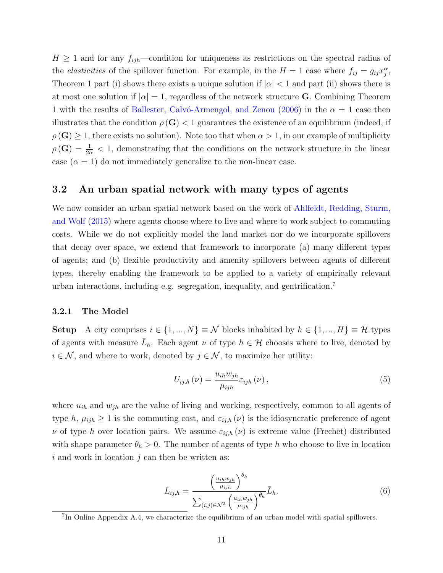$H \geq 1$  and for any  $f_{ijh}$ —condition for uniqueness as restrictions on the spectral radius of the *elasticities* of the spillover function. For example, in the  $H = 1$  case where  $f_{ij} = g_{ij} x_j^{\alpha}$ , Theorem 1 part (i) shows there exists a unique solution if  $|\alpha| < 1$  and part (ii) shows there is at most one solution if  $|\alpha|=1$ , regardless of the network structure G. Combining Theorem 1 with the results of Ballester, Calvo-Armengol, and Zenou [\(2006\)](#page-16-0) in the  $\alpha = 1$  case then illustrates that the condition  $\rho(G)$  < 1 guarantees the existence of an equilibrium (indeed, if  $\rho(G) \geq 1$ , there exists no solution). Note too that when  $\alpha > 1$ , in our example of multiplicity  $\rho(\mathbf{G}) = \frac{1}{2\alpha} < 1$ , demonstrating that the conditions on the network structure in the linear case  $(\alpha = 1)$  do not immediately generalize to the non-linear case.

#### <span id="page-12-0"></span>3.2 An urban spatial network with many types of agents

We now consider an urban spatial network based on the work of [Ahlfeldt, Redding, Sturm,](#page-16-1) [and Wolf](#page-16-1) [\(2015\)](#page-16-1) where agents choose where to live and where to work subject to commuting costs. While we do not explicitly model the land market nor do we incorporate spillovers that decay over space, we extend that framework to incorporate (a) many different types of agents; and (b) flexible productivity and amenity spillovers between agents of different types, thereby enabling the framework to be applied to a variety of empirically relevant urban interactions, including e.g. segregation, inequality, and gentrification.[7](#page-12-1)

#### 3.2.1 The Model

**Setup** A city comprises  $i \in \{1, ..., N\} \equiv \mathcal{N}$  blocks inhabited by  $h \in \{1, ..., H\} \equiv \mathcal{H}$  types of agents with measure  $\bar{L}_h$ . Each agent  $\nu$  of type  $h \in \mathcal{H}$  chooses where to live, denoted by  $i \in \mathcal{N}$ , and where to work, denoted by  $j \in \mathcal{N}$ , to maximize her utility:

$$
U_{ij,h}(\nu) = \frac{u_{ih} w_{jh}}{\mu_{ijh}} \varepsilon_{ijh}(\nu), \qquad (5)
$$

where  $u_{ih}$  and  $w_{jh}$  are the value of living and working, respectively, common to all agents of type h,  $\mu_{ijh} \geq 1$  is the commuting cost, and  $\varepsilon_{ij,h}(\nu)$  is the idiosyncratic preference of agent  $\nu$  of type h over location pairs. We assume  $\varepsilon_{ij,h}(\nu)$  is extreme value (Frechet) distributed with shape parameter  $\theta_h > 0$ . The number of agents of type h who choose to live in location  $i$  and work in location  $j$  can then be written as:

<span id="page-12-2"></span>
$$
L_{ij,h} = \frac{\left(\frac{u_{ih}w_{jh}}{\mu_{ijh}}\right)^{\theta_h}}{\sum_{(i,j)\in\mathcal{N}^2} \left(\frac{u_{ih}w_{jh}}{\mu_{ijh}}\right)^{\theta_h}} \bar{L}_h.
$$
\n
$$
(6)
$$

<span id="page-12-1"></span><sup>&</sup>lt;sup>7</sup>In Online Appendix [A.4,](#page-26-0) we characterize the equilibrium of an urban model with spatial spillovers.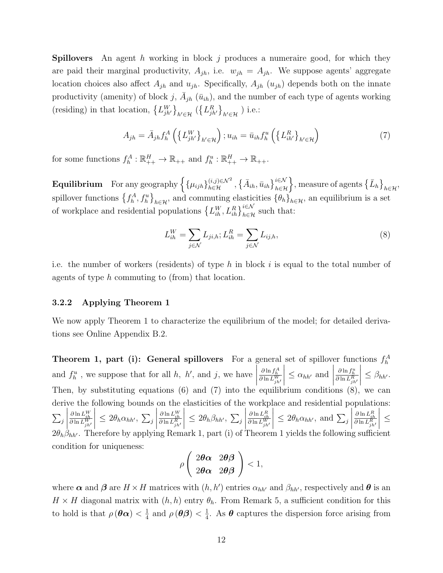**Spillovers** An agent h working in block j produces a numeraire good, for which they are paid their marginal productivity,  $A_{jh}$ , i.e.  $w_{jh} = A_{jh}$ . We suppose agents' aggregate location choices also affect  $A_{jh}$  and  $u_{jh}$ . Specifically,  $A_{jh}$  ( $u_{jh}$ ) depends both on the innate productivity (amenity) of block j,  $\bar{A}_{jh}(\bar{u}_{ih})$ , and the number of each type of agents working (residing) in that location,  $\{L_{jh'}^W\}_{h'\in\mathcal{H}}$   $(\{L_{jh'}^R\}_{h'\in\mathcal{H}})$  i.e.:

$$
A_{jh} = \bar{A}_{jh} f_h^A \left( \left\{ L_{jh'}^W \right\}_{h' \in \mathcal{H}} \right) ; u_{ih} = \bar{u}_{ih} f_h^u \left( \left\{ L_{ih'}^R \right\}_{h' \in \mathcal{H}} \right) \tag{7}
$$

for some functions  $f_h^A: \mathbb{R}_{++}^H \to \mathbb{R}_{++}$  and  $f_h^u: \mathbb{R}_{++}^H \to \mathbb{R}_{++}$ .

 ${\bf Equilibrium} \quad \text{For any geography } \Big\{ \{\mu_{ijh}\}_{h\in\mathcal{H}}^{\{i,j\in\mathcal{N}^2\}}, \big\{\bar{A}_{ih}, \bar{u}_{ih}\big\}_{h\in\mathcal{H}}^{i\in\mathcal{N}}\Big\}, \text{measure of agents } \big\{\bar{L}_h\big\}_{h\in\mathcal{H}},$ spillover functions  $\{f_h^A, f_h^u\}_{h\in\mathcal{H}}$ , and commuting elasticities  $\{\theta_h\}_{h\in\mathcal{H}}$ , an equilibrium is a set of workplace and residential populations  $\{L_{ih}^W, L_{ih}^R\}_{h \in \mathcal{H}}^{\infty}$  such that:

<span id="page-13-1"></span><span id="page-13-0"></span>
$$
L_{ih}^W = \sum_{j \in \mathcal{N}} L_{ji,h}; L_{ih}^R = \sum_{j \in \mathcal{N}} L_{ij,h},
$$
\n
$$
(8)
$$

i.e. the number of workers (residents) of type h in block i is equal to the total number of agents of type h commuting to (from) that location.

#### 3.2.2 Applying Theorem 1

We now apply Theorem 1 to characterize the equilibrium of the model; for detailed derivations see Online Appendix [B.2.](#page-42-0)

**Theorem 1, part (i): General spillovers** For a general set of spillover functions  $f_h^A$ and  $f_h^u$ , we suppose that for all  $h$ ,  $h'$ , and  $j$ , we have  $\frac{\partial \ln f_h^A}{\partial \ln L_{jh'}^W}$   $\leq \alpha_{hh'}$  and  $\begin{array}{c} \begin{array}{c} \begin{array}{c} \begin{array}{c} \end{array} \\ \end{array} \\ \begin{array}{c} \end{array} \end{array} \end{array}$  $\frac{\partial \ln f_h^u}{\partial \ln L_{jh'}^R}$  $\begin{array}{c} \begin{array}{c} \begin{array}{c} \begin{array}{c} \end{array} \\ \end{array} \\ \begin{array}{c} \end{array} \end{array} \end{array}$  $\leq \beta_{hh'}$ . Then, by substituting equations  $(6)$  and  $(7)$  into the equilibrium conditions  $(8)$ , we can derive the following bounds on the elasticities of the workplace and residential populations:  $\sum_j$  $\begin{array}{c} \hline \end{array}$  $\frac{\partial \ln L_{ih}^W}{\partial \ln L_{jh'}^W}$  $\begin{array}{c} \begin{array}{c} \begin{array}{c} \begin{array}{c} \end{array} \\ \end{array} \\ \begin{array}{c} \end{array} \end{array} \end{array}$  $\leq 2\theta_h \alpha_{hh'}, \sum_j$  $\begin{array}{c} \begin{array}{c} \begin{array}{c} \begin{array}{c} \end{array} \\ \end{array} \\ \begin{array}{c} \end{array} \end{array} \end{array}$  $\frac{\partial \ln L_{ih}^W}{\partial \ln L_{jh'}^R}$  $\begin{array}{c} \begin{array}{c} \begin{array}{c} \begin{array}{c} \end{array} \\ \end{array} \\ \begin{array}{c} \end{array} \end{array} \end{array}$  $\leq 2\theta_h\beta_{hh'},\ \sum_j$  $\begin{array}{c} \hline \end{array}$  $\frac{\partial \ln L_{ih}^R}{\partial \ln L_{jh'}^W}$  $\begin{array}{c} \hline \end{array}$  $\leq 2\theta_h \alpha_{hh'}$ , and  $\sum_j$  $\begin{array}{c} \hline \end{array}$  $\frac{\partial \ln L_{ih}^R}{\partial \ln L_{jh'}^R}$  $\begin{array}{c} \hline \end{array}$ ≤  $2\theta_h\beta_{hh'}$ . Therefore by applying Remark 1, part (i) of Theorem 1 yields the following sufficient condition for uniqueness:

$$
\rho\left(\begin{array}{cc} 2\boldsymbol{\theta}\boldsymbol{\alpha} & 2\boldsymbol{\theta}\boldsymbol{\beta} \\ 2\boldsymbol{\theta}\boldsymbol{\alpha} & 2\boldsymbol{\theta}\boldsymbol{\beta} \end{array}\right) < 1,
$$

where  $\alpha$  and  $\beta$  are  $H \times H$  matrices with  $(h, h')$  entries  $\alpha_{hh'}$  and  $\beta_{hh'}$ , respectively and  $\theta$  is an  $H \times H$  diagonal matrix with  $(h, h)$  entry  $\theta_h$ . From Remark 5, a sufficient condition for this to hold is that  $\rho(\boldsymbol{\theta}\boldsymbol{\alpha}) < \frac{1}{4}$  $\frac{1}{4}$  and  $\rho(\boldsymbol{\theta}\boldsymbol{\beta}) < \frac{1}{4}$  $\frac{1}{4}$ . As  $\theta$  captures the dispersion force arising from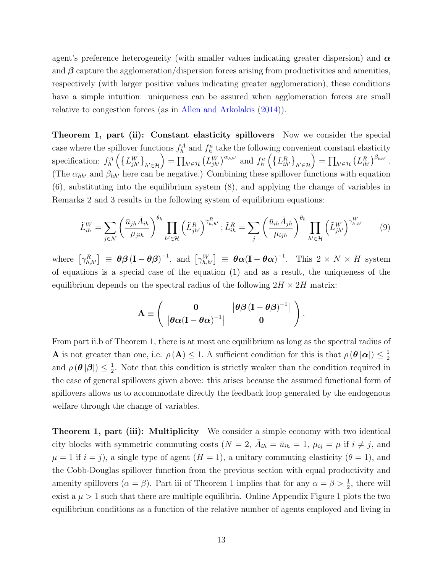agent's preference heterogeneity (with smaller values indicating greater dispersion) and  $\alpha$ and  $\beta$  capture the agglomeration/dispersion forces arising from productivities and amenities, respectively (with larger positive values indicating greater agglomeration), these conditions have a simple intuition: uniqueness can be assured when agglomeration forces are small relative to congestion forces (as in [Allen and Arkolakis](#page-16-5) [\(2014\)](#page-16-5)).

Theorem 1, part (ii): Constant elasticity spillovers Now we consider the special case where the spillover functions  $f_h^A$  and  $f_h^u$  take the following convenient constant elasticity specification:  $f_h^A \left( \{L_{j h'}^W\}_{h' \in \mathcal{H}} \right) = \prod_{h' \in \mathcal{H}} \left( L_{j h'}^W \right)^{\alpha_{h h'}}$  and  $f_h^u \left( \{L_{i h'}^R\}_{h' \in \mathcal{H}} \right) = \prod_{h' \in \mathcal{H}} \left( L_{i h'}^R \right)^{\beta_{h h'}}$ . (The  $\alpha_{hh'}$  and  $\beta_{hh'}$  here can be negative.) Combining these spillover functions with equation [\(6\)](#page-12-2), substituting into the equilibrium system [\(8\)](#page-13-1), and applying the change of variables in Remarks 2 and 3 results in the following system of equilibrium equations:

<span id="page-14-0"></span>
$$
\tilde{L}_{ih}^W = \sum_{j \in \mathcal{N}} \left( \frac{\bar{u}_{jh} \bar{A}_{ih}}{\mu_{jih}} \right)^{\theta_h} \prod_{h' \in \mathcal{H}} \left( \tilde{L}_{jh'}^R \right)^{\gamma_{h,h'}^R}; \tilde{L}_{ih}^R = \sum_j \left( \frac{\bar{u}_{ih} \bar{A}_{jh}}{\mu_{ijh}} \right)^{\theta_h} \prod_{h' \in \mathcal{H}} \left( \tilde{L}_{jh'}^W \right)^{\gamma_{h,h'}^W} \tag{9}
$$

where  $\left[\gamma_{h,h'}^R\right] \equiv \theta \beta \left(\mathbf{I} - \theta \beta\right)^{-1}$ , and  $\left[\gamma_{h,h'}^W\right] \equiv \theta \alpha \left(\mathbf{I} - \theta \alpha\right)^{-1}$ . This  $2 \times N \times H$  system of equations is a special case of the equation [\(1\)](#page-2-0) and as a result, the uniqueness of the equilibrium depends on the spectral radius of the following  $2H \times 2H$  matrix:

$$
\mathbf{A} \equiv \left( \begin{array}{cc} \mathbf{0} & |\theta \boldsymbol{\beta} \left( \mathbf{I} - \boldsymbol{\theta} \boldsymbol{\beta} \right)^{-1} | \\ |\theta \boldsymbol{\alpha} (\mathbf{I} - \boldsymbol{\theta} \boldsymbol{\alpha})^{-1}| & \mathbf{0} \end{array} \right).
$$

From part ii.b of Theorem 1, there is at most one equilibrium as long as the spectral radius of **A** is not greater than one, i.e.  $\rho(\mathbf{A}) \leq 1$ . A sufficient condition for this is that  $\rho(\boldsymbol{\theta}|\boldsymbol{\alpha}) \leq \frac{1}{2}$ 2 and  $\rho(\boldsymbol{\theta}|\boldsymbol{\beta}|) \leq \frac{1}{2}$  $\frac{1}{2}$ . Note that this condition is strictly weaker than the condition required in the case of general spillovers given above: this arises because the assumed functional form of spillovers allows us to accommodate directly the feedback loop generated by the endogenous welfare through the change of variables.

**Theorem 1, part (iii): Multiplicity** We consider a simple economy with two identical city blocks with symmetric commuting costs  $(N = 2, \bar{A}_{ih} = \bar{u}_{ih} = 1, \mu_{ij} = \mu \text{ if } i \neq j$ , and  $\mu = 1$  if  $i = j$ , a single type of agent  $(H = 1)$ , a unitary commuting elasticity  $(\theta = 1)$ , and the Cobb-Douglas spillover function from the previous section with equal productivity and amenity spillovers  $(\alpha = \beta)$ . Part iii of Theorem 1 implies that for any  $\alpha = \beta > \frac{1}{2}$ , there will exist a  $\mu > 1$  $\mu > 1$  such that there are multiple equilibria. Online Appendix Figure 1 plots the two equilibrium conditions as a function of the relative number of agents employed and living in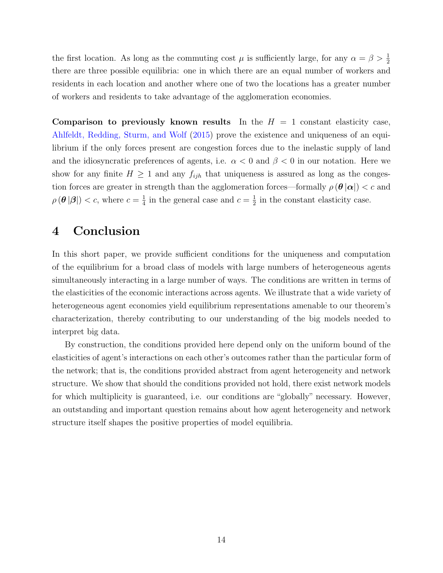the first location. As long as the commuting cost  $\mu$  is sufficiently large, for any  $\alpha = \beta > \frac{1}{2}$ there are three possible equilibria: one in which there are an equal number of workers and residents in each location and another where one of two the locations has a greater number of workers and residents to take advantage of the agglomeration economies.

Comparison to previously known results In the  $H = 1$  constant elasticity case, [Ahlfeldt, Redding, Sturm, and Wolf](#page-16-1) [\(2015\)](#page-16-1) prove the existence and uniqueness of an equilibrium if the only forces present are congestion forces due to the inelastic supply of land and the idiosyncratic preferences of agents, i.e.  $\alpha < 0$  and  $\beta < 0$  in our notation. Here we show for any finite  $H \geq 1$  and any  $f_{ijh}$  that uniqueness is assured as long as the congestion forces are greater in strength than the agglomeration forces—formally  $\rho(\theta|\alpha|) < c$  and  $\rho(\boldsymbol{\theta}|\boldsymbol{\beta}|) < c$ , where  $c = \frac{1}{4}$  $\frac{1}{4}$  in the general case and  $c = \frac{1}{2}$  $\frac{1}{2}$  in the constant elasticity case.

# 4 Conclusion

In this short paper, we provide sufficient conditions for the uniqueness and computation of the equilibrium for a broad class of models with large numbers of heterogeneous agents simultaneously interacting in a large number of ways. The conditions are written in terms of the elasticities of the economic interactions across agents. We illustrate that a wide variety of heterogeneous agent economies yield equilibrium representations amenable to our theorem's characterization, thereby contributing to our understanding of the big models needed to interpret big data.

By construction, the conditions provided here depend only on the uniform bound of the elasticities of agent's interactions on each other's outcomes rather than the particular form of the network; that is, the conditions provided abstract from agent heterogeneity and network structure. We show that should the conditions provided not hold, there exist network models for which multiplicity is guaranteed, i.e. our conditions are "globally" necessary. However, an outstanding and important question remains about how agent heterogeneity and network structure itself shapes the positive properties of model equilibria.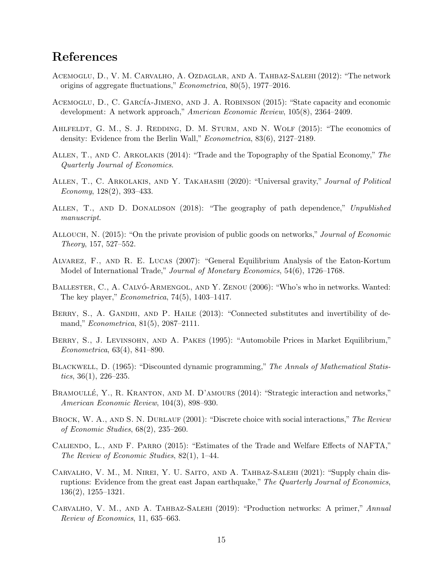# References

- <span id="page-16-8"></span>Acemoglu, D., V. M. Carvalho, A. Ozdaglar, and A. Tahbaz-Salehi (2012): "The network origins of aggregate fluctuations," Econometrica, 80(5), 1977–2016.
- <span id="page-16-4"></span>ACEMOGLU, D., C. GARCÍA-JIMENO, AND J. A. ROBINSON (2015): "State capacity and economic development: A network approach," American Economic Review, 105(8), 2364–2409.
- <span id="page-16-1"></span>AHLFELDT, G. M., S. J. REDDING, D. M. STURM, AND N. WOLF (2015): "The economics of density: Evidence from the Berlin Wall," Econometrica, 83(6), 2127–2189.
- <span id="page-16-5"></span>Allen, T., and C. Arkolakis (2014): "Trade and the Topography of the Spatial Economy," The Quarterly Journal of Economics.
- <span id="page-16-15"></span>Allen, T., C. Arkolakis, and Y. Takahashi (2020): "Universal gravity," Journal of Political Economy, 128(2), 393–433.
- <span id="page-16-13"></span>ALLEN, T., AND D. DONALDSON (2018): "The geography of path dependence," Unpublished manuscript.
- <span id="page-16-3"></span>ALLOUCH, N. (2015): "On the private provision of public goods on networks," Journal of Economic Theory, 157, 527–552.
- <span id="page-16-6"></span>Alvarez, F., and R. E. Lucas (2007): "General Equilibrium Analysis of the Eaton-Kortum Model of International Trade," Journal of Monetary Economics, 54(6), 1726–1768.
- <span id="page-16-0"></span>BALLESTER, C., A. CALVÓ-ARMENGOL, AND Y. ZENOU (2006): "Who's who in networks. Wanted: The key player," Econometrica, 74(5), 1403–1417.
- <span id="page-16-11"></span>BERRY, S., A. GANDHI, AND P. HAILE (2013): "Connected substitutes and invertibility of demand," Econometrica, 81(5), 2087–2111.
- <span id="page-16-10"></span>BERRY, S., J. LEVINSOHN, AND A. PAKES (1995): "Automobile Prices in Market Equilibrium," Econometrica, 63(4), 841–890.
- <span id="page-16-12"></span>Blackwell, D. (1965): "Discounted dynamic programming," The Annals of Mathematical Statistics, 36(1), 226–235.
- <span id="page-16-14"></span>BRAMOULLÉ, Y., R. KRANTON, AND M. D'AMOURS (2014): "Strategic interaction and networks," American Economic Review, 104(3), 898–930.
- <span id="page-16-2"></span>BROCK, W. A., AND S. N. DURLAUF (2001): "Discrete choice with social interactions," The Review of Economic Studies, 68(2), 235–260.
- <span id="page-16-7"></span>Caliendo, L., and F. Parro (2015): "Estimates of the Trade and Welfare Effects of NAFTA," The Review of Economic Studies, 82(1), 1–44.
- <span id="page-16-9"></span>Carvalho, V. M., M. Nirei, Y. U. Saito, and A. Tahbaz-Salehi (2021): "Supply chain disruptions: Evidence from the great east Japan earthquake," The Quarterly Journal of Economics, 136(2), 1255–1321.
- <span id="page-16-16"></span>Carvalho, V. M., and A. Tahbaz-Salehi (2019): "Production networks: A primer," Annual Review of Economics, 11, 635–663.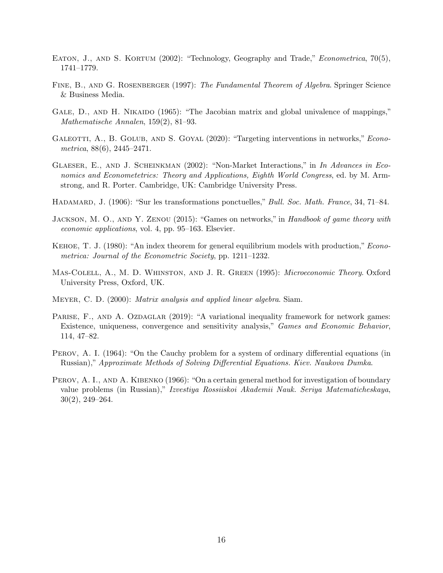- <span id="page-17-11"></span>EATON, J., AND S. KORTUM (2002): "Technology, Geography and Trade," *Econometrica*, 70(5), 1741–1779.
- <span id="page-17-12"></span>FINE, B., AND G. ROSENBERGER (1997): The Fundamental Theorem of Algebra. Springer Science & Business Media.
- <span id="page-17-5"></span>GALE, D., AND H. NIKAIDO (1965): "The Jacobian matrix and global univalence of mappings," Mathematische Annalen, 159(2), 81–93.
- <span id="page-17-10"></span>GALEOTTI, A., B. GOLUB, AND S. GOYAL (2020): "Targeting interventions in networks," *Econo*metrica,  $88(6)$ ,  $2445-2471$ .
- <span id="page-17-2"></span>GLAESER, E., AND J. SCHEINKMAN (2002): "Non-Market Interactions," in In Advances in Economics and Econometetrics: Theory and Applications, Eighth World Congress, ed. by M. Armstrong, and R. Porter. Cambridge, UK: Cambridge University Press.
- <span id="page-17-4"></span>HADAMARD, J. (1906): "Sur les transformations ponctuelles," Bull. Soc. Math. France, 34, 71–84.
- <span id="page-17-8"></span>JACKSON, M. O., AND Y. ZENOU (2015): "Games on networks," in Handbook of game theory with economic applications, vol. 4, pp. 95–163. Elsevier.
- <span id="page-17-6"></span>Kehoe, T. J. (1980): "An index theorem for general equilibrium models with production," Econometrica: Journal of the Econometric Society, pp. 1211–1232.
- <span id="page-17-3"></span>Mas-Colell, A., M. D. Whinston, and J. R. Green (1995): Microeconomic Theory. Oxford University Press, Oxford, UK.
- <span id="page-17-7"></span>Meyer, C. D. (2000): Matrix analysis and applied linear algebra. Siam.
- <span id="page-17-9"></span>PARISE, F., AND A. OZDAGLAR (2019): "A variational inequality framework for network games: Existence, uniqueness, convergence and sensitivity analysis," Games and Economic Behavior, 114, 47–82.
- <span id="page-17-0"></span>PEROV, A. I. (1964): "On the Cauchy problem for a system of ordinary differential equations (in Russian)," Approximate Methods of Solving Differential Equations. Kiev. Naukova Dumka.
- <span id="page-17-1"></span>PEROV, A. I., AND A. KIBENKO (1966): "On a certain general method for investigation of boundary value problems (in Russian)," Izvestiya Rossiiskoi Akademii Nauk. Seriya Matematicheskaya, 30(2), 249–264.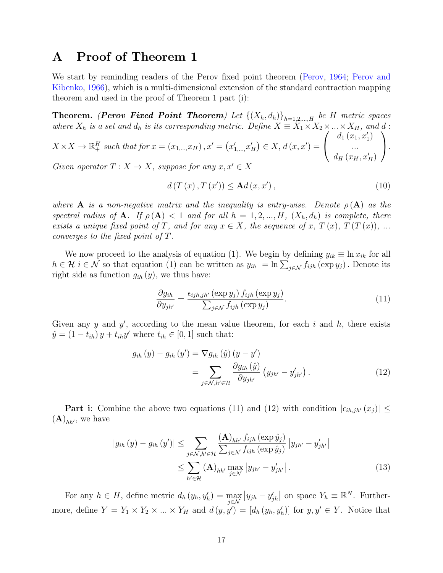# <span id="page-18-0"></span>A Proof of Theorem [1](#page-5-1)

We start by reminding readers of the Perov fixed point theorem [\(Perov,](#page-17-0) [1964;](#page-17-0) [Perov and](#page-17-1) [Kibenko,](#page-17-1) [1966\)](#page-17-1), which is a multi-dimensional extension of the standard contraction mapping theorem and used in the proof of Theorem 1 part (i):

**Theorem.** (**Perov Fixed Point Theorem**) Let  $\{(X_h, d_h)\}_{h=1,2,\dots,H}$  be H metric spaces where  $X_h$  is a set and  $d_h$  is its corresponding metric. Define  $X \equiv X_1 \times X_2 \times ... \times X_H$ , and d:

$$
X \times X \to \mathbb{R}^H_+ \text{ such that for } x = (x_{1,\dots, x_H}), x' = (x'_{1,\dots, x'_H}) \in X, d(x, x') = \begin{pmatrix} d_1(x_1, x'_1) \\ \dots \\ d_H(x_H, x'_H) \end{pmatrix}.
$$

Given operator  $T: X \to X$ , suppose for any  $x, x' \in X$ 

$$
d(T(x), T(x')) \leq \mathbf{A}d(x, x'), \qquad (10)
$$

where **A** is a non-negative matrix and the inequality is entry-wise. Denote  $\rho(\mathbf{A})$  as the spectral radius of **A**. If  $\rho(\mathbf{A}) < 1$  and for all  $h = 1, 2, ..., H$ ,  $(X_h, d_h)$  is complete, there exists a unique fixed point of T, and for any  $x \in X$ , the sequence of x,  $T(x)$ ,  $T(T(x))$ , ... converges to the fixed point of T.

We now proceed to the analysis of equation [\(1\)](#page-2-0). We begin by defining  $y_{ik} \equiv \ln x_{ik}$  for all  $h \in \mathcal{H}$  i  $\in \mathcal{N}$  so that equation [\(1\)](#page-2-0) can be written as  $y_{ih} = \ln \sum_{j \in \mathcal{N}} f_{ijh} (\exp y_j)$ . Denote its right side as function  $g_{ih}(y)$ , we thus have:

<span id="page-18-2"></span><span id="page-18-1"></span>
$$
\frac{\partial g_{ih}}{\partial y_{jh'}} = \frac{\epsilon_{ijh,jh'}(\exp y_j) f_{ijh}(\exp y_j)}{\sum_{j \in \mathcal{N}} f_{ijh}(\exp y_j)}.
$$
\n(11)

Given any y and y', according to the mean value theorem, for each i and h, there exists  $\hat{y} = (1 - t_{ih}) y + t_{ih} y'$  where  $t_{ih} \in [0, 1]$  such that:

$$
g_{ih}(y) - g_{ih}(y') = \nabla g_{ih}(\hat{y}) (y - y')
$$
  
= 
$$
\sum_{j \in \mathcal{N}, h' \in \mathcal{H}} \frac{\partial g_{ih}(\hat{y})}{\partial y_{jh'}} (y_{jh'} - y'_{jh'})
$$
. (12)

**Part i**: Combine the above two equations [\(11\)](#page-18-1) and [\(12\)](#page-18-2) with condition  $|\epsilon_{ih,jh'}(x_j)| \leq$  $(\mathbf{A})_{hh'}$ , we have

<span id="page-18-3"></span>
$$
|g_{ih}(y) - g_{ih}(y')| \leq \sum_{j \in \mathcal{N}, h' \in \mathcal{H}} \frac{(\mathbf{A})_{hh'} f_{ijh} (\exp \hat{y}_j)}{\sum_{j \in \mathcal{N}} f_{ijh} (\exp \hat{y}_j)} |y_{jh'} - y'_{jh'}|
$$
  

$$
\leq \sum_{h' \in \mathcal{H}} (\mathbf{A})_{hh'} \max_{j \in \mathcal{N}} |y_{jh'} - y'_{jh'}|.
$$
 (13)

For any  $h \in H$ , define metric  $d_h(y_h, y'_h) = \max_{j \in \mathcal{N}}$  $|y_{jh} - y'_{jh}|$  on space  $Y_h \equiv \mathbb{R}^N$ . Furthermore, define  $Y = Y_1 \times Y_2 \times ... \times Y_H$  and  $d(y, y') = [d_h(y_h, y'_h)]$  for  $y, y' \in Y$ . Notice that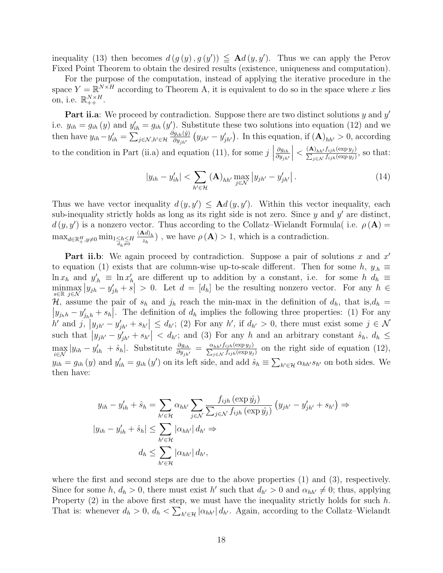inequality [\(13\)](#page-18-3) then becomes  $d(g(y), g(y)) \leq \mathbf{A}d(y, y')$ . Thus we can apply the Perov Fixed Point Theorem to obtain the desired results (existence, uniqueness and computation).

For the purpose of the computation, instead of applying the iterative procedure in the space  $Y = \mathbb{R}^{N \times H}$  according to Theorem [A,](#page-18-0) it is equivalent to do so in the space where x lies on, i.e.  $\mathbb{R}_{++}^{N \times H}$ .

Part ii.a: We proceed by contradiction. Suppose there are two distinct solutions  $y$  and  $y'$ i.e.  $y_{ih} = g_{ih}(y)$  and  $y'_{ih} = g_{ih}(y')$ . Substitute these two solutions into equation [\(12\)](#page-18-2) and we then have  $y_{ih} - y'_{ih} = \sum_{j \in \mathcal{N}, h' \in \mathcal{H}}$  $\partial g_{ih}(\hat{y})$  $\frac{\partial g_{ih}(j)}{\partial y_{jh'}}(y_{jh'} - y'_{jh'})$ . In this equation, if  $(\mathbf{A})_{hh'} > 0$ , according to the condition in Part (ii.a) and equation [\(11\)](#page-18-1), for some  $j$  $\partial g_{ih}$  $\partial y_{jh'}$  $\begin{array}{c} \begin{array}{c} \begin{array}{c} \end{array} \\ \begin{array}{c} \end{array} \end{array} \end{array}$  $\langle \frac{(\mathbf{A})_{hh'} f_{ijh}(\exp y_j)}{\sum_{j \in \mathcal{N}} f_{ijh}(\exp y_j)},$  so that:

$$
|y_{ih} - y'_{ih}| < \sum_{h' \in \mathcal{H}} (\mathbf{A})_{hh'} \max_{j \in \mathcal{N}} |y_{jh'} - y'_{jh'}| \,. \tag{14}
$$

Thus we have vector inequality  $d(y, y') \leq \mathbf{A} d(y, y')$ . Within this vector inequality, each sub-inequality strictly holds as long as its right side is not zero. Since  $y$  and  $y'$  are distinct,  $d(y, y')$  is a nonzero vector. Thus according to the Collatz–Wielandt Formula( i.e.  $\rho(\mathbf{A}) =$  $\max_{d \in \mathbb{R}^H_+, y \neq 0} \min_{\substack{1 \leq h \leq H \\ d_h \neq 0}}$  $(\mathbf{A}d)_h$  $\frac{\mathbf{x}a_{h}}{z_{h}}$ , we have  $\rho(\mathbf{A}) > 1$ , which is a contradiction.

Part ii.b: We again proceed by contradiction. Suppose a pair of solutions  $x$  and  $x'$ to equation [\(1\)](#page-2-0) exists that are column-wise up-to-scale different. Then for some h,  $y_{h} \equiv$  $\ln x_h$  and  $y'_h \equiv \ln x'_h$  are different up to addition by a constant, i.e. for some h  $d_h \equiv$ minmax<br>s∈R j∈N  $|y_{jh} - y'_{jh} + s| > 0$ . Let  $d = [d_h]$  be the resulting nonzero vector. For any  $h \in$ H, assume the pair of  $s_h$  and  $j_h$  reach the min-max in the definition of  $d_h$ , that is, $d_h$  =  $|y_{j_hh} - y'_{j_hh} + s_h|$ . The definition of  $d_h$  implies the following three properties: (1) For any  $h'$  and  $j, |y_{jh'} - y'_{jh'} + s_{h'}| \leq d_{h'};$  (2) For any  $h'$ , if  $d_{h'} > 0$ , there must exist some  $j \in \mathcal{N}$ such that  $|y_{jh'} - y'_{jh'} + s_{h'}| < d_{h'}$ ; and (3) For any h and an arbitrary constant  $\hat{s}_h, d_h \leq$  $\max_{i \in \mathcal{N}} |y_{ih} - y'_{ih}| + \hat{s}_h$ . Substitute  $\frac{\partial g_{ih}}{\partial y_{jh'}} = \frac{\alpha_{hh'} f_{ijh}(\exp y_j)}{\sum_{j \in \mathcal{N}} f_{ijh}(\exp y_j)}$  on the right side of equation [\(12\)](#page-18-2),  $y_{ih} = g_{ih}(y)$  and  $y'_{ih} = g_{ih}(y')$  on its left side, and add  $\hat{s}_h \equiv \sum_{h' \in \mathcal{H}} \alpha_{hh'} s_{h'}$  on both sides. We then have:

$$
y_{ih} - y'_{ih} + \hat{s}_h = \sum_{h' \in \mathcal{H}} \alpha_{hh'} \sum_{j \in \mathcal{N}} \frac{f_{ijh} (\exp \hat{y}_j)}{\sum_{j \in \mathcal{N}} f_{ijh} (\exp \hat{y}_j)} (y_{jh'} - y'_{jh'} + s_{h'}) \Rightarrow
$$
  

$$
|y_{ih} - y'_{ih} + \hat{s}_h| \le \sum_{h' \in \mathcal{H}} |\alpha_{hh'}| d_{h'} \Rightarrow
$$
  

$$
d_h \le \sum_{h' \in \mathcal{H}} |\alpha_{hh'}| d_{h'},
$$

where the first and second steps are due to the above properties (1) and (3), respectively. Since for some h,  $d_h > 0$ , there must exist h' such that  $d_{h'} > 0$  and  $\alpha_{hh'} \neq 0$ ; thus, applying Property  $(2)$  in the above first step, we must have the inequality strictly holds for such h. That is: whenever  $d_h > 0$ ,  $d_h < \sum_{h' \in \mathcal{H}} |\alpha_{hh'}| d_{h'}$ . Again, according to the Collatz–Wielandt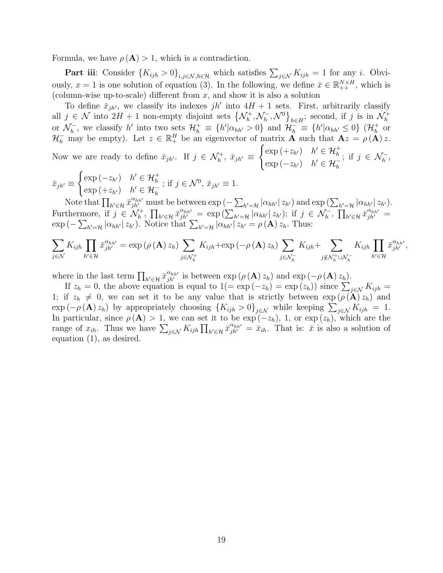Formula, we have  $\rho(A) > 1$ , which is a contradiction.

**Part iii**: Consider  $\{K_{ijh} > 0\}_{i,j \in \mathcal{N}, h \in \mathcal{H}}$  which satisfies  $\sum_{j \in \mathcal{N}} K_{ijh} = 1$  for any i. Obviously,  $x = 1$  is one solution of equation [\(3\)](#page-8-0). In the following, we define  $\bar{x} \in \mathbb{R}_{++}^{N \times H}$ , which is (column-wise up-to-scale) different from  $x$ , and show it is also a solution

To define  $\bar{x}_{jh'}$ , we classify its indexes jh' into  $4H + 1$  sets. First, arbitrarily classify all  $j \in \mathcal{N}$  into  $2H + 1$  non-empty disjoint sets  $\{\mathcal{N}_h^+\}$  $\tilde{h}^+,\mathcal{N}_h^ \left\{\mathcal{N}^{\scriptscriptstyle 0}\right\}_{h\in H}$ ; second, if j is in  $\mathcal{N}^{\scriptscriptstyle +}_h$ h or  $\mathcal{N}_h^ \mathcal{H}_h^{\dagger}$ , we classify h' into two sets  $\mathcal{H}_h^{\dagger} \equiv \{h'|\alpha_{hh'}>0\}$  and  $\mathcal{H}_h^{\dagger} \equiv \{h'|\alpha_{hh'}\leq 0\}$   $(\mathcal{H}_h^{\dagger})$  or  $\mathcal{H}_h^-$  may be empty). Let  $z \in \mathbb{R}^H_+$  be an eigenvector of matrix **A** such that  $\mathbf{A}z = \rho(\mathbf{A})z$ .

Now we are ready to define  $\bar{x}_{jh'}$ . If  $j \in \mathcal{N}_h^+$ ,  $\bar{x}_{jh'} \equiv$  $\int \exp\left(+z_{h'}\right) \quad h' \in \mathcal{H}_{h}^{+}$  $\exp(-z_{h'})$   $h' \in \mathcal{H}_h^-$ ; if  $j \in \mathcal{N}_h^-$ ,

$$
\bar{x}_{jh'} \equiv \begin{cases} \exp\left(-z_{h'}\right) & h' \in \mathcal{H}_h^+ \\ \exp\left(+z_{h'}\right) & h' \in \mathcal{H}_h^- \end{cases}; \text{ if } j \in \mathcal{N}^0, \ \bar{x}_{jh'} \equiv 1.
$$

Note that  $\prod_{h' \in \mathcal{H}} \bar{x}_{jh'}^{\alpha_{hh'}}$  must be between  $\exp(-\sum_{h'=\mathcal{H}} |\alpha_{hh'}| z_{h'})$  and  $\exp(\sum_{h'=\mathcal{H}} |\alpha_{hh'}| z_{h'})$ . Furthermore, if  $j \in \mathcal{N}_h^+$ ,  $\prod_{h' \in \mathcal{H}} \bar{x}_{jh'}^{\alpha_{hh'}} = \exp\left(\sum_{h'=\mathcal{H}} |\alpha_{hh'}| z_{h'}\right)$ ; if  $j \in \mathcal{N}_h^-$ ,  $\prod_{h' \in \mathcal{H}} \bar{x}_{jh'}^{\alpha_{hh'}} =$  $\exp(-\sum_{h'=H} |\alpha_{hh'}| z_{h'})$ . Notice that  $\sum_{h'=H} |\alpha_{hh'}| z_{h'} = \rho(\mathbf{A}) z_h$ . Thus:

$$
\sum_{j \in \mathcal{N}} K_{ijh} \prod_{h' \in \mathcal{H}} \bar{x}_{jh'}^{\alpha_{hh'}} = \exp\left(\rho\left(\mathbf{A}\right) z_h\right) \sum_{j \in \mathcal{N}_h^+} K_{ijh} + \exp\left(-\rho\left(\mathbf{A}\right) z_h\right) \sum_{j \in \mathcal{N}_h^-} K_{ijh} + \sum_{j \notin \mathcal{N}_h^+ \cup \mathcal{N}_h^-} K_{ijh} \prod_{h' \in \mathcal{H}} \bar{x}_{jh'}^{\alpha_{hh'}},
$$

where in the last term  $\prod_{h' \in \mathcal{H}} \bar{x}_{jh'}^{\alpha_{hh'}}$  is between  $\exp(\rho(\mathbf{A}) z_h)$  and  $\exp(-\rho(\mathbf{A}) z_h)$ .

If  $z_h = 0$ , the above equation is equal to  $1 (= \exp(-z_h) = \exp(z_h))$  since  $\sum_{j \in \mathcal{N}} K_{ijh} =$ 1; if  $z_h \neq 0$ , we can set it to be any value that is strictly between  $\exp(\rho(\mathbf{A}) z_h)$  and  $\exp(-\rho(\mathbf{A})z_h)$  by appropriately choosing  $\{K_{ijh} > 0\}_{j \in \mathcal{N}}$  while keeping  $\sum_{j \in \mathcal{N}} K_{ijh} = 1$ . In particular, since  $\rho(\mathbf{A}) > 1$ , we can set it to be  $\exp(-z_h)$ , 1, or  $\exp(z_h)$ , which are the range of  $x_{ih}$ . Thus we have  $\sum_{j \in \mathcal{N}} K_{ijh} \prod_{h' \in \mathcal{H}} \bar{x}_{jh'}^{a_{hh'}} = \bar{x}_{ih}$ . That is:  $\bar{x}$  is also a solution of equation [\(1\)](#page-2-0), as desired.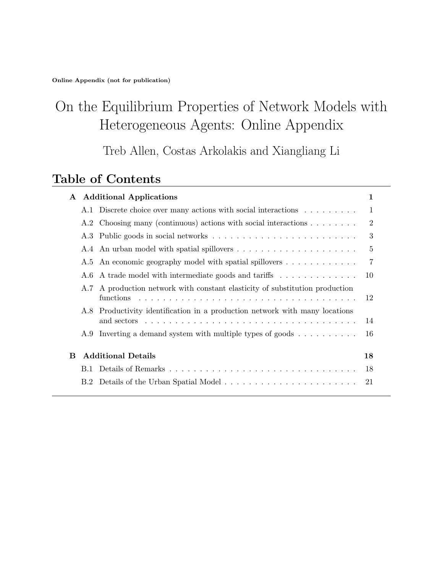# On the Equilibrium Properties of Network Models with Heterogeneous Agents: Online Appendix

Treb Allen, Costas Arkolakis and Xiangliang Li

# Table of Contents

|   |                           | A Additional Applications                                                                                                                                                                                                                                                                                                  | 1              |
|---|---------------------------|----------------------------------------------------------------------------------------------------------------------------------------------------------------------------------------------------------------------------------------------------------------------------------------------------------------------------|----------------|
|   |                           | A.1 Discrete choice over many actions with social interactions                                                                                                                                                                                                                                                             | 1              |
|   |                           | A.2 Choosing many (continuous) actions with social interactions $\dots \dots$ .                                                                                                                                                                                                                                            | $\overline{2}$ |
|   |                           |                                                                                                                                                                                                                                                                                                                            | 3              |
|   |                           |                                                                                                                                                                                                                                                                                                                            | $\overline{5}$ |
|   |                           | A.5 An economic geography model with spatial spillovers                                                                                                                                                                                                                                                                    | 7              |
|   | A.6                       | A trade model with intermediate goods and tariffs                                                                                                                                                                                                                                                                          | 10             |
|   |                           | A.7 A production network with constant elasticity of substitution production<br>functions<br>and a construction of the construction of the construction of the construction of the construction of the construction of the construction of the construction of the construction of the construction of the construction of | 12             |
|   | A.8                       | Productivity identification in a production network with many locations<br>and sectors $\ldots \ldots \ldots \ldots \ldots \ldots \ldots \ldots \ldots \ldots \ldots \ldots$                                                                                                                                               | 14             |
|   |                           | A.9 Inverting a demand system with multiple types of goods $\dots \dots \dots$                                                                                                                                                                                                                                             | 16             |
| В | <b>Additional Details</b> |                                                                                                                                                                                                                                                                                                                            | 18             |
|   |                           |                                                                                                                                                                                                                                                                                                                            | 18             |
|   |                           | B.2 Details of the Urban Spatial Model                                                                                                                                                                                                                                                                                     | 21             |
|   |                           |                                                                                                                                                                                                                                                                                                                            |                |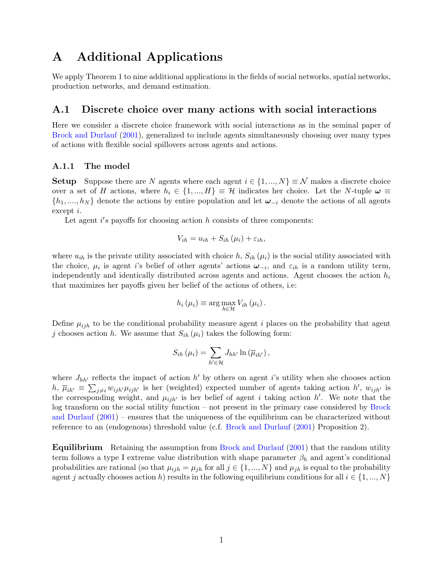# A Additional Applications

We apply Theorem 1 to nine additional applications in the fields of social networks, spatial networks, production networks, and demand estimation.

#### <span id="page-22-0"></span>A.1 Discrete choice over many actions with social interactions

Here we consider a discrete choice framework with social interactions as in the seminal paper of [Brock and Durlauf](#page-16-2) [\(2001\)](#page-16-2), generalized to include agents simultaneously choosing over many types of actions with flexible social spillovers across agents and actions.

#### A.1.1 The model

**Setup** Suppose there are N agents where each agent  $i \in \{1, ..., N\} \equiv \mathcal{N}$  makes a discrete choice over a set of H actions, where  $h_i \in \{1, ..., H\} \equiv \mathcal{H}$  indicates her choice. Let the N-tuple  $\omega \equiv$  $\{h_1, \ldots, h_N\}$  denote the actions by entire population and let  $\omega_{-i}$  denote the actions of all agents except i.

Let agent  $i's$  payoffs for choosing action h consists of three components:

$$
V_{ih} = u_{ih} + S_{ih}(\mu_i) + \varepsilon_{ih},
$$

where  $u_{ih}$  is the private utility associated with choice h,  $S_{ih}(\mu_i)$  is the social utility associated with the choice,  $\mu_i$  is agent i's belief of other agents' actions  $\omega_{-i}$ , and  $\varepsilon_{ih}$  is a random utility term, independently and identically distributed across agents and actions. Agent chooses the action  $h_i$ that maximizes her payoffs given her belief of the actions of others, i.e:

$$
h_i(\mu_i) \equiv \arg \max_{h \in \mathcal{H}} V_{ih}(\mu_i).
$$

Define  $\mu_{ijh}$  to be the conditional probability measure agent i places on the probability that agent j chooses action h. We assume that  $S_{ih}(\mu_i)$  takes the following form:

$$
S_{ih}(\mu_i) = \sum_{h' \in \mathcal{H}} J_{hh'} \ln \left( \overline{\mu}_{ih'} \right),
$$

where  $J_{hh'}$  reflects the impact of action  $h'$  by others on agent i's utility when she chooses action  $h, \bar{\mu}_{ih'} \equiv \sum_{j\neq i} w_{ijh'} \mu_{ijh'}$  is her (weighted) expected number of agents taking action  $h'$ ,  $w_{ijh'}$  is the corresponding weight, and  $\mu_{ijh'}$  is her belief of agent i taking action h'. We note that the log transform on the social utility function – not present in the primary case considered by [Brock](#page-16-2) [and Durlauf](#page-16-2) [\(2001\)](#page-16-2) – ensures that the uniqueness of the equilibrium can be characterized without reference to an (endogenous) threshold value (c.f. [Brock and Durlauf](#page-16-2) [\(2001\)](#page-16-2) Proposition 2).

Equilibrium Retaining the assumption from [Brock and Durlauf](#page-16-2) [\(2001\)](#page-16-2) that the random utility term follows a type I extreme value distribution with shape parameter  $\beta_h$  and agent's conditional probabilities are rational (so that  $\mu_{ijh} = \mu_{jh}$  for all  $j \in \{1, ..., N\}$  and  $\mu_{jh}$  is equal to the probability agent j actually chooses action h) results in the following equilibrium conditions for all  $i \in \{1, ..., N\}$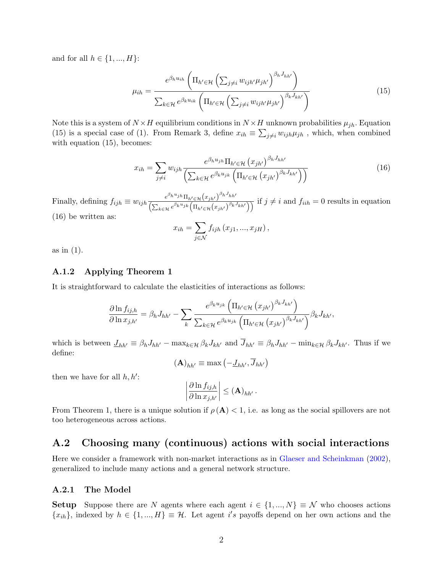and for all  $h \in \{1, ..., H\}$ :

<span id="page-23-1"></span>
$$
\mu_{ih} = \frac{e^{\beta_h u_{ih}} \left( \Pi_{h' \in \mathcal{H}} \left( \sum_{j \neq i} w_{ijh'} \mu_{jh'} \right)^{\beta_h J_{hh'}} \right)}{\sum_{k \in \mathcal{H}} e^{\beta_k u_{ik}} \left( \Pi_{h' \in \mathcal{H}} \left( \sum_{j \neq i} w_{ijh'} \mu_{jh'} \right)^{\beta_k J_{kh'}} \right)}
$$
(15)

Note this is a system of  $N \times H$  equilibrium conditions in  $N \times H$  unknown probabilities  $\mu_{jh}$ . Equation [\(15\)](#page-23-1) is a special case of [\(1\)](#page-2-0). From Remark 3, define  $x_{ih} \equiv \sum_{j\neq i} w_{ijh} \mu_{jh}$ , which, when combined with equation  $(15)$ , becomes:

<span id="page-23-2"></span>
$$
x_{ih} = \sum_{j \neq i} w_{ijh} \frac{e^{\beta_h u_{jh}} \prod_{h' \in \mathcal{H}} (x_{jh'})^{\beta_h J_{hh'}}}{\left(\sum_{k \in \mathcal{H}} e^{\beta_k u_{jk}} \left(\prod_{h' \in \mathcal{H}} (x_{jh'})^{\beta_k J_{kh'}}\right)\right)}
$$
(16)

Finally, defining  $f_{ijh} \equiv w_{ijh} \frac{e^{\beta_h u_{jh}} \Pi_{h' \in \mathcal{H}}(x_{jk'})^{\beta_h J_{hh'}}}{\sqrt{2 \pi \sigma^2 \mu^2 \left( \frac{e^{\beta_h u_{j,h}}}{\sqrt{n}} \right)^{\beta_h \left( \frac{e^{\beta_h u_{j,h}}}{\sqrt{n}} \right)}}$  $\frac{\Gamma(\sum_{k\in\mathcal{H}}e^{\beta_ku_{jk}}(\Pi_{h'\in\mathcal{H}}(x_{jh'})}{\Gamma(\sum_{k\in\mathcal{H}}e^{\beta_ku_{jk}}(\Pi_{h'\in\mathcal{H}}(x_{jh'})^{\beta_kJ_{kh'}}))}$  if  $j\neq i$  and  $f_{iih}=0$  results in equation [\(16\)](#page-23-2) be written as:

$$
x_{ih} = \sum_{j \in \mathcal{N}} f_{ijh} (x_{j1}, ..., x_{jH}),
$$

as in [\(1\)](#page-2-0).

#### A.1.2 Applying Theorem 1

It is straightforward to calculate the elasticities of interactions as follows:

$$
\frac{\partial \ln f_{ij,h}}{\partial \ln x_{j,h'}} = \beta_h J_{hh'} - \sum_{k} \frac{e^{\beta_k u_{jk}} \left( \prod_{h' \in \mathcal{H}} \left( x_{jh'} \right)^{\beta_k J_{kh'}} \right)}{\sum_{k \in \mathcal{H}} e^{\beta_k u_{jk}} \left( \prod_{h' \in \mathcal{H}} \left( x_{jh'} \right)^{\beta_k J_{kh'}} \right)} \beta_k J_{kh'},
$$

which is between  $\underline{J}_{hh'} \equiv \beta_h J_{hh'} - \max_{k \in \mathcal{H}} \beta_k J_{kh'}$  and  $\overline{J}_{hh'} \equiv \beta_h J_{hh'} - \min_{k \in \mathcal{H}} \beta_k J_{kh'}$ . Thus if we define:

$$
\left(\mathbf{A}\right)_{hh'} \equiv \max\left(-\underline{J}_{hh'}, \overline{J}_{hh'}\right)
$$

then we have for all  $h, h'$ :

$$
\left|\frac{\partial \ln f_{ij,h}}{\partial \ln x_{j,h'}}\right| \leq (\mathbf{A})_{hh'}.
$$

From Theorem 1, there is a unique solution if  $\rho(A) < 1$ , i.e. as long as the social spillovers are not too heterogeneous across actions.

### <span id="page-23-0"></span>A.2 Choosing many (continuous) actions with social interactions

Here we consider a framework with non-market interactions as in [Glaeser and Scheinkman](#page-17-2) [\(2002\)](#page-17-2), generalized to include many actions and a general network structure.

#### A.2.1 The Model

**Setup** Suppose there are N agents where each agent  $i \in \{1, ..., N\} \equiv \mathcal{N}$  who chooses actions  $\{x_{ih}\}\$ , indexed by  $h \in \{1, ..., H\} \equiv \mathcal{H}$ . Let agent i's payoffs depend on her own actions and the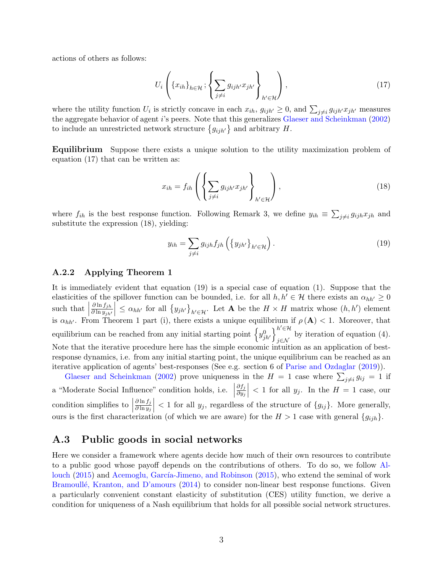actions of others as follows:

<span id="page-24-1"></span>
$$
U_i\left(\{x_{ih}\}_{h\in\mathcal{H}}; \left\{\sum_{j\neq i} g_{ijh'}x_{jh'}\right\}_{h'\in\mathcal{H}}\right),\tag{17}
$$

where the utility function  $U_i$  is strictly concave in each  $x_{ih}$ ,  $g_{ijh'} \geq 0$ , and  $\sum_{j\neq i} g_{ijh'} x_{jh'}$  measures the aggregate behavior of agent i's peers. Note that this generalizes [Glaeser and Scheinkman](#page-17-2) [\(2002\)](#page-17-2) to include an unrestricted network structure  $\{g_{ijh'}\}$  and arbitrary H.

Equilibrium Suppose there exists a unique solution to the utility maximization problem of equation [\(17\)](#page-24-1) that can be written as:

<span id="page-24-2"></span>
$$
x_{ih} = f_{ih} \left( \left\{ \sum_{j \neq i} g_{ijh'} x_{jh'} \right\}_{h' \in \mathcal{H}} \right), \tag{18}
$$

where  $f_{ih}$  is the best response function. Following Remark 3, we define  $y_{ih} \equiv \sum_{j \neq i} g_{ijh} x_{jh}$  and substitute the expression [\(18\)](#page-24-2), yielding:

<span id="page-24-3"></span>
$$
y_{ih} = \sum_{j \neq i} g_{ijh} f_{jh} \left( \left\{ y_{jh'} \right\}_{h' \in \mathcal{H}} \right). \tag{19}
$$

#### A.2.2 Applying Theorem 1

It is immediately evident that equation [\(19\)](#page-24-3) is a special case of equation [\(1\)](#page-2-0). Suppose that the elasticities of the spillover function can be bounded, i.e. for all  $h, h' \in \mathcal{H}$  there exists an  $\alpha_{hh'} \geq 0$ such that  $\vert$  $\partial \ln f_{jh}$  $\partial \ln y_{jh'}$  $\vert \leq \alpha_{hh'}$  for all  $\{y_{jh'}\}_{h' \in \mathcal{H}}$ . Let **A** be the  $H \times H$  matrix whose  $(h, h')$  element is  $\alpha_{hh'}$ . From Theorem 1 part (i), there exists a unique equilibrium if  $\rho(\mathbf{A}) < 1$ . Moreover, that equilibrium can be reached from any initial starting point  $\left\{y_{jh'}^0\right\}_{i\in\mathcal{M}}^{h'\in\mathcal{H}}$ by iteration of equation [\(4\)](#page-10-1). Note that the iterative procedure here has the simple economic intuition as an application of bestresponse dynamics, i.e. from any initial starting point, the unique equilibrium can be reached as an iterative application of agents' best-responses (See e.g. section 6 of [Parise and Ozdaglar](#page-17-9) [\(2019\)](#page-17-9)).

[Glaeser and Scheinkman](#page-17-2) [\(2002\)](#page-17-2) prove uniqueness in the  $H = 1$  case where  $\sum_{j \neq i} g_{ij} = 1$  if a "Moderate Social Influence" condition holds, i.e.  $\Big|$  $\partial f_j$  $\overline{\partial y_j}$  $\vert$  < 1 for all  $y_j$ . In the  $H = 1$  case, our condition simplifies to  $\vert$  $\partial \ln f_j$  $\overline{\partial \ln y_j}$  $\vert$  < 1 for all  $y_j$ , regardless of the structure of  $\{g_{ij}\}\$ . More generally, ours is the first characterization (of which we are aware) for the  $H > 1$  case with general  $\{g_{ijh}\}.$ 

#### <span id="page-24-0"></span>A.3 Public goods in social networks

Here we consider a framework where agents decide how much of their own resources to contribute to a public good whose payoff depends on the contributions of others. To do so, we follow [Al](#page-16-3)[louch](#page-16-3)  $(2015)$  and Acemoglu, García-Jimeno, and Robinson  $(2015)$ , who extend the seminal of work Bramoullé, Kranton, and D'amours [\(2014\)](#page-16-14) to consider non-linear best response functions. Given a particularly convenient constant elasticity of substitution (CES) utility function, we derive a condition for uniqueness of a Nash equilibrium that holds for all possible social network structures.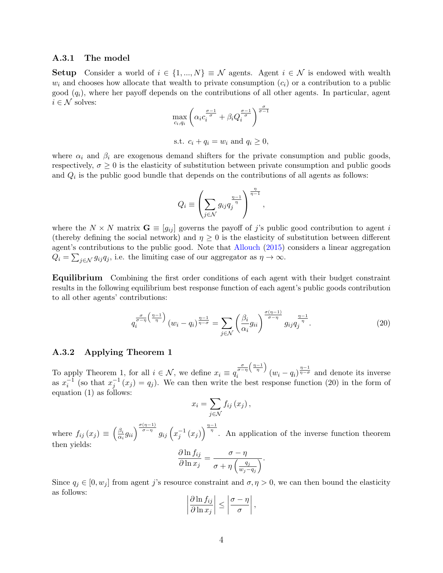#### A.3.1 The model

**Setup** Consider a world of  $i \in \{1, ..., N\} \equiv \mathcal{N}$  agents. Agent  $i \in \mathcal{N}$  is endowed with wealth  $w_i$  and chooses how allocate that wealth to private consumption  $(c_i)$  or a contribution to a public good  $(q_i)$ , where her payoff depends on the contributions of all other agents. In particular, agent  $i \in \mathcal{N}$  solves:

$$
\max_{c_i, q_i} \left( \alpha_i c_i^{\frac{\sigma-1}{\sigma}} + \beta_i Q_i^{\frac{\sigma-1}{\sigma}} \right)^{\frac{\sigma}{\sigma-1}}
$$

s.t.  $c_i + q_i = w_i$  and  $q_i > 0$ ,

where  $\alpha_i$  and  $\beta_i$  are exogenous demand shifters for the private consumption and public goods, respectively,  $\sigma \geq 0$  is the elasticity of substitution between private consumption and public goods and  $Q_i$  is the public good bundle that depends on the contributions of all agents as follows:

$$
Q_i \equiv \left(\sum_{j \in \mathcal{N}} g_{ij} q_j^{\frac{\eta-1}{\eta}}\right)^{\frac{\eta}{\eta-1}},
$$

where the  $N \times N$  matrix  $\mathbf{G} = [g_{ij}]$  governs the payoff of j's public good contribution to agent i (thereby defining the social network) and  $\eta \geq 0$  is the elasticity of substitution between different agent's contributions to the public good. Note that [Allouch](#page-16-3) [\(2015\)](#page-16-3) considers a linear aggregation  $Q_i = \sum_{j \in \mathcal{N}} g_{ij} q_j$ , i.e. the limiting case of our aggregator as  $\eta \to \infty$ .

Equilibrium Combining the first order conditions of each agent with their budget constraint results in the following equilibrium best response function of each agent's public goods contribution to all other agents' contributions:

<span id="page-25-0"></span>
$$
q_i^{\frac{\sigma}{\sigma-\eta}\left(\frac{\eta-1}{\eta}\right)}(w_i-q_i)^{\frac{\eta-1}{\eta-\sigma}} = \sum_{j \in \mathcal{N}} \left(\frac{\beta_i}{\alpha_i} g_{ii}\right)^{\frac{\sigma(\eta-1)}{\sigma-\eta}} g_{ij} q_j^{\frac{\eta-1}{\eta}}.
$$
 (20)

#### A.3.2 Applying Theorem 1

To apply Theorem 1, for all  $i \in \mathcal{N}$ , we define  $x_i \equiv q$  $\frac{\sigma}{\sigma - \eta} \left( \frac{\eta - 1}{\eta} \right)$  $\int_{i}^{\frac{\sigma}{\sigma-\eta}\left(\frac{\eta-1}{\eta}\right)} (w_i-q_i)^{\frac{\eta-1}{\eta-\sigma}}$  and denote its inverse as  $x_i^{-1}$  (so that  $x_j^{-1}(x_j) = q_j$ ). We can then write the best response function [\(20\)](#page-25-0) in the form of equation [\(1\)](#page-2-0) as follows:

$$
x_i = \sum_{j \in \mathcal{N}} f_{ij} (x_j),
$$

where  $f_{ij}(x_j) \equiv \left(\frac{\beta_i}{\alpha_i}\right)$  $\frac{\beta_i}{\alpha_i} g_{ii} \frac{\sigma^{(n-1)}}{\sigma - \eta} g_{ij} \left( x_j^{-1} (x_j) \right)^{\frac{\eta - 1}{\eta}}$ . An application of the inverse function theorem then yields:

$$
\frac{\partial \ln f_{ij}}{\partial \ln x_j} = \frac{\sigma - \eta}{\sigma + \eta \left(\frac{q_j}{w_j - q_j}\right)}.
$$

Since  $q_i \in [0, w_i]$  from agent j's resource constraint and  $\sigma, \eta > 0$ , we can then bound the elasticity as follows:

$$
\left|\frac{\partial \ln f_{ij}}{\partial \ln x_j}\right| \le \left|\frac{\sigma - \eta}{\sigma}\right|,
$$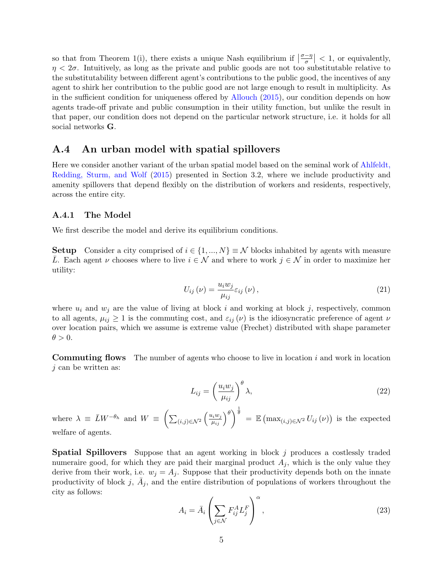so that from Theorem 1(i), there exists a unique Nash equilibrium if  $\left|\frac{\sigma - \eta}{\sigma}\right| < 1$ , or equivalently,  $\eta < 2\sigma$ . Intuitively, as long as the private and public goods are not too substitutable relative to the substitutability between different agent's contributions to the public good, the incentives of any agent to shirk her contribution to the public good are not large enough to result in multiplicity. As in the sufficient condition for uniqueness offered by [Allouch](#page-16-3) [\(2015\)](#page-16-3), our condition depends on how agents trade-off private and public consumption in their utility function, but unlike the result in that paper, our condition does not depend on the particular network structure, i.e. it holds for all social networks G.

#### <span id="page-26-0"></span>A.4 An urban model with spatial spillovers

Here we consider another variant of the urban spatial model based on the seminal work of [Ahlfeldt,](#page-16-1) [Redding, Sturm, and Wolf](#page-16-1) [\(2015\)](#page-16-1) presented in Section [3.2,](#page-12-0) where we include productivity and amenity spillovers that depend flexibly on the distribution of workers and residents, respectively, across the entire city.

#### A.4.1 The Model

We first describe the model and derive its equilibrium conditions.

**Setup** Consider a city comprised of  $i \in \{1, ..., N\} \equiv \mathcal{N}$  blocks inhabited by agents with measure L. Each agent v chooses where to live  $i \in \mathcal{N}$  and where to work  $j \in \mathcal{N}$  in order to maximize her utility:

$$
U_{ij}(\nu) = \frac{u_i w_j}{\mu_{ij}} \varepsilon_{ij}(\nu), \qquad (21)
$$

where  $u_i$  and  $w_j$  are the value of living at block i and working at block j, respectively, common to all agents,  $\mu_{ij} \geq 1$  is the commuting cost, and  $\varepsilon_{ij}(\nu)$  is the idiosyncratic preference of agent  $\nu$ over location pairs, which we assume is extreme value (Frechet) distributed with shape parameter  $\theta > 0.$ 

**Commuting flows** The number of agents who choose to live in location  $i$  and work in location  $j$  can be written as:

<span id="page-26-1"></span>
$$
L_{ij} = \left(\frac{u_i w_j}{\mu_{ij}}\right)^{\theta} \lambda,\tag{22}
$$

where  $\lambda \equiv \bar{L}W^{-\theta_h}$  and  $W = \left(\sum_{(i,j)\in\mathcal{N}^2} \left(\frac{u_iw_j}{\mu_{ij}}\right)^{\theta}\right)^{\frac{1}{\theta}} = \mathbb{E}\left(\max_{(i,j)\in\mathcal{N}^2} U_{ij}(\nu)\right)$  is the expected welfare of agents.

Spatial Spillovers Suppose that an agent working in block j produces a costlessly traded numeraire good, for which they are paid their marginal product  $A_j$ , which is the only value they derive from their work, i.e.  $w_j = A_j$ . Suppose that their productivity depends both on the innate productivity of block j,  $\bar{A}_j$ , and the entire distribution of populations of workers throughout the city as follows:

<span id="page-26-2"></span>
$$
A_i = \bar{A}_i \left( \sum_{j \in \mathcal{N}} F_{ij}^A L_j^F \right)^{\alpha},\tag{23}
$$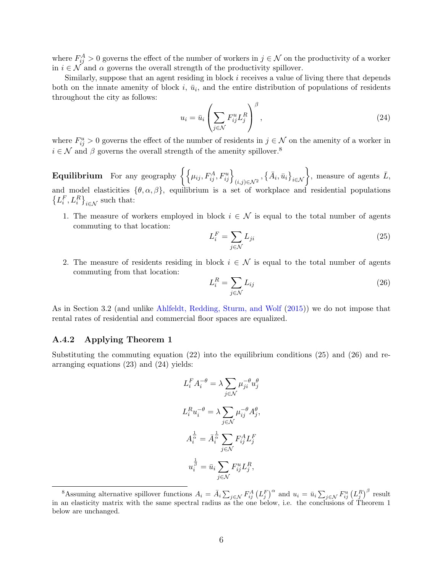where  $F_{ij}^A > 0$  governs the effect of the number of workers in  $j \in \mathcal{N}$  on the productivity of a worker in  $i \in \mathcal{N}$  and  $\alpha$  governs the overall strength of the productivity spillover.

Similarly, suppose that an agent residing in block  $i$  receives a value of living there that depends both on the innate amenity of block  $i$ ,  $\bar{u}_i$ , and the entire distribution of populations of residents throughout the city as follows:

<span id="page-27-3"></span>
$$
u_i = \bar{u}_i \left( \sum_{j \in \mathcal{N}} F_{ij}^u L_j^R \right)^{\beta}, \tag{24}
$$

where  $F_{ij}^u > 0$  governs the effect of the number of residents in  $j \in \mathcal{N}$  on the amenity of a worker in  $i \in \mathcal{N}$  and  $\beta$  governs the overall strength of the amenity spillover.<sup>[8](#page-27-0)</sup>

 ${\bf Equilibrium} \quad {\rm For \ any \ geography} \ \biggl\{ \Bigl\{ \mu_{ij}, F^A_{ij}, F^u_{ij} \Bigr\}_{(i,j)\in \mathcal{N}^2}, \bigl\{ \bar{A}_i, \bar{u}_i \bigr\}_{i\in \mathcal{N}} \biggr\}, \ {\rm measure \ of \ agents} \ \bar{L},$ and model elasticities  $\{\theta, \alpha, \beta\}$ , equilibrium is a set of workplace and residential populations  $\left\{L_i^F, L_i^R\right\}_{i \in \mathcal{N}}$  such that:

1. The measure of workers employed in block  $i \in \mathcal{N}$  is equal to the total number of agents commuting to that location:

<span id="page-27-1"></span>
$$
L_i^F = \sum_{j \in \mathcal{N}} L_{ji} \tag{25}
$$

2. The measure of residents residing in block  $i \in \mathcal{N}$  is equal to the total number of agents commuting from that location:

<span id="page-27-2"></span>
$$
L_i^R = \sum_{j \in \mathcal{N}} L_{ij} \tag{26}
$$

As in Section [3.2](#page-12-0) (and unlike [Ahlfeldt, Redding, Sturm, and Wolf](#page-16-1) [\(2015\)](#page-16-1)) we do not impose that rental rates of residential and commercial floor spaces are equalized.

#### A.4.2 Applying Theorem 1

Substituting the commuting equation  $(22)$  into the equilibrium conditions  $(25)$  and  $(26)$  and rearranging equations [\(23\)](#page-26-2) and [\(24\)](#page-27-3) yields:

$$
L_i^F A_i^{-\theta} = \lambda \sum_{j \in \mathcal{N}} \mu_{ji}^{-\theta} u_j^{\theta}
$$

$$
L_i^R u_i^{-\theta} = \lambda \sum_{j \in \mathcal{N}} \mu_{ij}^{-\theta} A_j^{\theta},
$$

$$
A_i^{\frac{1}{\alpha}} = \overline{A}_i^{\frac{1}{\alpha}} \sum_{j \in \mathcal{N}} F_{ij}^A L_j^F
$$

$$
u_i^{\frac{1}{\beta}} = \overline{u}_i \sum_{j \in \mathcal{N}} F_{ij}^u L_j^R,
$$

<span id="page-27-0"></span><sup>&</sup>lt;sup>8</sup>Assuming alternative spillover functions  $A_i = \bar{A}_i \sum_{j \in \mathcal{N}} F_{ij}^A (L_j^F)^{\alpha}$  and  $u_i = \bar{u}_i \sum_{j \in \mathcal{N}} F_{ij}^u (L_j^R)^{\beta}$  result in an elasticity matrix with the same spectral radius as the one below, i.e. the conclusions of Theorem 1 below are unchanged.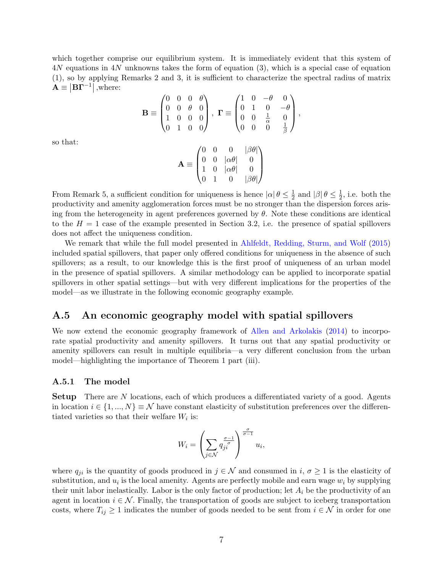which together comprise our equilibrium system. It is immediately evident that this system of 4N equations in 4N unknowns takes the form of equation [\(3\)](#page-8-0), which is a special case of equation [\(1\)](#page-2-0), so by applying Remarks 2 and 3, it is sufficient to characterize the spectral radius of matrix  $\mathbf{A} \equiv |\mathbf{B}\mathbf{\Gamma}^{-1}|$  ,where:

$$
\mathbf{B} \equiv \begin{pmatrix} 0 & 0 & 0 & \theta \\ 0 & 0 & \theta & 0 \\ 1 & 0 & 0 & 0 \\ 0 & 1 & 0 & 0 \end{pmatrix}, \ \mathbf{\Gamma} \equiv \begin{pmatrix} 1 & 0 & -\theta & 0 \\ 0 & 1 & 0 & -\theta \\ 0 & 0 & \frac{1}{\alpha} & 0 \\ 0 & 0 & 0 & \frac{1}{\beta} \end{pmatrix},
$$

so that:

$$
\mathbf{A} \equiv \begin{pmatrix} 0 & 0 & 0 & |\beta\theta| \\ 0 & 0 & |\alpha\theta| & 0 \\ 1 & 0 & |\alpha\theta| & 0 \\ 0 & 1 & 0 & |\beta\theta| \end{pmatrix}
$$

From Remark 5, a sufficient condition for uniqueness is hence  $|\alpha| \theta \leq \frac{1}{2}$  $\frac{1}{2}$  and  $|\beta| \theta \leq \frac{1}{2}$  $\frac{1}{2}$ , i.e. both the productivity and amenity agglomeration forces must be no stronger than the dispersion forces arising from the heterogeneity in agent preferences governed by  $\theta$ . Note these conditions are identical to the  $H = 1$  case of the example presented in Section [3.2,](#page-12-0) i.e. the presence of spatial spillovers does not affect the uniqueness condition.

We remark that while the full model presented in [Ahlfeldt, Redding, Sturm, and Wolf](#page-16-1) [\(2015\)](#page-16-1) included spatial spillovers, that paper only offered conditions for uniqueness in the absence of such spillovers; as a result, to our knowledge this is the first proof of uniqueness of an urban model in the presence of spatial spillovers. A similar methodology can be applied to incorporate spatial spillovers in other spatial settings—but with very different implications for the properties of the model—as we illustrate in the following economic geography example.

#### <span id="page-28-0"></span>A.5 An economic geography model with spatial spillovers

We now extend the economic geography framework of [Allen and Arkolakis](#page-16-5) [\(2014\)](#page-16-5) to incorporate spatial productivity and amenity spillovers. It turns out that any spatial productivity or amenity spillovers can result in multiple equilibria—a very different conclusion from the urban model—highlighting the importance of Theorem 1 part (iii).

#### A.5.1 The model

**Setup** There are N locations, each of which produces a differentiated variety of a good. Agents in location  $i \in \{1, ..., N\} \equiv \mathcal{N}$  have constant elasticity of substitution preferences over the differentiated varieties so that their welfare  $W_i$  is:

$$
W_i = \left(\sum_{j \in \mathcal{N}} q_{ji}^{\frac{\sigma-1}{\sigma}}\right)^{\frac{\sigma}{\sigma-1}} u_i,
$$

where  $q_{ji}$  is the quantity of goods produced in  $j \in \mathcal{N}$  and consumed in  $i, \sigma \geq 1$  is the elasticity of substitution, and  $u_i$  is the local amenity. Agents are perfectly mobile and earn wage  $w_i$  by supplying their unit labor inelastically. Labor is the only factor of production; let  $A_i$  be the productivity of an agent in location  $i \in \mathcal{N}$ . Finally, the transportation of goods are subject to iceberg transportation costs, where  $T_{ij} \geq 1$  indicates the number of goods needed to be sent from  $i \in \mathcal{N}$  in order for one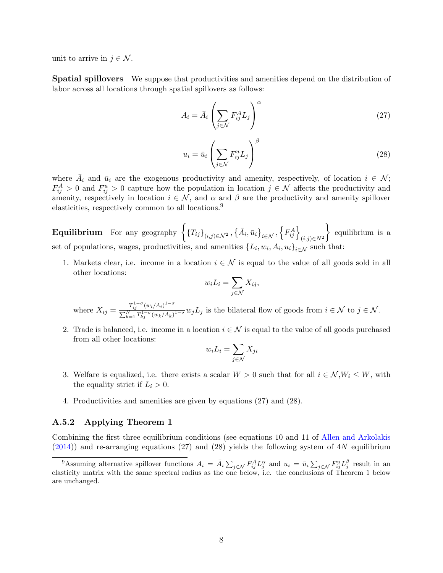unit to arrive in  $j \in \mathcal{N}$ .

Spatial spillovers We suppose that productivities and amenities depend on the distribution of labor across all locations through spatial spillovers as follows:

<span id="page-29-1"></span>
$$
A_i = \bar{A}_i \left( \sum_{j \in \mathcal{N}} F_{ij}^A L_j \right)^{\alpha} \tag{27}
$$

<span id="page-29-2"></span>
$$
u_i = \bar{u}_i \left( \sum_{j \in \mathcal{N}} F_{ij}^u L_j \right)^{\beta} \tag{28}
$$

where  $\bar{A}_i$  and  $\bar{u}_i$  are the exogenous productivity and amenity, respectively, of location  $i \in \mathcal{N}$ ;  $F_{ij}^A > 0$  and  $F_{ij}^u > 0$  capture how the population in location  $j \in \mathcal{N}$  affects the productivity and amenity, respectively in location  $i \in \mathcal{N}$ , and  $\alpha$  and  $\beta$  are the productivity and amenity spillover elasticities, respectively common to all locations.<sup>[9](#page-29-0)</sup>

 ${\bf Equilibrium} \quad {\rm For \,\,any} \,\, {\rm geography} \,\, \left\{ \left\{ T_{ij} \right\}_{(i,j) \in \mathcal{N}^2}, \left\{ \bar{A}_i, \bar{u}_i \right\}_{i \in \mathcal{N}}, \left\{ F_{ij}^A \right\}_{(i,j) \in N^2} \right\}$  equilibrium is a set of populations, wages, productivities, and amenities  $\{L_i, w_i, A_i, u_i\}_{i \in \mathcal{N}}$  such that:

1. Markets clear, i.e. income in a location  $i \in \mathcal{N}$  is equal to the value of all goods sold in all other locations:

$$
w_i L_i = \sum_{j \in \mathcal{N}} X_{ij},
$$

where  $X_{ij} = \frac{T_{ij}^{1-\sigma}(w_i/A_i)^{1-\sigma}}{\sum_{i=1}^{N} T_{ij}^{1-\sigma}(w_i/A_i)}$  $\frac{P_N}{\sum_{k=1}^N T_{kj}^{1-\sigma}(w_k/A_k)^{1-\sigma}} w_jL_j$  is the bilateral flow of goods from  $i \in \mathcal{N}$  to  $j \in \mathcal{N}$ .

2. Trade is balanced, i.e. income in a location  $i \in \mathcal{N}$  is equal to the value of all goods purchased from all other locations:

$$
w_i L_i = \sum_{j \in \mathcal{N}} X_{ji}
$$

- 3. Welfare is equalized, i.e. there exists a scalar  $W > 0$  such that for all  $i \in \mathcal{N}, W_i \leq W$ , with the equality strict if  $L_i > 0$ .
- 4. Productivities and amenities are given by equations [\(27\)](#page-29-1) and [\(28\)](#page-29-2).

#### A.5.2 Applying Theorem 1

Combining the first three equilibrium conditions (see equations 10 and 11 of [Allen and Arkolakis](#page-16-5)  $(2014)$ ) and re-arranging equations [\(27\)](#page-29-1) and [\(28\)](#page-29-2) yields the following system of 4N equilibrium

<span id="page-29-0"></span><sup>&</sup>lt;sup>9</sup>Assuming alternative spillover functions  $A_i = \bar{A_i} \sum_{j \in \mathcal{N}} F_{ij}^A L_j^{\alpha}$  and  $u_i = \bar{u_i} \sum_{j \in \mathcal{N}} F_{ij}^u L_j^{\beta}$  result in an elasticity matrix with the same spectral radius as the one below, i.e. the conclusions of Theorem 1 below are unchanged.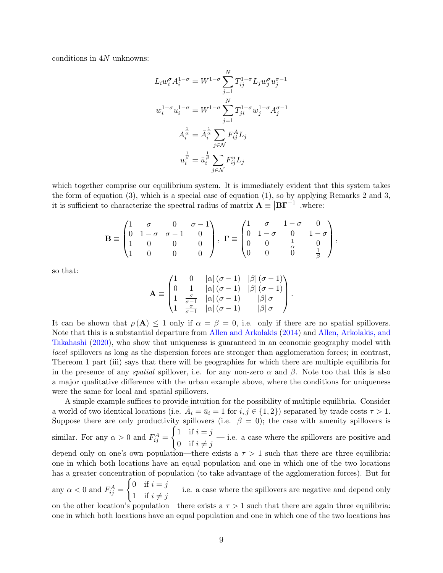conditions in 4N unknowns:

$$
L_i w_i^{\sigma} A_i^{1-\sigma} = W^{1-\sigma} \sum_{j=1}^N T_{ij}^{1-\sigma} L_j w_j^{\sigma} u_j^{\sigma-1}
$$
  

$$
w_i^{1-\sigma} u_i^{1-\sigma} = W^{1-\sigma} \sum_{j=1}^N T_{ji}^{1-\sigma} w_j^{1-\sigma} A_j^{\sigma-1}
$$
  

$$
A_i^{\frac{1}{\alpha}} = \overline{A}_i^{\frac{1}{\alpha}} \sum_{j \in \mathcal{N}} F_{ij}^A L_j
$$
  

$$
u_i^{\frac{1}{\beta}} = \overline{u}_i^{\frac{1}{\beta}} \sum_{j \in \mathcal{N}} F_{ij}^u L_j
$$

which together comprise our equilibrium system. It is immediately evident that this system takes the form of equation  $(3)$ , which is a special case of equation  $(1)$ , so by applying Remarks 2 and 3. it is sufficient to characterize the spectral radius of matrix  $\mathbf{A} \equiv \left| \mathbf{B} \mathbf{\Gamma}^{-1} \right|$ , where:

$$
\mathbf{B} \equiv \begin{pmatrix} 1 & \sigma & 0 & \sigma - 1 \\ 0 & 1 - \sigma & \sigma - 1 & 0 \\ 1 & 0 & 0 & 0 \\ 1 & 0 & 0 & 0 \end{pmatrix}, \ \mathbf{\Gamma} \equiv \begin{pmatrix} 1 & \sigma & 1 - \sigma & 0 \\ 0 & 1 - \sigma & 0 & 1 - \sigma \\ 0 & 0 & \frac{1}{\alpha} & 0 \\ 0 & 0 & 0 & \frac{1}{\beta} \end{pmatrix},
$$

so that:

$$
\mathbf{A} \equiv \begin{pmatrix} 1 & 0 & |\alpha| (\sigma - 1) & |\beta| (\sigma - 1) \\ 0 & 1 & |\alpha| (\sigma - 1) & |\beta| (\sigma - 1) \\ 1 & \frac{\sigma}{\sigma - 1} & |\alpha| (\sigma - 1) & |\beta| \sigma \\ 1 & \frac{\sigma}{\sigma - 1} & |\alpha| (\sigma - 1) & |\beta| \sigma \end{pmatrix}.
$$

It can be shown that  $\rho(A) \leq 1$  only if  $\alpha = \beta = 0$ , i.e. only if there are no spatial spillovers. Note that this is a substantial departure from [Allen and Arkolakis](#page-16-5) [\(2014\)](#page-16-5) and [Allen, Arkolakis, and](#page-16-15) [Takahashi](#page-16-15) [\(2020\)](#page-16-15), who show that uniqueness is guaranteed in an economic geography model with local spillovers as long as the dispersion forces are stronger than agglomeration forces; in contrast, Thereom 1 part (iii) says that there will be geographies for which there are multiple equilibria for in the presence of any *spatial* spillover, i.e. for any non-zero  $\alpha$  and  $\beta$ . Note too that this is also a major qualitative difference with the urban example above, where the conditions for uniqueness were the same for local and spatial spillovers.

A simple example suffices to provide intuition for the possibility of multiple equilibria. Consider a world of two identical locations (i.e.  $\overline{A}_i = \overline{u}_i = 1$  for  $i, j \in \{1, 2\}$ ) separated by trade costs  $\tau > 1$ . Suppose there are only productivity spillovers (i.e.  $\beta = 0$ ); the case with amenity spillovers is similar. For any  $\alpha > 0$  and  $F_{ij}^A =$  $\int 1$  if  $i = j$ 0 if  $i \neq j$ — i.e. a case where the spillovers are positive and depend only on one's own population—there exists a  $\tau > 1$  such that there are three equilibria: one in which both locations have an equal population and one in which one of the two locations has a greater concentration of population (to take advantage of the agglomeration forces). But for any  $\alpha < 0$  and  $F_{ij}^A =$  $\int 0$  if  $i = j$ 1 if  $i \neq j$ — i.e. a case where the spillovers are negative and depend only on the other location's population—there exists a  $\tau > 1$  such that there are again three equilibria: one in which both locations have an equal population and one in which one of the two locations has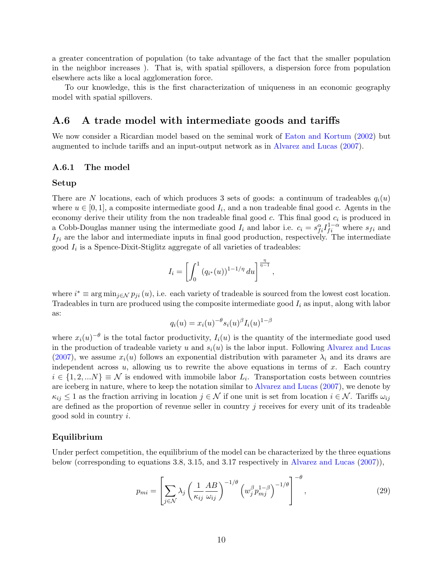a greater concentration of population (to take advantage of the fact that the smaller population in the neighbor increases ). That is, with spatial spillovers, a dispersion force from population elsewhere acts like a local agglomeration force.

To our knowledge, this is the first characterization of uniqueness in an economic geography model with spatial spillovers.

#### <span id="page-31-0"></span>A.6 A trade model with intermediate goods and tariffs

We now consider a Ricardian model based on the seminal work of [Eaton and Kortum](#page-17-11) [\(2002\)](#page-17-11) but augmented to include tariffs and an input-output network as in [Alvarez and Lucas](#page-16-6) [\(2007\)](#page-16-6).

#### A.6.1 The model

#### Setup

There are N locations, each of which produces 3 sets of goods: a continuum of tradeables  $q_i(u)$ where  $u \in [0,1]$ , a composite intermediate good  $I_i$ , and a non tradeable final good c. Agents in the economy derive their utility from the non tradeable final good  $c$ . This final good  $c_i$  is produced in a Cobb-Douglas manner using the intermediate good  $I_i$  and labor i.e.  $c_i = s_{fi}^{\alpha} I_{fi}^{1-\alpha}$  where  $s_{fi}$  and  $I_{fi}$  are the labor and intermediate inputs in final good production, respectively. The intermediate good  $I_i$  is a Spence-Dixit-Stiglitz aggregate of all varieties of tradeables:

$$
I_i = \left[ \int_0^1 (q_{i^*}(u))^{1-1/\eta} du \right]^{\frac{\eta}{\eta-1}},
$$

where  $i^* \equiv \arg \min_{j \in \mathcal{N}} p_{ji}(u)$ , i.e. each variety of tradeable is sourced from the lowest cost location. Tradeables in turn are produced using the composite intermediate good  $I_i$  as input, along with labor as:

$$
q_i(u) = x_i(u)^{-\theta} s_i(u)^{\beta} I_i(u)^{1-\beta}
$$

where  $x_i(u)^{-\theta}$  is the total factor productivity,  $I_i(u)$  is the quantity of the intermediate good used in the production of tradeable variety u and  $s_i(u)$  is the labor input. Following [Alvarez and Lucas](#page-16-6) [\(2007\)](#page-16-6), we assume  $x_i(u)$  follows an exponential distribution with parameter  $\lambda_i$  and its draws are independent across  $u$ , allowing us to rewrite the above equations in terms of  $x$ . Each country  $i \in \{1, 2, ...N\} \equiv \mathcal{N}$  is endowed with immobile labor  $L_i$ . Transportation costs between countries are iceberg in nature, where to keep the notation similar to [Alvarez and Lucas](#page-16-6) [\(2007\)](#page-16-6), we denote by  $\kappa_{ij} \leq 1$  as the fraction arriving in location  $j \in \mathcal{N}$  if one unit is set from location  $i \in \mathcal{N}$ . Tariffs  $\omega_{ij}$ are defined as the proportion of revenue seller in country  $j$  receives for every unit of its tradeable good sold in country i.

#### Equilibrium

Under perfect competition, the equilibrium of the model can be characterized by the three equations below (corresponding to equations 3.8, 3.15, and 3.17 respectively in [Alvarez and Lucas](#page-16-6) [\(2007\)](#page-16-6)),

<span id="page-31-1"></span>
$$
p_{mi} = \left[ \sum_{j \in \mathcal{N}} \lambda_j \left( \frac{1}{\kappa_{ij}} \frac{AB}{\omega_{ij}} \right)^{-1/\theta} \left( w_j^{\beta} p_{mj}^{1-\beta} \right)^{-1/\theta} \right]^{-\theta}, \tag{29}
$$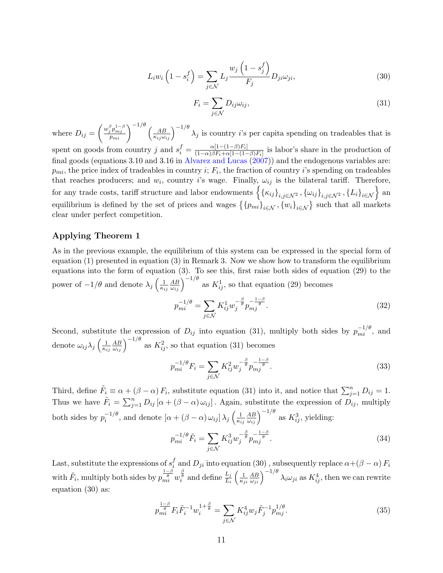<span id="page-32-1"></span>
$$
L_i w_i \left( 1 - s_i^f \right) = \sum_{j \in \mathcal{N}} L_j \frac{w_j \left( 1 - s_j^f \right)}{F_j} D_{ji} \omega_{ji}, \tag{30}
$$

<span id="page-32-0"></span>
$$
F_i = \sum_{j \in \mathcal{N}} D_{ij} \omega_{ij},\tag{31}
$$

where  $D_{ij} = \left(\frac{w_j^{\beta} p_{mj}^{1-\beta}}{p_{mi}}\right)$  $\left(\frac{\beta}{p_{mj}}\right)^{1-\beta}\left(\frac{p_{mj}}{p_{mi}}\right)^{-1/\theta} \left(\frac{p_{mj}}{p_{mi}}\right)^{-1/\theta}$  $\frac{AB}{\kappa_{ij}\omega_{ij}}\Big)^{-1/\theta} \lambda_j$  is country *i*'s per capita spending on tradeables that is spent on goods from country j and  $s_i^f = \frac{\alpha[1-(1-\beta)F_i]}{(1-\alpha)\beta F_i + \alpha[1-(1-\beta)F_i]}$  $\frac{\alpha[1-(1-\beta)F_i]}{(1-\alpha)\beta F_i+\alpha[1-(1-\beta)F_i]}$  is labor's share in the production of final goods (equations 3.10 and 3.16 in [Alvarez and Lucas](#page-16-6) [\(2007\)](#page-16-6)) and the endogenous variables are:  $p_{mi}$ , the price index of tradeables in country *i*;  $F_i$ , the fraction of country *i*'s spending on tradeables that reaches producers; and  $w_i$ , country i's wage. Finally,  $\omega_{ij}$  is the bilateral tariff. Therefore, for any trade costs, tariff structure and labor endowments  $\left\{\left\{\kappa_{ij}\right\}_{i,j\in\mathcal{N}^2}, \left\{\omega_{ij}\right\}_{i,j\in\mathcal{N}^2}, \left\{L_i\right\}_{i\in\mathcal{N}}\right\}$  and equilibrium is defined by the set of prices and wages  $\{\{p_{mi}\}_{i\in\mathcal{N}}, \{w_i\}_{i\in\mathcal{N}}\}$  such that all markets clear under perfect competition.

#### Applying Theorem 1

As in the previous example, the equilibrium of this system can be expressed in the special form of equation [\(1\)](#page-2-0) presented in equation [\(3\)](#page-8-0) in Remark 3. Now we show how to transform the equilibrium equations into the form of equation [\(3\)](#page-8-0). To see this, first raise both sides of equation [\(29\)](#page-31-1) to the power of  $-1/\theta$  and denote  $\lambda_j \left( \frac{1}{\kappa_j} \right)$  $\kappa_{ij}$  $\frac{AB}{\omega_{ij}}\Big)^{-1/\theta}$  as  $K_{ij}^1$ , so that equation [\(29\)](#page-31-1) becomes

$$
p_{mi}^{-1/\theta} = \sum_{j \in \mathcal{N}} K_{ij}^1 w_j^{-\frac{\beta}{\theta}} p_{mj}^{-\frac{1-\beta}{\theta}}.
$$
 (32)

Second, substitute the expression of  $D_{ij}$  into equation [\(31\)](#page-32-0), multiply both sides by  $p_{mi}^{-1/\theta}$ , and denote  $\omega_{ij}\lambda_j\left(\frac{1}{\kappa_i}\right)$  $\kappa_{ij}$  $\frac{AB}{\omega_{ij}}$   $\Big)^{-1/\theta}$  as  $K_{ij}^2$ , so that equation [\(31\)](#page-32-0) becomes

$$
p_{mi}^{-1/\theta}F_i = \sum_{j \in \mathcal{N}} K_{ij}^2 w_j^{-\frac{\beta}{\theta}} p_{mj}^{-\frac{1-\beta}{\theta}}.
$$
\n(33)

Third, define  $\tilde{F}_i \equiv \alpha + (\beta - \alpha) F_i$ , substitute equation [\(31\)](#page-32-0) into it, and notice that  $\sum_{j=1}^n D_{ij} = 1$ . Thus we have  $\tilde{F}_i = \sum_{j=1}^n D_{ij} [\alpha + (\beta - \alpha) \omega_{ij}]$ . Again, substitute the expression of  $D_{ij}$ , multiply both sides by  $p_i^{-1/\theta}$  $\int_i^{-1/\theta}$ , and denote  $[\alpha + (\beta - \alpha) \omega_{ij}] \lambda_j \left( \frac{1}{\kappa_i} \right)$  $\overline{\kappa_{ij}}$  $\frac{AB}{\omega_{ij}}\Big)^{-1/\theta}$  as  $K_{ij}^3$ , yielding:

$$
p_{mi}^{-1/\theta}\tilde{F}_i = \sum_{j \in \mathcal{N}} K_{ij}^3 w_j^{-\frac{\beta}{\theta}} p_{mj}^{-\frac{1-\beta}{\theta}}.
$$
 (34)

Last, substitute the expressions of  $s_i^f$  $i_i$  and  $D_{ji}$  into equation [\(30\)](#page-32-1), subsequently replace  $\alpha + (\beta - \alpha) F_i$ with  $\tilde{F}_i$ , multiply both sides by  $p_{mi}^{\frac{1-\beta}{\theta}}w_i^{\frac{\beta}{\theta}}$  and define  $\frac{L_j}{L_i}$  $\sqrt{1}$  $\overline{\kappa_{ji}}$  $\frac{AB}{\omega_{ji}}\Big)^{-1/\theta}\lambda_i\omega_{ji}$  as  $K_{ij}^4$ , then we can rewrite equation [\(30\)](#page-32-1) as:

$$
p_{mi}^{\frac{1-\beta}{\theta}} F_i \tilde{F}_i^{-1} w_i^{1+\frac{\beta}{\theta}} = \sum_{j \in \mathcal{N}} K_{ij}^4 w_j \tilde{F}_j^{-1} p_{mj}^{1/\theta}.
$$
 (35)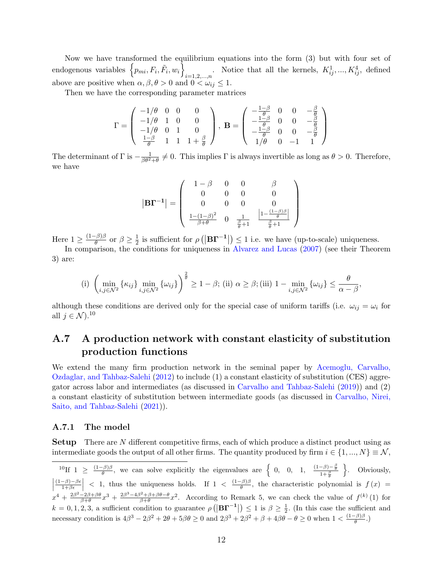Now we have transformed the equilibrium equations into the form [\(3\)](#page-8-0) but with four set of endogenous variables  $\{p_{mi}, F_i, \tilde{F}_i, w_i\}$  $\sum_{i=1,2,\ldots,n}$ . Notice that all the kernels,  $K_{ij}^1, ..., K_{ij}^4$ , defined above are positive when  $\alpha, \beta, \theta > 0$  and  $0 < \omega_{ij} \leq 1$ .

Then we have the corresponding parameter matrices

$$
\Gamma = \begin{pmatrix} -1/\theta & 0 & 0 & 0 \\ -1/\theta & 1 & 0 & 0 \\ -1/\theta & 0 & 1 & 0 \\ \frac{1-\beta}{\theta} & 1 & 1 & 1 + \frac{\beta}{\theta} \end{pmatrix}, \ \mathbf{B} = \begin{pmatrix} -\frac{1-\beta}{\theta} & 0 & 0 & -\frac{\beta}{\theta} \\ -\frac{1-\beta}{\theta} & 0 & 0 & -\frac{\beta}{\theta} \\ -\frac{1-\beta}{\theta} & 0 & 0 & -\frac{\beta}{\theta} \\ 1/\theta & 0 & -1 & 1 \end{pmatrix}
$$

The determinant of  $\Gamma$  is  $-\frac{1}{\beta\theta^2+\theta}\neq 0$ . This implies  $\Gamma$  is always invertible as long as  $\theta>0$ . Therefore, we have

$$
\left| \mathbf{B} \mathbf{\Gamma}^{-1} \right| = \left( \begin{array}{cccc} 1-\beta & 0 & 0 & \beta \\ 0 & 0 & 0 & 0 \\ 0 & 0 & 0 & 0 \\ \frac{1-(1-\beta)^2}{\beta+\theta} & 0 & \frac{1}{\frac{\beta}{\theta}+1} & \frac{\left|1-\frac{(1-\beta)\beta}{\theta}\right|}{\frac{\beta}{\theta}+1} \end{array} \right)
$$

Here  $1 \geq \frac{(1-\beta)\beta}{\theta}$  $\frac{\partial}{\partial \theta} \theta$  or  $\beta \geq \frac{1}{2}$  $\frac{1}{2}$  is sufficient for  $\rho$  ( $|\mathbf{B}\Gamma^{-1}|\leq 1$  i.e. we have (up-to-scale) uniqueness.

In comparison, the conditions for uniqueness in [Alvarez and Lucas](#page-16-6) [\(2007\)](#page-16-6) (see their Theorem 3) are:

(i) 
$$
\left(\min_{i,j\in\mathcal{N}^2} \{\kappa_{ij}\}\min_{i,j\in\mathcal{N}^2} \{\omega_{ij}\}\right)^{\frac{2}{\theta}} \ge 1 - \beta
$$
; (ii)  $\alpha \ge \beta$ ; (iii)  $1 - \min_{i,j\in\mathcal{N}^2} \{\omega_{ij}\} \le \frac{\theta}{\alpha - \beta}$ ,

although these conditions are derived only for the special case of uniform tariffs (i.e.  $\omega_{ij} = \omega_i$  for all  $j \in \mathcal{N}$ ).<sup>[10](#page-33-1)</sup>

## <span id="page-33-0"></span>A.7 A production network with constant elasticity of substitution production functions

We extend the many firm production network in the seminal paper by [Acemoglu, Carvalho,](#page-16-8) [Ozdaglar, and Tahbaz-Salehi](#page-16-8) [\(2012\)](#page-16-8) to include (1) a constant elasticity of substitution (CES) aggregator across labor and intermediates (as discussed in [Carvalho and Tahbaz-Salehi](#page-16-16) [\(2019\)](#page-16-16)) and (2) a constant elasticity of substitution between intermediate goods (as discussed in [Carvalho, Nirei,](#page-16-9) [Saito, and Tahbaz-Salehi](#page-16-9) [\(2021\)](#page-16-9)).

#### A.7.1 The model

**Setup** There are N different competitive firms, each of which produce a distinct product using as intermediate goods the output of all other firms. The quantity produced by firm  $i \in \{1, ..., N\} \equiv \mathcal{N}$ ,

<span id="page-33-1"></span><sup>10</sup>If 1  $\geq \frac{(1-\beta)\beta}{\theta}$  $\frac{(\beta)\beta}{\theta}$ , we can solve explicitly the eigenvalues are  $\begin{cases} 0, & 0, 1, \frac{(1-\beta)-\frac{\beta}{\theta}}{1+\frac{\beta}{\theta}} \end{cases}$  $\left|\frac{(1-\beta)-\beta\epsilon}{1+\beta\epsilon}\right|$  < 1, thus the uniqueness holds. If  $1 < \frac{(1-\beta)\beta}{\theta}$ , the characteristic poly o . Obviously,  $(1-\beta)-\beta\epsilon$  $\left|\frac{-\beta}{1+\beta\epsilon}\right|$  < 1, thus the uniqueness holds. If  $1 < \frac{(1-\beta)\beta}{\theta}$  $\frac{f^{(p)}(x)}{g}$ , the characteristic polynomial is  $f(x) =$  $x^4 + \frac{2\beta^2 - 2\beta + \beta\theta}{\beta + \theta}x^3 + \frac{2\beta^3 - 4\beta^2 + \beta + \beta\theta - \theta}{\beta + \theta}x^2$ . According to Remark 5, we can check the value of  $f^{(k)}(1)$  for  $k = 0, 1, 2, 3$ , a sufficient condition to guarantee  $\rho\left(\left|\mathbf{B}\mathbf{\Gamma}^{-1}\right|\right) \leq 1$  is  $\beta \geq \frac{1}{2}$ . (In this case the sufficient and necessary condition is  $4\beta^3 - 2\beta^2 + 2\theta + 5\beta\theta \ge 0$  and  $2\beta^3 + 2\beta^2 + \beta + 4\beta\theta - \theta \ge 0$  when  $1 < \frac{(1-\beta)\beta}{\theta}$  $\frac{\partial^2 \rho}{\partial \theta^2}$ .)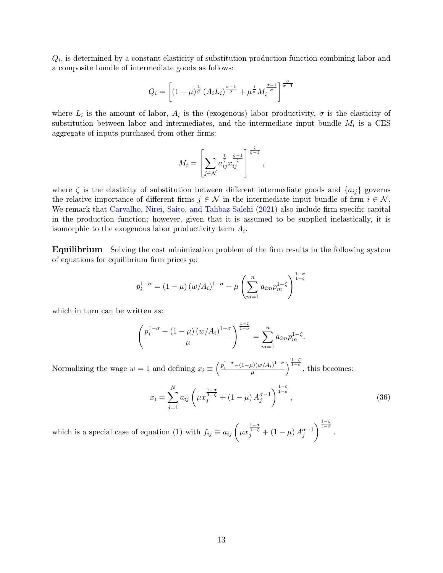$Q_i$ , is determined by a constant elasticity of substitution production function combining labor and a composite bundle of intermediate goods as follows:

$$
Q_i = \left[ (1 - \mu)^{\frac{1}{\sigma}} \left( A_i L_i \right)^{\frac{\sigma - 1}{\sigma}} + \mu^{\frac{1}{\sigma}} M_i^{\frac{\sigma - 1}{\sigma}} \right]^{\frac{\sigma}{\sigma - 1}}
$$

where  $L_i$  is the amount of labor,  $A_i$  is the (exogenous) labor productivity,  $\sigma$  is the elasticity of substitution between labor and intermediates, and the intermediate input bundle  $M_i$  is a CES aggregate of inputs purchased from other firms:

$$
M_i = \left[ \sum_{j \in \mathcal{N}} a_{ij}^{\frac{1}{\zeta}} x_{ij}^{\frac{\zeta - 1}{\zeta}} \right]^{\frac{\zeta}{\zeta - 1}},
$$

where  $\zeta$  is the elasticity of substitution between different intermediate goods and  $\{a_{ij}\}$  governs the relative importance of different firms  $j \in \mathcal{N}$  in the intermediate input bundle of firm  $i \in \mathcal{N}$ . We remark that [Carvalho, Nirei, Saito, and Tahbaz-Salehi](#page-16-9) [\(2021\)](#page-16-9) also include firm-specific capital in the production function; however, given that it is assumed to be supplied inelastically, it is isomorphic to the exogenous labor productivity term  $A_i$ .

Equilibrium Solving the cost minimization problem of the firm results in the following system of equations for equilibrium firm prices  $p_i$ :

$$
p_i^{1-\sigma} = (1-\mu) (w/A_i)^{1-\sigma} + \mu \left( \sum_{m=1}^n a_{im} p_m^{1-\zeta} \right)^{\frac{1-\sigma}{1-\zeta}}
$$

which in turn can be written as:

$$
\left(\frac{p_i^{1-\sigma} - (1-\mu) (w/A_i)^{1-\sigma}}{\mu}\right)^{\frac{1-\zeta}{1-\sigma}} = \sum_{m=1}^n a_{im} p_m^{1-\zeta}.
$$

Normalizing the wage  $w = 1$  and defining  $x_i \equiv \left(\frac{p_i^{1-\sigma} - (1-\mu)(w/A_i)^{1-\sigma}}{\mu}\right)$  $\frac{\mu}{\mu} \left(\frac{w}{A_i}\right)^{1-\sigma}$   $\frac{1-\zeta}{1-\sigma}$ , this becomes:

<span id="page-34-0"></span>
$$
x_i = \sum_{j=1}^{N} a_{ij} \left( \mu x_j^{\frac{1-\sigma}{1-\zeta}} + (1-\mu) A_j^{\sigma-1} \right)^{\frac{1-\zeta}{1-\sigma}}, \tag{36}
$$

which is a special case of equation [\(1\)](#page-2-0) with  $f_{ij} \equiv a_{ij} \left( \mu x_j^{\frac{1-\sigma}{1-\zeta}} + (1-\mu) A_j^{\sigma-1} \right)$  $\bigg\{\frac{1-\zeta}{1-\sigma}\bigg\}$ .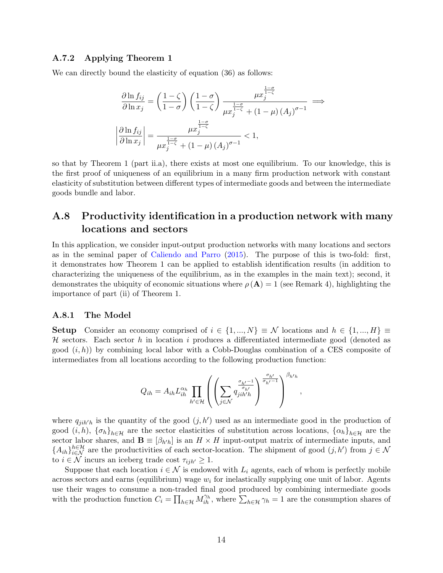#### A.7.2 Applying Theorem 1

We can directly bound the elasticity of equation [\(36\)](#page-34-0) as follows:

$$
\frac{\partial \ln f_{ij}}{\partial \ln x_j} = \left(\frac{1-\zeta}{1-\sigma}\right) \left(\frac{1-\sigma}{1-\zeta}\right) \frac{\mu x_j^{\frac{1-\sigma}{1-\zeta}}}{\mu x_j^{\frac{1-\sigma}{1-\zeta}} + (1-\mu)(A_j)^{\sigma-1}} \implies
$$

$$
\left|\frac{\partial \ln f_{ij}}{\partial \ln x_j}\right| = \frac{\mu x_j^{\frac{1-\sigma}{1-\zeta}}}{\mu x_j^{\frac{1-\sigma}{1-\zeta}} + (1-\mu)(A_j)^{\sigma-1}} < 1,
$$

so that by Theorem 1 (part ii.a), there exists at most one equilibrium. To our knowledge, this is the first proof of uniqueness of an equilibrium in a many firm production network with constant elasticity of substitution between different types of intermediate goods and between the intermediate goods bundle and labor.

### <span id="page-35-0"></span>A.8 Productivity identification in a production network with many locations and sectors

In this application, we consider input-output production networks with many locations and sectors as in the seminal paper of [Caliendo and Parro](#page-16-7) [\(2015\)](#page-16-7). The purpose of this is two-fold: first, it demonstrates how Theorem 1 can be applied to establish identification results (in addition to characterizing the uniqueness of the equilibrium, as in the examples in the main text); second, it demonstrates the ubiquity of economic situations where  $\rho(A) = 1$  (see Remark 4), highlighting the importance of part (ii) of Theorem 1.

#### A.8.1 The Model

Setup Consider an economy comprised of  $i \in \{1, ..., N\} \equiv \mathcal{N}$  locations and  $h \in \{1, ..., H\} \equiv$  $H$  sectors. Each sector h in location i produces a differentiated intermediate good (denoted as good  $(i, h)$  by combining local labor with a Cobb-Douglas combination of a CES composite of intermediates from all locations according to the following production function:

$$
Q_{ih} = A_{ih} L_{ih}^{\alpha_h} \prod_{h' \in \mathcal{H}} \left( \left( \sum_{j \in \mathcal{N}} \frac{\sigma_{h'} - 1}{\sigma_{h'}} \right)^{\frac{\sigma_{h'}}{\sigma_{h'} - 1}} \right)^{\beta_{h'h}},
$$

where  $q_{jih'h}$  is the quantity of the good  $(j, h')$  used as an intermediate good in the production of good  $(i, h)$ ,  $\{\sigma_h\}_{h\in\mathcal{H}}$  are the sector elasticities of substitution across locations,  $\{\alpha_h\}_{h\in\mathcal{H}}$  are the sector labor shares, and  $\mathbf{B} \equiv [\beta_{h'h}]$  is an  $H \times H$  input-output matrix of intermediate inputs, and  ${A_{ih}}_{i \in \mathcal{N}}^{h \in \mathcal{H}}$  are the productivities of each sector-location. The shipment of good  $(j, h')$  from  $j \in \mathcal{N}$ to  $i \in \mathcal{N}$  incurs an iceberg trade cost  $\tau_{ijh'} \geq 1$ .

Suppose that each location  $i \in \mathcal{N}$  is endowed with  $L_i$  agents, each of whom is perfectly mobile across sectors and earns (equilibrium) wage  $w_i$  for inelastically supplying one unit of labor. Agents use their wages to consume a non-traded final good produced by combining intermediate goods with the production function  $C_i = \prod_{h \in \mathcal{H}} M_{ih}^{\gamma_h}$ , where  $\sum_{h \in \mathcal{H}} \gamma_h = 1$  are the consumption shares of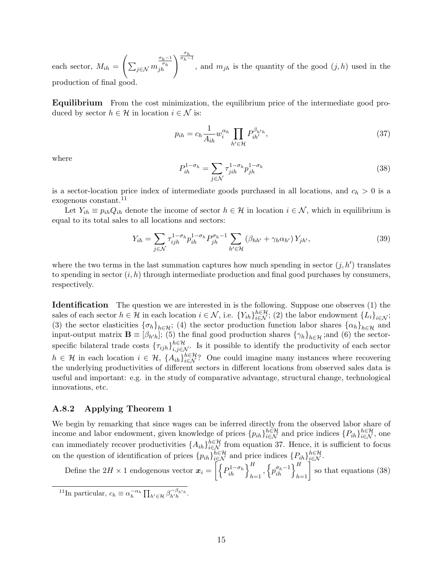each sector,  $M_{ih} =$  $\sqrt{ }$  $\sum_{j\in\mathcal{N}}m$  $\left. \begin{array}{l} \frac{\sigma_h}{\sigma_h} \\ j h \end{array} \right \rceil \left. \begin{array}{l} \frac{\sigma_h}{\sigma_h - 1} \\ \end{array} \right.$ , and  $m_{jh}$  is the quantity of the good  $(j,h)$  used in the production of final good.

Equilibrium From the cost minimization, the equilibrium price of the intermediate good produced by sector  $h \in \mathcal{H}$  in location  $i \in \mathcal{N}$  is:

<span id="page-36-1"></span>
$$
p_{ih} = c_h \frac{1}{A_{ih}} w_i^{\alpha_h} \prod_{h' \in \mathcal{H}} P_{ih'}^{\beta_{h'h}},\tag{37}
$$

where

<span id="page-36-2"></span>
$$
P_{ih}^{1-\sigma_h} = \sum_{j \in \mathcal{N}} \tau_{jih}^{1-\sigma_h} p_{jh}^{1-\sigma_h}
$$
\n(38)

is a sector-location price index of intermediate goods purchased in all locations, and  $c_h > 0$  is a exogenous constant.<sup>[11](#page-36-0)</sup>

Let  $Y_{ih} \equiv p_{ih}Q_{ih}$  denote the income of sector  $h \in \mathcal{H}$  in location  $i \in \mathcal{N}$ , which in equilibrium is equal to its total sales to all locations and sectors:

<span id="page-36-3"></span>
$$
Y_{ih} = \sum_{j \in \mathcal{N}} \tau_{ijh}^{1-\sigma_h} p_{ih}^{1-\sigma_h} P_{jh}^{\sigma_h - 1} \sum_{h' \in \mathcal{H}} (\beta_{hh'} + \gamma_h \alpha_{h'}) Y_{jh'},
$$
(39)

where the two terms in the last summation captures how much spending in sector  $(j, h')$  translates to spending in sector  $(i, h)$  through intermediate production and final good purchases by consumers, respectively.

Identification The question we are interested in is the following. Suppose one observes (1) the sales of each sector  $h \in \mathcal{H}$  in each location  $i \in \mathcal{N}$ , i.e.  $\{Y_{ih}\}_{i \in \mathcal{N}}^{h \in \mathcal{H}}$ ; (2) the labor endowment  $\{L_i\}_{i \in \mathcal{N}}$ ; (3) the sector elasticities  $\{\sigma_h\}_{h\in\mathcal{H}}$ ; (4) the sector production function labor shares  $\{\alpha_h\}_{h\in\mathcal{H}}$  and input-output matrix  $\mathbf{B} \equiv [\beta_{h'h}]$ ; (5) the final good production shares  $\{\gamma_h\}_{h \in \mathcal{H}}$ ;and (6) the sectorspecific bilateral trade costs  $\{\tau_{ijh}\}_{i,j\in\mathcal{N}}^{h\in\mathcal{H}}$ . Is it possible to identify the productivity of each sector  $h \in \mathcal{H}$  in each location  $i \in \mathcal{H}$ ,  $\{A_{ih}\}_{i \in \mathcal{N}}^{\in \mathcal{H}}$ ? One could imagine many instances where recovering the underlying productivities of different sectors in different locations from observed sales data is useful and important: e.g. in the study of comparative advantage, structural change, technological innovations, etc.

#### A.8.2 Applying Theorem 1

We begin by remarking that since wages can be inferred directly from the observed labor share of income and labor endowment, given knowledge of prices  $\{p_{ih}\}_{i\in\mathcal{N}}^{h\in\mathcal{H}}$  and price indices  $\{P_{ih}\}_{i\in\mathcal{N}}^{h\in\mathcal{H}}$ , one can immediately recover productivities  $\{A_{ih}\}_{i\in\mathcal{N}}^{h\in\mathcal{H}}$  from equation [37.](#page-36-1) Hence, it is sufficient to focus on the question of identification of prices  $\{p_{ih}\}_{i\in\mathcal{N}}^{h\in\mathcal{H}}$  and price indices  $\{P_{ih}\}_{i\in\mathcal{N}}^{h\in\mathcal{H}}$ .

Define the 2H  $\times$  1 endogenous vector  $\boldsymbol{x}_i = \left[ \left\{ P_{ih}^{1-\sigma_h} \right\}_{h=1}^H, \left\{ p_{ih}^{\sigma_h-1} \right\}_{h=1}^H \right]$  so that equations [\(38\)](#page-36-2)

<span id="page-36-0"></span><sup>11</sup>In particular,  $c_h \equiv \alpha_h^{-\alpha_h} \prod_{h' \in \mathcal{H}} \beta_{h'h}^{-\beta_{h'h}}$ .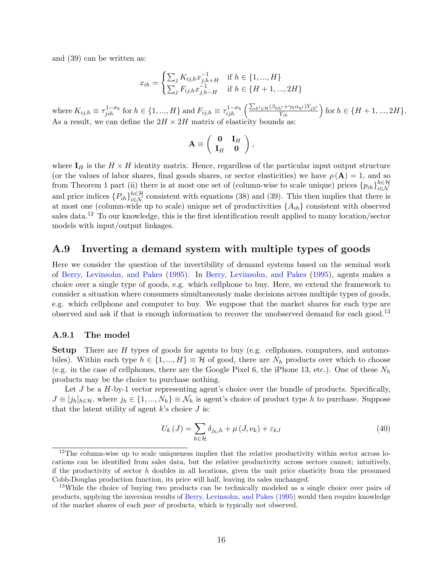and [\(39\)](#page-36-3) can be written as:

$$
x_{ih} = \begin{cases} \sum_{j} K_{ij,h} x_{j,h+H}^{-1} & \text{if } h \in \{1, ..., H\} \\ \sum_{j} F_{ij,h} x_{j,h-H}^{-1} & \text{if } h \in \{H+1, ..., 2H\} \end{cases}
$$

where  $K_{ij,h} \equiv \tau_{jih}^{1-\sigma_h}$  for  $h \in \{1, ..., H\}$  and  $F_{ij,h} \equiv \tau_{ijh}^{1-\sigma_h} \left( \frac{\sum_{h' \in \mathcal{H}} (\beta_{hh'} + \gamma_h \alpha_{h'}) Y_{jh'}}{Y_{ih}} \right)$  for  $h \in \{H+1, ..., 2H\}$ . As a result, we can define the  $2H \times 2H$  matrix of elasticity bounds as:

$$
\mathbf{A} \equiv \left( \begin{array}{cc} \mathbf{0} & \mathbf{I}_H \\ \mathbf{I}_H & \mathbf{0} \end{array} \right),
$$

where  $I_H$  is the  $H \times H$  identity matrix. Hence, regardless of the particular input output structure (or the values of labor shares, final goods shares, or sector elasticities) we have  $\rho(\mathbf{A}) = 1$ , and so from Theorem 1 part (ii) there is at most one set of (column-wise to scale unique) prices  ${p_{ih}}_{i \in \mathcal{N}}^{h \in \mathcal{H}}$ i∈N and price indices  $\{P_{ih}\}_{i\in\mathcal{N}}^{h\in\mathcal{H}}$  consistent with equations [\(38\)](#page-36-2) and [\(39\)](#page-36-3). This then implies that there is at most one (column-wide up to scale) unique set of productivities  $\{A_{ih}\}$  consistent with observed sales data.[12](#page-37-1) To our knowledge, this is the first identification result applied to many location/sector models with input/output linkages.

#### <span id="page-37-0"></span>A.9 Inverting a demand system with multiple types of goods

Here we consider the question of the invertibility of demand systems based on the seminal work of [Berry, Levinsohn, and Pakes](#page-16-10) [\(1995\)](#page-16-10). In [Berry, Levinsohn, and Pakes](#page-16-10) [\(1995\)](#page-16-10), agents makes a choice over a single type of goods, e.g. which cellphone to buy. Here, we extend the framework to consider a situation where consumers simultaneously make decisions across multiple types of goods, e.g. which cellphone and computer to buy. We suppose that the market shares for each type are observed and ask if that is enough information to recover the unobserved demand for each good.<sup>[13](#page-37-2)</sup>

#### A.9.1 The model

Setup There are H types of goods for agents to buy (e.g. cellphones, computers, and automobiles). Within each type  $h \in \{1, ..., H\} \equiv \mathcal{H}$  of good, there are  $N_h$  products over which to choose (e.g. in the case of cellphones, there are the Google Pixel 6, the iPhone 13, etc.). One of these  $N_h$ products may be the choice to purchase nothing.

Let  $J$  be a  $H$ -by-1 vector representing agent's choice over the bundle of products. Specifically,  $J \equiv [j_h]_{h \in \mathcal{H}}$ , where  $j_h \in \{1, ..., N_h\} \equiv \mathcal{N}_h$  is agent's choice of product type h to purchase. Suppose that the latent utility of agent  $k$ 's choice  $J$  is:

$$
U_{k}(J) = \sum_{h \in \mathcal{H}} \delta_{j_h,h} + \mu(J,\nu_k) + \varepsilon_{kJ}
$$
\n(40)

<span id="page-37-1"></span><sup>&</sup>lt;sup>12</sup>The column-wise up to scale uniqueness implies that the relative productivity within sector across locations can be identified from sales data, but the relative productivity across sectors cannot; intuitively, if the productivity of sector  $h$  doubles in all locations, given the unit price elasticity from the presumed Cobb-Douglas production function, its price will half, leaving its sales unchanged.

<span id="page-37-2"></span><sup>&</sup>lt;sup>13</sup>While the choice of buying two products can be technically modeled as a single choice over pairs of products, applying the inversion results of [Berry, Levinsohn, and Pakes](#page-16-10) [\(1995\)](#page-16-10) would then require knowledge of the market shares of each pair of products, which is typically not observed.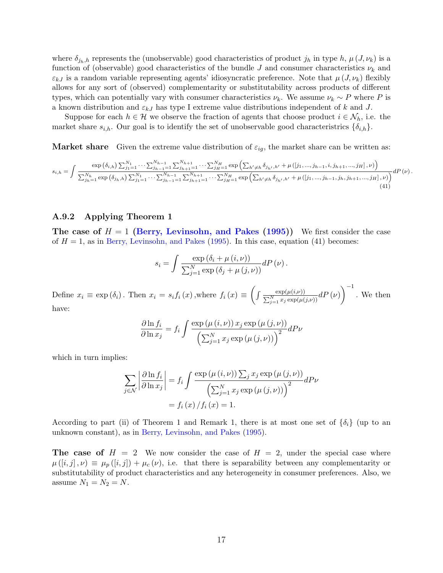where  $\delta_{j_h,h}$  represents the (unobservable) good characteristics of product  $j_h$  in type h,  $\mu(J,\nu_k)$  is a function of (observable) good characteristics of the bundle J and consumer characteristics  $\nu_k$  and  $\varepsilon_{kJ}$  is a random variable representing agents' idiosyncratic preference. Note that  $\mu(J,\nu_k)$  flexibly allows for any sort of (observed) complementarity or substitutability across products of different types, which can potentially vary with consumer characteristics  $\nu_k$ . We assume  $\nu_k \sim P$  where P is a known distribution and  $\varepsilon_{kJ}$  has type I extreme value distributions independent of k and J.

Suppose for each  $h \in \mathcal{H}$  we observe the fraction of agents that choose product  $i \in \mathcal{N}_h$ , i.e. the market share  $s_{i,h}$ . Our goal is to identify the set of unobservable good characteristrics  $\{\delta_{i,h}\}.$ 

**Market share** Given the extreme value distribution of  $\varepsilon_{ia}$ , the market share can be written as:

<span id="page-38-0"></span>
$$
s_{i,h} = \int \frac{\exp\left(\delta_{i,h}\right) \sum_{j_1=1}^{N_1} \cdots \sum_{j_{h-1}=1}^{N_{h-1}} \sum_{j_{h+1}=1}^{N_{h+1}} \cdots \sum_{j_{H}=1}^{N_H} \exp\left(\sum_{h' \neq h} \delta_{j_{h'},h'} + \mu([j_1, ..., j_{h-1}, i, j_{h+1}, ..., j_H], \nu)\right)}{\sum_{j_h=1}^{N_h} \exp\left(\delta_{j_h,h}\right) \sum_{j_1=1}^{N_1} \cdots \sum_{j_{h-1}=1}^{N_{h-1}} \sum_{j_{h+1}=1}^{N_{h+1}} \cdots \sum_{j_{H}=1}^{N_H} \exp\left(\sum_{h' \neq h} \delta_{j_{h'},h'} + \mu([j_1, ..., j_{h-1}, j_h, j_{h+1}, ..., j_H], \nu)\right)} dP(\nu).
$$
\n(41)

#### A.9.2 Applying Theorem 1

The case of  $H = 1$  [\(Berry, Levinsohn, and Pakes](#page-16-10) [\(1995\)](#page-16-10)) We first consider the case of  $H = 1$ , as in [Berry, Levinsohn, and Pakes](#page-16-10) [\(1995\)](#page-16-10). In this case, equation [\(41\)](#page-38-0) becomes:

$$
s_i = \int \frac{\exp(\delta_i + \mu(i, \nu))}{\sum_{j=1}^{N} \exp(\delta_j + \mu(j, \nu))} dP(\nu).
$$

Define  $x_i \equiv \exp(\delta_i)$ . Then  $x_i = s_i f_i(x)$ , where  $f_i(x) \equiv \left( \int \frac{\exp(\mu(i,\nu))}{\sum_{j=1}^N x_j \exp(\mu(j,\nu))} dP(\nu) \right)$  $\Big)^{-1}$ . We then have:

$$
\frac{\partial \ln f_i}{\partial \ln x_j} = f_i \int \frac{\exp(\mu(i, \nu)) x_j \exp(\mu(j, \nu))}{\left(\sum_{j=1}^N x_j \exp(\mu(j, \nu))\right)^2} dP\nu
$$

which in turn implies:

$$
\sum_{j \in \mathcal{N}} \left| \frac{\partial \ln f_i}{\partial \ln x_j} \right| = f_i \int \frac{\exp(\mu(i, \nu)) \sum_j x_j \exp(\mu(j, \nu))}{\left(\sum_{j=1}^N x_j \exp(\mu(j, \nu))\right)^2} dP\nu
$$

$$
= f_i(x) / f_i(x) = 1.
$$

According to part (ii) of Theorem 1 and Remark 1, there is at most one set of  $\{\delta_i\}$  (up to an unknown constant), as in [Berry, Levinsohn, and Pakes](#page-16-10) [\(1995\)](#page-16-10).

The case of  $H = 2$  We now consider the case of  $H = 2$ , under the special case where  $\mu([i,j], \nu) \equiv \mu_p([i,j]) + \mu_c(\nu)$ , i.e. that there is separability between any complementarity or substitutability of product characteristics and any heterogeneity in consumer preferences. Also, we assume  $N_1 = N_2 = N$ .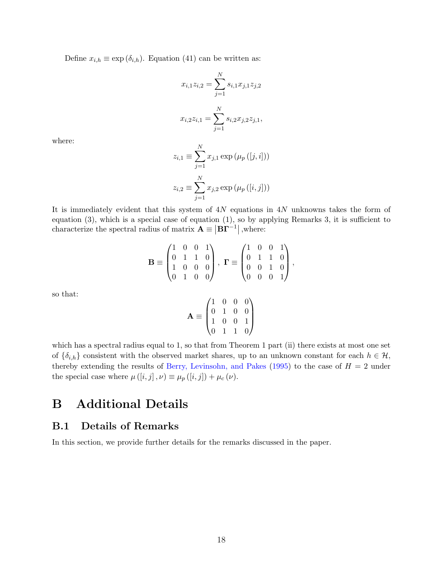Define  $x_{i,h} \equiv \exp(\delta_{i,h})$ . Equation [\(41\)](#page-38-0) can be written as:

$$
x_{i,1}z_{i,2} = \sum_{j=1}^{N} s_{i,1}x_{j,1}z_{j,2}
$$

$$
x_{i,2}z_{i,1} = \sum_{j=1}^{N} s_{i,2}x_{j,2}z_{j,1},
$$

where:

$$
z_{i,1} \equiv \sum_{j=1}^{N} x_{j,1} \exp \left( \mu_p([j,i]) \right)
$$

$$
z_{i,2} \equiv \sum_{j=1}^{N} x_{j,2} \exp \left( \mu_p([i,j]) \right)
$$

It is immediately evident that this system of  $4N$  equations in  $4N$  unknowns takes the form of equation [\(3\)](#page-8-0), which is a special case of equation [\(1\)](#page-2-0), so by applying Remarks 3, it is sufficient to characterize the spectral radius of matrix  $\mathbf{A} \equiv \left| \mathbf{B} \mathbf{\Gamma}^{-1} \right|$ , where:

$$
\mathbf{B} \equiv \begin{pmatrix} 1 & 0 & 0 & 1 \\ 0 & 1 & 1 & 0 \\ 1 & 0 & 0 & 0 \\ 0 & 1 & 0 & 0 \end{pmatrix}, \ \mathbf{\Gamma} \equiv \begin{pmatrix} 1 & 0 & 0 & 1 \\ 0 & 1 & 1 & 0 \\ 0 & 0 & 1 & 0 \\ 0 & 0 & 0 & 1 \end{pmatrix},
$$

so that:

$$
\mathbf{A} \equiv \begin{pmatrix} 1 & 0 & 0 & 0 \\ 0 & 1 & 0 & 0 \\ 1 & 0 & 0 & 1 \\ 0 & 1 & 1 & 0 \end{pmatrix}
$$

which has a spectral radius equal to 1, so that from Theorem 1 part (ii) there exists at most one set of  $\{\delta_{i,h}\}\)$  consistent with the observed market shares, up to an unknown constant for each  $h \in \mathcal{H}$ , thereby extending the results of [Berry, Levinsohn, and Pakes](#page-16-10) [\(1995\)](#page-16-10) to the case of  $H = 2$  under the special case where  $\mu([i, j], \nu) \equiv \mu_p([i, j]) + \mu_c(\nu)$ .

# <span id="page-39-1"></span>B Additional Details

#### <span id="page-39-0"></span>B.1 Details of Remarks

In this section, we provide further details for the remarks discussed in the paper.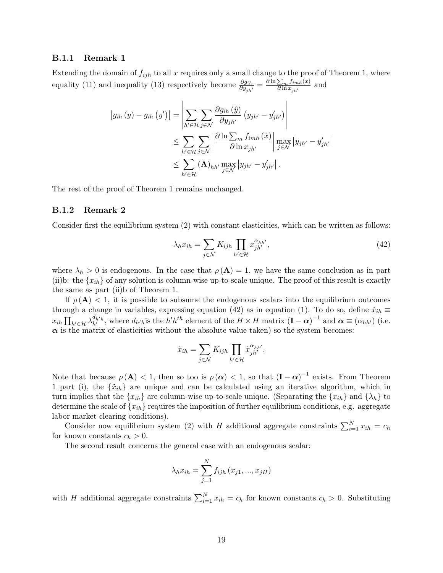#### B.1.1 Remark 1

Extending the domain of  $f_{ijh}$  to all x requires only a small change to the proof of Theorem 1, where equality [\(11\)](#page-18-1) and inequality [\(13\)](#page-18-3) respectively become  $\frac{\partial g_{ih}}{\partial y_{jh'}} = \frac{\partial \ln \sum_m f_{imh}(x)}{\partial \ln x_{jh'}}$  $\frac{\sum_{m} j_{imh}(x)}{\partial \ln x_{jh'}}$  and

$$
\begin{split} \left|g_{ih}\left(y\right)-g_{ih}\left(y'\right)\right|&=\left|\sum_{h'\in\mathcal{H}}\sum_{j\in\mathcal{N}}\frac{\partial g_{ih}\left(\hat{y}\right)}{\partial y_{jh'}}\left(y_{jh'}-y'_{jh'}\right)\right|\\&\leq\sum_{h'\in\mathcal{H}}\sum_{j\in\mathcal{N}}\left|\frac{\partial\ln\sum_{m}\int_{imh}\left(\hat{x}\right)}{\partial\ln x_{jh'}}\right|\max_{j\in\mathcal{N}}\left|y_{jh'}-y'_{jh'}\right|\\&\leq\sum_{h'\in\mathcal{H}}\left(\mathbf{A}\right)_{hh'}\max_{j\in\mathcal{N}}\left|y_{jh'}-y'_{jh'}\right|. \end{split}
$$

The rest of the proof of Theorem 1 remains unchanged.

#### B.1.2 Remark 2

Consider first the equilibrium system [\(2\)](#page-7-1) with constant elasticities, which can be written as follows:

<span id="page-40-0"></span>
$$
\lambda_h x_{ih} = \sum_{j \in \mathcal{N}} K_{ijh} \prod_{h' \in \mathcal{H}} x_{jh'}^{\alpha_{hh'}},\tag{42}
$$

where  $\lambda_h > 0$  is endogenous. In the case that  $\rho(\mathbf{A}) = 1$ , we have the same conclusion as in part (ii)b: the  $\{x_{ih}\}$  of any solution is column-wise up-to-scale unique. The proof of this result is exactly the same as part (ii)b of Theorem 1.

If  $\rho(A)$  < 1, it is possible to subsume the endogenous scalars into the equilibrium outcomes through a change in variables, expressing equation [\(42\)](#page-40-0) as in equation [\(1\)](#page-2-0). To do so, define  $\tilde{x}_{ih}$  $x_{ih} \prod_{h' \in \mathcal{H}} \lambda_{h'}^{d_{h'h}}$ , where  $d_{h'h}$  is the  $h'h^{th}$  element of the  $H \times H$  matrix  $(\mathbf{I} - \boldsymbol{\alpha})^{-1}$  and  $\boldsymbol{\alpha} \equiv (\alpha_{hh'})$  (i.e.  $\alpha$  is the matrix of elasticities without the absolute value taken) so the system becomes:

$$
\tilde{x}_{ih} = \sum_{j \in \mathcal{N}} K_{ijh} \prod_{h' \in \mathcal{H}} \tilde{x}_{jh'}^{\alpha_{hh'}}.
$$

Note that because  $\rho(\mathbf{A}) < 1$ , then so too is  $\rho(\alpha) < 1$ , so that  $(\mathbf{I} - \alpha)^{-1}$  exists. From Theorem 1 part (i), the  $\{\tilde{x}_{ih}\}\$ are unique and can be calculated using an iterative algorithm, which in turn implies that the  $\{x_{ih}\}$  are column-wise up-to-scale unique. (Separating the  $\{x_{ih}\}$  and  $\{\lambda_h\}$  to determine the scale of  $\{x_{ih}\}$  requires the imposition of further equilibrium conditions, e.g. aggregate labor market clearing conditions).

Consider now equilibrium system [\(2\)](#page-7-1) with H additional aggregate constraints  $\sum_{i=1}^{N} x_{ih} = c_h$ for known constants  $c_h > 0$ .

The second result concerns the general case with an endogenous scalar:

$$
\lambda_h x_{ih} = \sum_{j=1}^N f_{ijh} (x_{j1}, ..., x_{jH})
$$

with H additional aggregate constraints  $\sum_{i=1}^{N} x_{ih} = c_h$  for known constants  $c_h > 0$ . Substituting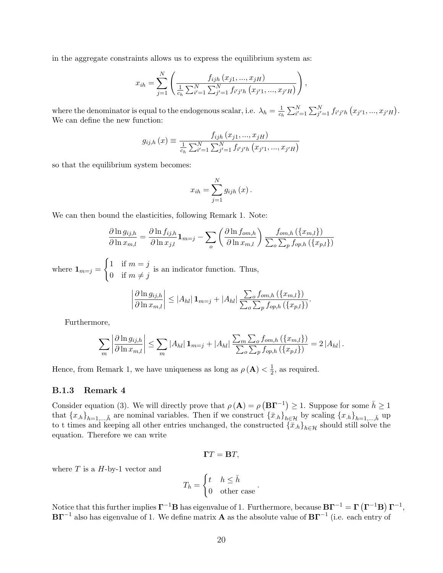in the aggregate constraints allows us to express the equilibrium system as:

$$
x_{ih} = \sum_{j=1}^{N} \left( \frac{f_{ijh}(x_{j1},...,x_{jH})}{\frac{1}{c_h} \sum_{i'=1}^{N} \sum_{j'=1}^{N} f_{i'j'h}(x_{j'1},...,x_{j'H})} \right),
$$

where the denominator is equal to the endogenous scalar, i.e.  $\lambda_h = \frac{1}{c}$  $\frac{1}{c_h} \sum_{i'=1}^N \sum_{j'=1}^N f_{i'j'h}(x_{j'1},...,x_{j'H}).$ We can define the new function:

$$
g_{ij,h}(x) \equiv \frac{f_{ijh}(x_{j1},...,x_{jH})}{\frac{1}{c_h}\sum_{i'=1}^{N}\sum_{j'=1}^{N}f_{i'j'h}(x_{j'1},...,x_{j'H})}
$$

so that the equilibrium system becomes:

$$
x_{ih} = \sum_{j=1}^{N} g_{ijh}(x) .
$$

We can then bound the elasticities, following Remark 1. Note:

$$
\frac{\partial \ln g_{ij,h}}{\partial \ln x_{m,l}} = \frac{\partial \ln f_{ij,h}}{\partial \ln x_{j,l}} \mathbf{1}_{m=j} - \sum_{o} \left( \frac{\partial \ln f_{om,h}}{\partial \ln x_{m,l}} \right) \frac{f_{om,h}(\{x_{m,l}\})}{\sum_{o} \sum_{p} f_{op,h}(\{x_{p,l}\})}
$$

where  $\mathbf{1}_{m=j} =$  $\int 1$  if  $m = j$ 0 if  $m \neq j$ is an indicator function. Thus,

$$
\left|\frac{\partial \ln g_{ij,h}}{\partial \ln x_{m,l}}\right| \leq |A_{hl}| \mathbf{1}_{m=j} + |A_{hl}| \frac{\sum_{o} f_{om,h}(\{x_{m,l}\})}{\sum_{o} \sum_{p} f_{op,h}(\{x_{p,l}\})}.
$$

Furthermore,

$$
\sum_{m} \left| \frac{\partial \ln g_{ij,h}}{\partial \ln x_{m,l}} \right| \leq \sum_{m} |A_{hl}| \mathbf{1}_{m=j} + |A_{hl}| \frac{\sum_{m} \sum_{o} f_{om,h} (\{x_{m,l}\})}{\sum_{o} \sum_{p} f_{op,h} (\{x_{p,l}\})} = 2 |A_{hl}|.
$$

Hence, from Remark 1, we have uniqueness as long as  $\rho(\mathbf{A}) < \frac{1}{2}$  $\frac{1}{2}$ , as required.

#### B.1.3 Remark 4

Consider equation [\(3\)](#page-8-0). We will directly prove that  $\rho(\mathbf{A}) = \rho(\mathbf{B}\mathbf{\Gamma}^{-1}) \geq 1$ . Suppose for some  $\bar{h} \geq 1$ that  ${x_h}_{h=1,...,\bar{h}}$  are nominal variables. Then if we construct  ${\bar{x}_h}_{h\in\mathcal{H}}$  by scaling  ${x_h}_{h=1,...,\bar{h}}$  up to t times and keeping all other entries unchanged, the constructed  ${\{\bar{x}_{h}\}}_{h\in\mathcal{H}}$  should still solve the equation. Therefore we can write

$$
\Gamma T = \mathbf{B}T,
$$

where  $T$  is a  $H$ -by-1 vector and

$$
T_h = \begin{cases} t & h \le \bar{h} \\ 0 & \text{other case} \end{cases}
$$

Notice that this further implies  $\Gamma^{-1}B$  has eigenvalue of 1. Furthermore, because  $B\Gamma^{-1} = \Gamma(\Gamma^{-1}B)\Gamma^{-1}$ ,  $\mathbf{B}\mathbf{\Gamma}^{-1}$  also has eigenvalue of 1. We define matrix  $\mathbf{A}$  as the absolute value of  $\mathbf{B}\mathbf{\Gamma}^{-1}$  (i.e. each entry of

.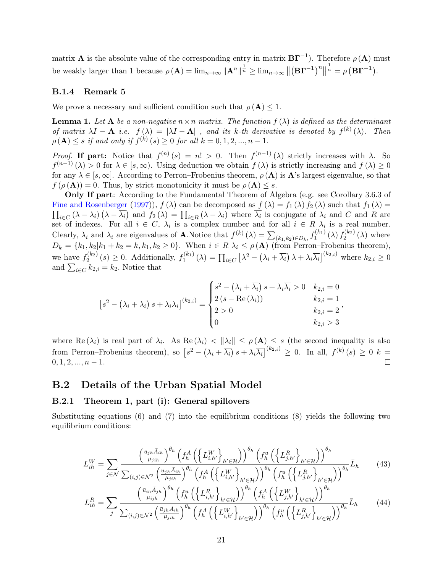matrix **A** is the absolute value of the corresponding entry in matrix  $\textbf{B}\Gamma^{-1}$ ). Therefore  $\rho(\textbf{A})$  must be weakly larger than 1 because  $\rho(\mathbf{A}) = \lim_{n \to \infty} ||\mathbf{A}^n||^{\frac{1}{n}} \geq \lim_{n \to \infty} ||(\mathbf{B}\mathbf{\Gamma}^{-1})^n||$  $\frac{1}{n} = \rho (\mathbf{B} \mathbf{\Gamma}^{-1}).$ 

#### B.1.4 Remark 5

We prove a necessary and sufficient condition such that  $\rho(\mathbf{A}) \leq 1$ .

**Lemma 1.** Let **A** be a non-negative  $n \times n$  matrix. The function  $f(\lambda)$  is defined as the determinant of matrix  $\lambda I - \mathbf{A}$  i.e.  $f(\lambda) = |\lambda I - \mathbf{A}|$ , and its k-th derivative is denoted by  $f^{(k)}(\lambda)$ . Then  $\rho(A) \leq s$  if and only if  $f^{(k)}(s) \geq 0$  for all  $k = 0, 1, 2, ..., n - 1$ .

Proof. If part: Notice that  $f^{(n)}(s) = n! > 0$ . Then  $f^{(n-1)}(\lambda)$  strictly increases with  $\lambda$ . So  $f^{(n-1)}(\lambda) > 0$  for  $\lambda \in [s,\infty)$ . Using deduction we obtain  $f(\lambda)$  is strictly increasing and  $f(\lambda) \geq 0$ for any  $\lambda \in [s,\infty]$ . According to Perron–Frobenius theorem,  $\rho(A)$  is A's largest eigenvalue, so that  $f(\rho(\mathbf{A})) = 0$ . Thus, by strict monotonicity it must be  $\rho(\mathbf{A}) \leq s$ .

Only If part: According to the Fundamental Theorem of Algebra (e.g. see Corollary 3.6.3 of [Fine and Rosenberger](#page-17-12) [\(1997\)](#page-17-12)),  $f(\lambda)$  can be decomposed as  $f(\lambda) = f_1(\lambda) f_2(\lambda)$  such that  $f_1(\lambda) =$  $\prod_{i\in C} (\lambda - \lambda_i) (\lambda - \overline{\lambda_i})$  and  $f_2(\lambda) = \prod_{i\in R} (\lambda - \lambda_i)$  where  $\overline{\lambda_i}$  is conjugate of  $\lambda_i$  and C and R are set of indexes. For all  $i \in C$ ,  $\lambda_i$  is a complex number and for all  $i \in R$   $\lambda_i$  is a real number. Clearly,  $\lambda_i$  and  $\overline{\lambda_i}$  are eigenvalues of **A**. Notice that  $f^{(k)}(\lambda) = \sum_{(k_1,k_2) \in D_k} f_1^{(k_1)}$  $f_{1}^{\left(k_{1}\right)}\left(\lambda\right)f_{2}^{\left(k_{2}\right)}$  $2^{(\kappa_2)}(\lambda)$  where  $D_k = \{k_1, k_2 | k_1 + k_2 = k, k_1, k_2 \ge 0\}$ . When  $i \in R$   $\lambda_i \le \rho(\mathbf{A})$  (from Perron–Frobenius theorem), we have  $f_2^{(k_2)}$  $f_2^{(k_2)}(s) \ge 0$ . Additionally,  $f_1^{(k_1)}$  $\sum_{i=1}^{(k_1)} (\lambda) = \prod_{i \in C} \left[ \lambda^2 - (\lambda_i + \overline{\lambda_i}) \lambda + \lambda_i \overline{\lambda_i} \right]^{(k_{2,i})}$  where  $k_{2,i} \geq 0$ and  $\sum_{i \in C} k_{2,i} = k_2$ . Notice that

$$
\[s^2 - \left(\lambda_i + \overline{\lambda_i}\right)s + \lambda_i \overline{\lambda_i}\]^{(k_{2,i})} = \begin{cases} s^2 - \left(\lambda_i + \overline{\lambda_i}\right)s + \lambda_i \overline{\lambda_i} > 0 & k_{2,i} = 0\\ 2\left(s - \text{Re}\left(\lambda_i\right)\right) & k_{2,i} = 1\\ 2 > 0 & k_{2,i} = 2\\ 0 & k_{2,i} > 3 \end{cases}
$$

<span id="page-42-2"></span><span id="page-42-1"></span>,

where Re  $(\lambda_i)$  is real part of  $\lambda_i$ . As Re  $(\lambda_i) < \|\lambda_i\| \le \rho(\mathbf{A}) \le s$  (the second inequality is also from Perron–Frobenius theorem), so  $\left[s^2 - (\lambda_i + \overline{\lambda_i}) s + \lambda_i \overline{\lambda_i}\right]^{(k_{2,i})} \geq 0$ . In all,  $f^{(k)}(s) \geq 0$  k =  $0, 1, 2, ..., n-1.$  $\Box$ 

#### <span id="page-42-0"></span>B.2 Details of the Urban Spatial Model

#### B.2.1 Theorem 1, part (i): General spillovers

Substituting equations [\(6\)](#page-12-2) and [\(7\)](#page-13-0) into the equilibrium conditions [\(8\)](#page-13-1) yields the following two equilibrium conditions:

$$
L_{ih}^{W} = \sum_{j \in \mathcal{N}} \frac{\left(\frac{\bar{u}_{j h} \bar{A}_{ih}}{\mu_{j ih}}\right)^{\theta_h} \left(f_h^A \left(\left\{L_{i,h'}^W\right\}_{h' \in \mathcal{H}}\right)\right)^{\theta_h} \left(f_h^u \left(\left\{L_{j,h'}^R\right\}_{h' \in \mathcal{H}}\right)\right)^{\theta_h}}{\sum_{(i,j) \in \mathcal{N}^2} \left(\frac{\bar{u}_{j h} \bar{A}_{ih}}{\mu_{j ih}}\right)^{\theta_h} \left(f_h^A \left(\left\{L_{i,h'}^W\right\}_{h' \in \mathcal{H}}\right)\right)^{\theta_h} \left(f_h^u \left(\left\{L_{j,h'}^R\right\}_{h' \in \mathcal{H}}\right)\right)^{\theta_h} \bar{L}_h}
$$
(43)

$$
L_{ih}^{R} = \sum_{j} \frac{\left(\frac{\bar{u}_{ih}\bar{A}_{jh}}{\mu_{ijh}}\right)^{\theta_{h}} \left(f_{h}^{u}\left(\left\{L_{i,h'}^{R}\right\}_{h'\in\mathcal{H}}\right)\right)^{\theta_{h}} \left(f_{h}^{A}\left(\left\{L_{j,h'}^{W}\right\}_{h'\in\mathcal{H}}\right)\right)^{\theta_{h}}}{\sum_{(i,j)\in\mathcal{N}^{2}} \left(\frac{\bar{u}_{jh}\bar{A}_{ih}}{\mu_{jih}}\right)^{\theta_{h}} \left(f_{h}^{A}\left(\left\{L_{i,h'}^{W}\right\}_{h'\in\mathcal{H}}\right)\right)^{\theta_{h}} \left(f_{h}^{u}\left(\left\{L_{j,h'}^{R}\right\}_{h'\in\mathcal{H}}\right)\right)^{\theta_{h}}}\bar{L}_{h}
$$
(44)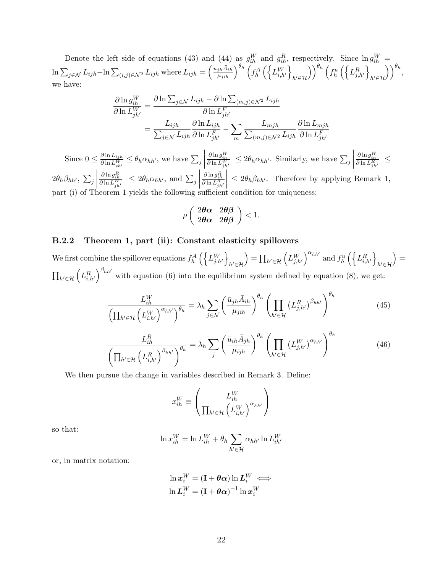Denote the left side of equations [\(43\)](#page-42-1) and [\(44\)](#page-42-2) as  $g_{ih}^W$  and  $g_{ih}^R$ , respectively. Since  $\ln g_{ih}^W$  =  $\ln \sum_{j \in \mathcal{N}} L_{ijh} - \ln \sum_{(i,j) \in \mathcal{N}^2} L_{ijh}$  where  $L_{ijh} = \left(\frac{\bar{u}_{jh} \bar{A}_{ih}}{\mu_{jih}}\right)^{\theta_h} \left(f_h^A \left(\left\{L_{i,h'}^W\right\}\right)\right)$  $h' \in H$  $\bigg(\bigg)^{\theta_h}\left(f_h^u\left(\left\{L_{j,h'}^R\right\}\right)\right)$  $h' \in H$  $\bigcap_{h=0}^{\theta_h}$ we have:

$$
\frac{\partial \ln g_{ih}^W}{\partial \ln L_{jh'}^W} = \frac{\partial \ln \sum_{j \in \mathcal{N}} L_{ijh} - \partial \ln \sum_{(m,j) \in \mathcal{N}^2} L_{ijh}}{\partial \ln L_{jh'}^F}
$$

$$
= \frac{L_{ijh}}{\sum_{j \in \mathcal{N}} L_{ijh}} \frac{\partial \ln L_{ijh}}{\partial \ln L_{jh'}^F} - \sum_m \frac{L_{mjh}}{\sum_{(m,j) \in \mathcal{N}^2} L_{ijh}} \frac{\partial \ln L_{mjh}}{\partial \ln L_{jh'}^F}
$$

Since  $0 \leq \frac{\partial \ln L_{ijh}}{\partial \ln I_W}$  $\frac{\partial \ln L_{ijh}^W}{\partial \ln L_{sh'}^W} \leq \theta_h \alpha_{hh'},$  we have  $\sum_j$  $\begin{array}{c} \begin{array}{c} \begin{array}{c} \end{array} \\ \begin{array}{c} \end{array} \end{array} \end{array}$  $\frac{\partial \ln g_{ih}^W}{\partial \ln L_{jh'}^W}$  $\begin{array}{c} \begin{array}{c} \begin{array}{c} \end{array} \\ \begin{array}{c} \end{array} \end{array} \end{array}$  $\leq 2\theta_h \alpha_{hh'}$ . Similarly, we have  $\sum_j$  $\begin{array}{c} \begin{array}{c} \begin{array}{c} \end{array} \\ \begin{array}{c} \end{array} \end{array} \end{array}$  $\frac{\partial \ln g_{ih}^W}{\partial \ln L_{jh'}^R}$  $\begin{array}{c} \begin{array}{c} \begin{array}{c} \end{array} \\ \begin{array}{c} \end{array} \end{array} \end{array}$ ≤  $2\theta_h\beta_{hh'},\ \sum_j$  $\begin{array}{c} \hline \end{array}$  $\frac{\partial \ln g_{ih}^R}{\partial \ln L_{jh'}^W}$  $\overline{\mathbf{a}}$  $\leq 2\theta_h \alpha_{hh'}$ , and  $\sum_j$  $\begin{array}{c} \hline \rule{0pt}{2.5ex} \\ \rule{0pt}{2.5ex} \end{array}$  $\frac{\partial \ln \mathcal{g}_{ih}^R}{\partial \ln L_{jh'}^R}$  $\begin{array}{c} \hline \end{array}$  $\leq 2\theta_h\beta_{hh'}$ . Therefore by applying Remark 1, part (i) of Theorem 1 yields the following sufficient condition for uniqueness:

$$
\rho\left(\begin{array}{cc}2\boldsymbol{\theta}\boldsymbol{\alpha}&2\boldsymbol{\theta}\boldsymbol{\beta}\\2\boldsymbol{\theta}\boldsymbol{\alpha}&2\boldsymbol{\theta}\boldsymbol{\beta}\end{array}\right)<1.
$$

#### B.2.2 Theorem 1, part (ii): Constant elasticity spillovers

We first combine the spillover equations  $f_h^A\left(\left\{L_{j,h'}^W\right\}\right)$  $h' \in H$  $\mathcal{L} = \prod_{h' \in \mathcal{H}} \left( L_{j,h'}^W \right)^{\alpha_{hh'}}$  and  $f_h^u \left( \left\{ L_{i,h'}^R \right\} \right)$  $h' \in H$  $=$  $\prod_{h' \in \mathcal{H}} \left( L_{i,h'}^R \right)^{\beta_{hh'}}$  with equation [\(6\)](#page-12-2) into the equilibrium system defined by equation [\(8\)](#page-13-1), we get:

$$
\frac{L_{ih}^W}{\left(\prod_{h' \in \mathcal{H}} \left(L_{i,h'}^W\right)^{\alpha_{hh'}}\right)^{\theta_h}} = \lambda_h \sum_{j \in \mathcal{N}} \left(\frac{\bar{u}_{jh}\bar{A}_{ih}}{\mu_{jih}}\right)^{\theta_h} \left(\prod_{h' \in \mathcal{H}} \left(L_{j,h'}^R\right)^{\beta_{hh'}}\right)^{\theta_h}
$$
(45)

$$
\frac{L_{ih}^{R}}{\left(\prod_{h' \in \mathcal{H}} \left(L_{i,h'}^{R}\right)^{\beta_{hh'}}\right)^{\theta_{h}}} = \lambda_{h} \sum_{j} \left(\frac{\bar{u}_{ih}\bar{A}_{jh}}{\mu_{ijh}}\right)^{\theta_{h}} \left(\prod_{h' \in \mathcal{H}} \left(L_{j,h'}^{W}\right)^{\alpha_{hh'}}\right)^{\theta_{h}}
$$
(46)

We then pursue the change in variables described in Remark 3. Define:

$$
x_{ih}^W \equiv \left(\frac{L_{ih}^W}{\prod_{h' \in \mathcal{H}} \left(L_{i,h'}^W\right)^{\alpha_{hh'}}}\right)
$$

so that:

$$
\ln x_{ih}^W = \ln L_{ih}^W + \theta_h \sum_{h' \in \mathcal{H}} \alpha_{hh'} \ln L_{ih'}^W
$$

or, in matrix notation:

$$
\ln x_i^W = (\mathbf{I} + \boldsymbol{\theta}\boldsymbol{\alpha}) \ln L_i^W \iff
$$
  

$$
\ln L_i^W = (\mathbf{I} + \boldsymbol{\theta}\boldsymbol{\alpha})^{-1} \ln x_i^W
$$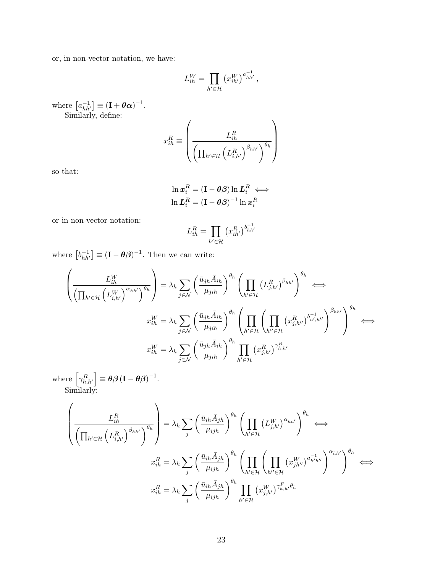or, in non-vector notation, we have:

$$
L_{ih}^W = \prod_{h' \in \mathcal{H}} \left( x_{ih'}^W \right)^{a_{hh'}^{-1}},
$$

where  $[a_{hh'}^{-1}] \equiv (\mathbf{I} + \boldsymbol{\theta}\boldsymbol{\alpha})^{-1}$ . Similarly, define:

$$
x_{ih}^{R} \equiv \left(\frac{L_{ih}^{R}}{\left(\prod_{h' \in \mathcal{H}} \left(L_{i,h'}^{R}\right)^{\beta_{hh'}}\right)^{\theta_{h}}}\right)
$$

so that:

$$
\ln x_i^R = (\mathbf{I} - \boldsymbol{\theta}\boldsymbol{\beta}) \ln L_i^R \iff
$$
  

$$
\ln L_i^R = (\mathbf{I} - \boldsymbol{\theta}\boldsymbol{\beta})^{-1} \ln x_i^R
$$

or in non-vector notation:

$$
L_{ih}^R = \prod_{h' \in \mathcal{H}} \left( x_{ih'}^R \right)^{b_{hh'}^{-1}}
$$

where  $\left[b_{hh'}^{-1}\right] \equiv \left(\mathbf{I} - \boldsymbol{\theta}\boldsymbol{\beta}\right)^{-1}$ . Then we can write:

$$
\left(\frac{L_{ih}^W}{\left(\prod_{h' \in \mathcal{H}} \left(L_{i,h'}^W\right)^{\alpha_{hh'}}\right)^{\theta_h}}\right) = \lambda_h \sum_{j \in \mathcal{N}} \left(\frac{\bar{u}_{jh}\bar{A}_{ih}}{\mu_{jih}}\right)^{\theta_h} \left(\prod_{h' \in \mathcal{H}} \left(L_{j,h'}^R\right)^{\beta_{hh'}}\right)^{\theta_h}
$$

$$
x_{ih}^W = \lambda_h \sum_{j \in \mathcal{N}} \left(\frac{\bar{u}_{jh}\bar{A}_{ih}}{\mu_{jih}}\right)^{\theta_h} \left(\prod_{h' \in \mathcal{H}} \left(\prod_{h'' \in \mathcal{H}} \left(x_{j,h''}^R\right)^{b_{h',h''}^{-1}}\right)^{\beta_{hh'}}\right)^{\theta_h}
$$

$$
x_{ih}^W = \lambda_h \sum_{j \in \mathcal{N}} \left(\frac{\bar{u}_{jh}\bar{A}_{ih}}{\mu_{jih}}\right)^{\theta_h} \prod_{h' \in \mathcal{H}} \left(x_{j,h'}^R\right)^{\gamma_{h,h'}^R}
$$

where  $\left[ \gamma_{h,h'}^R \right] \equiv \boldsymbol{\theta} \boldsymbol{\beta} \left( \mathbf{I} - \boldsymbol{\theta} \boldsymbol{\beta} \right)^{-1}$ . Similarly:

$$
\left(\frac{L_{ih}^{R}}{\left(\prod_{h' \in \mathcal{H}} \left(L_{i,h'}^{R}\right)^{\beta_{hh'}}\right)^{\theta_{h}}}\right) = \lambda_{h} \sum_{j} \left(\frac{\bar{u}_{ih} \bar{A}_{jh}}{\mu_{ijh}}\right)^{\theta_{h}} \left(\prod_{h' \in \mathcal{H}} \left(L_{j,h'}^{W}\right)^{\alpha_{hh'}}\right)^{\theta_{h}} \iff
$$
\n
$$
x_{ih}^{R} = \lambda_{h} \sum_{j} \left(\frac{\bar{u}_{ih} \bar{A}_{jh}}{\mu_{ijh}}\right)^{\theta_{h}} \left(\prod_{h' \in \mathcal{H}} \left(\prod_{h'' \in \mathcal{H}} \left(x_{jh''}^{W}\right)^{a_{h'h'}}\right)^{\alpha_{hh'}}\right)^{\theta_{h}} \iff
$$
\n
$$
x_{ih}^{R} = \lambda_{h} \sum_{j} \left(\frac{\bar{u}_{ih} \bar{A}_{jh}}{\mu_{ijh}}\right)^{\theta_{h}} \prod_{h' \in \mathcal{H}} \left(x_{j,h'}^{W}\right)^{\gamma_{h,h'}^{F}}^{\gamma_{h,h'}^{F}\theta_{h}}
$$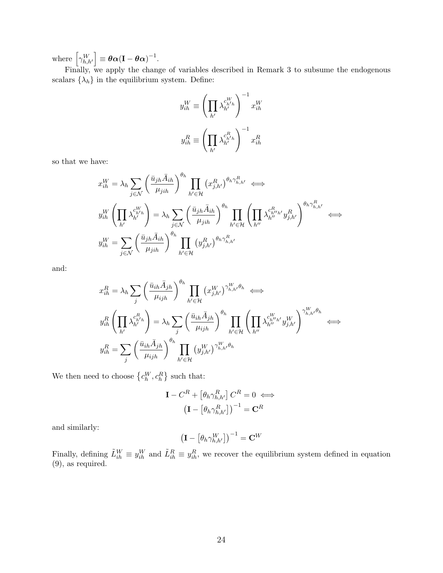where  $\left[\gamma_{h,h'}^W\right] \equiv \boldsymbol{\theta} \boldsymbol{\alpha} (\mathbf{I} - \boldsymbol{\theta} \boldsymbol{\alpha})^{-1}$ .

Finally, we apply the change of variables described in Remark 3 to subsume the endogenous scalars  $\{\lambda_h\}$  in the equilibrium system. Define:

$$
y_{ih}^W \equiv \left(\prod_{h'} \lambda_{h'}^{c_{h'h}^W}\right)^{-1} x_{ih}^W
$$

$$
y_{ih}^R \equiv \left(\prod_{h'} \lambda_{h'}^{c_{h'h}^R}\right)^{-1} x_{ih}^R
$$

so that we have:

$$
x_{ih}^W = \lambda_h \sum_{j \in \mathcal{N}} \left( \frac{\bar{u}_{jh} \bar{A}_{ih}}{\mu_{jih}} \right)^{\theta_h} \prod_{h' \in \mathcal{H}} \left( x_{j,h'}^R \right)^{\theta_h \gamma_{h,h'}^R} \iff
$$
  

$$
y_{ih}^W \left( \prod_{h'} \lambda_{h'}^{c_{h'h}} \right) = \lambda_h \sum_{j \in \mathcal{N}} \left( \frac{\bar{u}_{jh} \bar{A}_{ih}}{\mu_{jih}} \right)^{\theta_h} \prod_{h' \in \mathcal{H}} \left( \prod_{h''} \lambda_{h''}^{c_{h''h'}} y_{j,h'}^R \right)^{\theta_h \gamma_{h,h'}^R}
$$
  

$$
y_{ih}^W = \sum_{j \in \mathcal{N}} \left( \frac{\bar{u}_{jh} \bar{A}_{ih}}{\mu_{jih}} \right)^{\theta_h} \prod_{h' \in \mathcal{H}} \left( y_{j,h'}^R \right)^{\theta_h \gamma_{h,h'}^R}
$$

and:

$$
x_{ih}^{R} = \lambda_h \sum_{j} \left(\frac{\bar{u}_{ih}\bar{A}_{jh}}{\mu_{ijh}}\right)^{\theta_h} \prod_{h' \in \mathcal{H}} (x_{j,h'}^{W})^{\gamma_{h,h'}^{W}\theta_h} \iff
$$
  

$$
y_{ih}^{R} \left(\prod_{h'} \lambda_{h'}^{c_{h'h}^{R}}\right) = \lambda_h \sum_{j} \left(\frac{\bar{u}_{ih}\bar{A}_{jh}}{\mu_{ijh}}\right)^{\theta_h} \prod_{h' \in \mathcal{H}} \left(\prod_{h''} \lambda_{h''}^{c_{h''h'}^{W}} y_{j,h'}^{W}\right)^{\gamma_{h,h'}^{W}\theta_h}
$$
  

$$
y_{ih}^{R} = \sum_{j} \left(\frac{\bar{u}_{ih}\bar{A}_{jh}}{\mu_{ijh}}\right)^{\theta_h} \prod_{h' \in \mathcal{H}} (y_{j,h'}^{W})^{\gamma_{h,h'}^{W}\theta_h}
$$

We then need to choose  $\{c_h^W, c_h^R\}$  such that:

$$
\mathbf{I} - C^{R} + \left[\theta_{h} \gamma_{h,h'}^{R}\right] C^{R} = 0 \iff
$$

$$
\left(\mathbf{I} - \left[\theta_{h} \gamma_{h,h'}^{R}\right]\right)^{-1} = \mathbf{C}^{R}
$$

and similarly:

$$
\left(\mathbf{I}-\left[\theta_h\gamma_{h,h'}^{W}\right]\right)^{-1}=\mathbf{C}^{W}
$$

Finally, defining  $\tilde{L}_{ih}^W \equiv y_{ih}^W$  and  $\tilde{L}_{ih}^R \equiv y_{ih}^R$ , we recover the equilibrium system defined in equation [\(9\)](#page-14-0), as required.